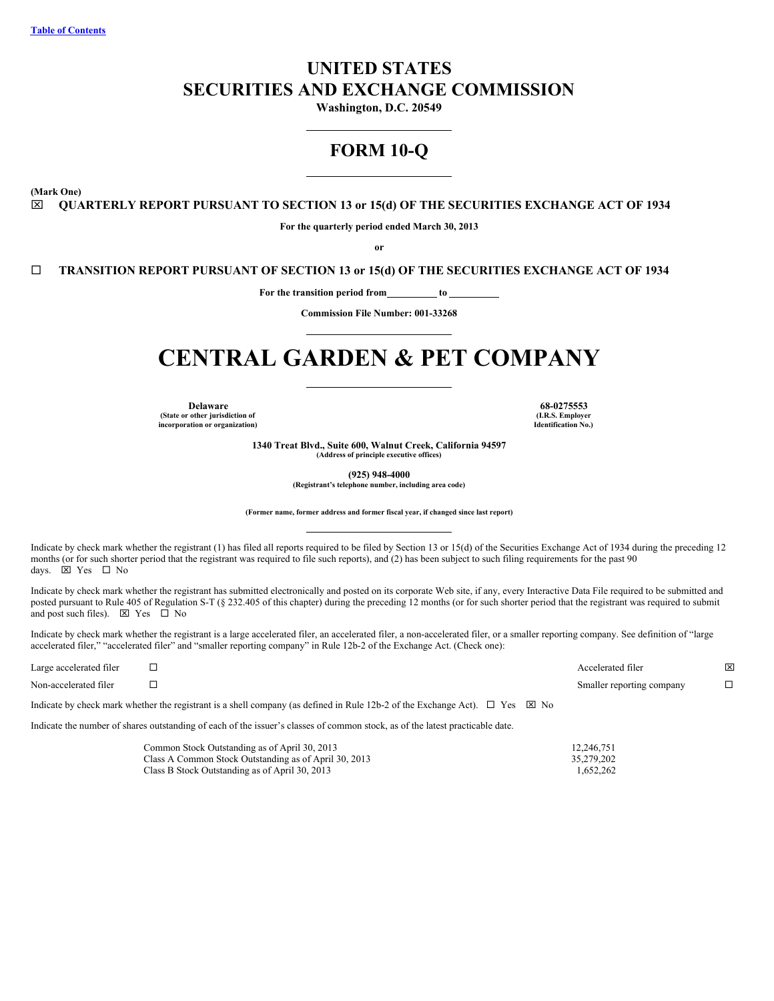# <span id="page-0-0"></span>**UNITED STATES SECURITIES AND EXCHANGE COMMISSION**

**Washington, D.C. 20549**

# **FORM 10-Q**

**(Mark One)**

x **QUARTERLY REPORT PURSUANT TO SECTION 13 or 15(d) OF THE SECURITIES EXCHANGE ACT OF 1934**

**For the quarterly period ended March 30, 2013**

**or**

¨ **TRANSITION REPORT PURSUANT OF SECTION 13 or 15(d) OF THE SECURITIES EXCHANGE ACT OF 1934**

**For the transition period from to**

**Commission File Number: 001-33268**

# **CENTRAL GARDEN & PET COMPANY**

**(State or other jurisdiction of incorporation or organization)**

**Delaware 68-0275553 (I.R.S. Employer Identification No.)**

> **1340 Treat Blvd., Suite 600, Walnut Creek, California 94597 (Address of principle executive offices)**

> > **(925) 948-4000**

**(Registrant's telephone number, including area code)**

**(Former name, former address and former fiscal year, if changed since last report)**

Indicate by check mark whether the registrant (1) has filed all reports required to be filed by Section 13 or 15(d) of the Securities Exchange Act of 1934 during the preceding 12 months (or for such shorter period that the registrant was required to file such reports), and (2) has been subject to such filing requirements for the past 90 days.  $\boxtimes$  Yes  $\Box$  No

Indicate by check mark whether the registrant has submitted electronically and posted on its corporate Web site, if any, every Interactive Data File required to be submitted and posted pursuant to Rule 405 of Regulation S-T (§ 232.405 of this chapter) during the preceding 12 months (or for such shorter period that the registrant was required to submit and post such files).  $\boxtimes$  Yes  $\Box$  No

Indicate by check mark whether the registrant is a large accelerated filer, an accelerated filer, a non-accelerated filer, or a smaller reporting company. See definition of "large accelerated filer," "accelerated filer" and "smaller reporting company" in Rule 12b-2 of the Exchange Act. (Check one):

| Large accelerated filer |                                                                                                                                                                                                                                                                               | Accelerated filer         | X |
|-------------------------|-------------------------------------------------------------------------------------------------------------------------------------------------------------------------------------------------------------------------------------------------------------------------------|---------------------------|---|
| Non-accelerated filer   |                                                                                                                                                                                                                                                                               | Smaller reporting company |   |
|                         | Letter and the change of contraction of the contract of the component of the $\mathbf{0}$ . $\mathbf{0}$ and $\mathbf{0}$ and $\mathbf{0}$ and $\mathbf{0}$ and $\mathbf{0}$ and $\mathbf{0}$ and $\mathbf{0}$ and $\mathbf{0}$ and $\mathbf{0}$ and $\mathbf{0}$ and $\math$ |                           |   |

Indicate by check mark whether the registrant is a shell company (as defined in Rule 12b-2 of the Exchange Act).  $\Box$  Yes  $\boxtimes$  No

Indicate the number of shares outstanding of each of the issuer's classes of common stock, as of the latest practicable date.

| Common Stock Outstanding as of April 30, 2013         | 12.246.751 |
|-------------------------------------------------------|------------|
| Class A Common Stock Outstanding as of April 30, 2013 | 35.279.202 |
| Class B Stock Outstanding as of April 30, 2013        | 1.652.262  |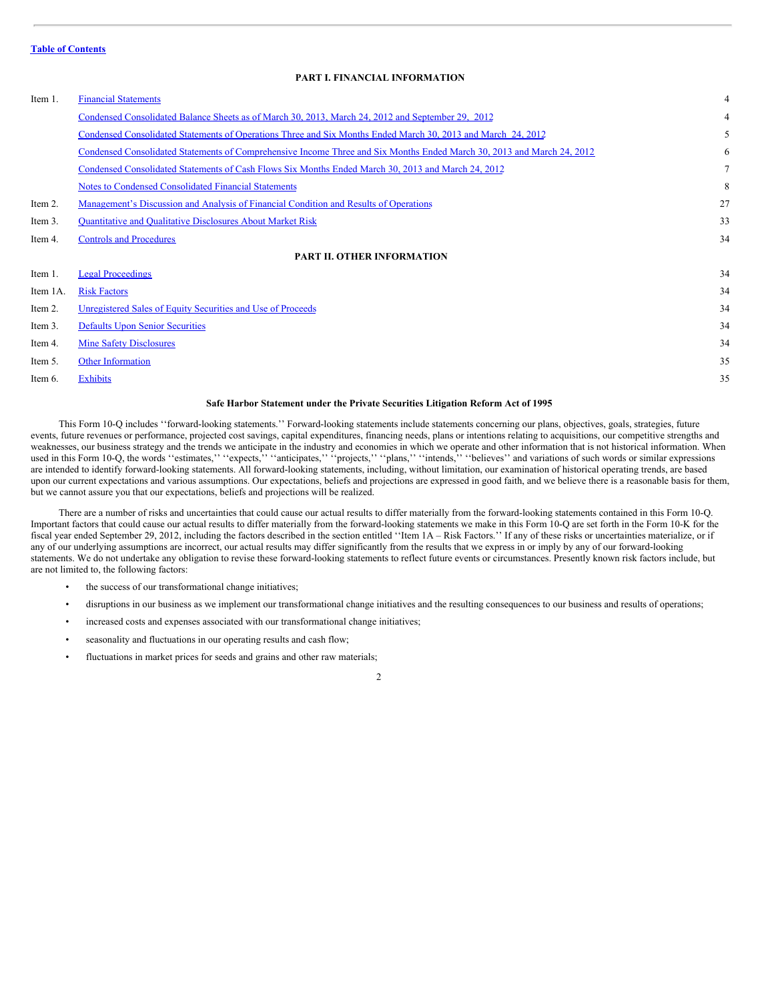## <span id="page-1-0"></span>**PART I. FINANCIAL INFORMATION**

|  | Item 1. Financial Statements |  |  |
|--|------------------------------|--|--|
|--|------------------------------|--|--|

|          | Condensed Consolidated Balance Sheets as of March 30, 2013, March 24, 2012 and September 29, 2012                      | $\overline{4}$ |
|----------|------------------------------------------------------------------------------------------------------------------------|----------------|
|          | Condensed Consolidated Statements of Operations Three and Six Months Ended March 30, 2013 and March 24, 2012           | 5              |
|          | Condensed Consolidated Statements of Comprehensive Income Three and Six Months Ended March 30, 2013 and March 24, 2012 | 6              |
|          | Condensed Consolidated Statements of Cash Flows Six Months Ended March 30, 2013 and March 24, 2012                     | 7              |
|          | <b>Notes to Condensed Consolidated Financial Statements</b>                                                            | 8              |
| Item 2.  | Management's Discussion and Analysis of Financial Condition and Results of Operations                                  | 27             |
| Item 3.  | <b>Ouantitative and Qualitative Disclosures About Market Risk</b>                                                      | 33             |
| Item 4.  | <b>Controls and Procedures</b>                                                                                         | 34             |
|          | <b>PART II. OTHER INFORMATION</b>                                                                                      |                |
| Item 1.  | <b>Legal Proceedings</b>                                                                                               | 34             |
| Item 1A. | <b>Risk Factors</b>                                                                                                    | 34             |
| Item 2.  | Unregistered Sales of Equity Securities and Use of Proceeds                                                            | 34             |
| Item 3.  | <b>Defaults Upon Senior Securities</b>                                                                                 | 34             |
| Item 4.  | <b>Mine Safety Disclosures</b>                                                                                         | 34             |
| Item 5.  | <b>Other Information</b>                                                                                               | 35             |
| Item 6.  | <b>Exhibits</b>                                                                                                        | 35             |
|          |                                                                                                                        |                |

#### **Safe Harbor Statement under the Private Securities Litigation Reform Act of 1995**

This Form 10-Q includes ''forward-looking statements.'' Forward-looking statements include statements concerning our plans, objectives, goals, strategies, future events, future revenues or performance, projected cost savings, capital expenditures, financing needs, plans or intentions relating to acquisitions, our competitive strengths and weaknesses, our business strategy and the trends we anticipate in the industry and economies in which we operate and other information that is not historical information. When used in this Form 10-Q, the words "estimates," "expects," "anticipates," "projects," "plans," "intends," "believes" and variations of such words or similar expressions are intended to identify forward-looking statements. All forward-looking statements, including, without limitation, our examination of historical operating trends, are based upon our current expectations and various assumptions. Our expectations, beliefs and projections are expressed in good faith, and we believe there is a reasonable basis for them, but we cannot assure you that our expectations, beliefs and projections will be realized.

There are a number of risks and uncertainties that could cause our actual results to differ materially from the forward-looking statements contained in this Form 10-Q. Important factors that could cause our actual results to differ materially from the forward-looking statements we make in this Form 10-Q are set forth in the Form 10-K for the fiscal year ended September 29, 2012, including the factors described in the section entitled ''Item 1A – Risk Factors.'' If any of these risks or uncertainties materialize, or if any of our underlying assumptions are incorrect, our actual results may differ significantly from the results that we express in or imply by any of our forward-looking statements. We do not undertake any obligation to revise these forward-looking statements to reflect future events or circumstances. Presently known risk factors include, but are not limited to, the following factors:

- the success of our transformational change initiatives;
- disruptions in our business as we implement our transformational change initiatives and the resulting consequences to our business and results of operations;
- increased costs and expenses associated with our transformational change initiatives;
- seasonality and fluctuations in our operating results and cash flow;
- fluctuations in market prices for seeds and grains and other raw materials;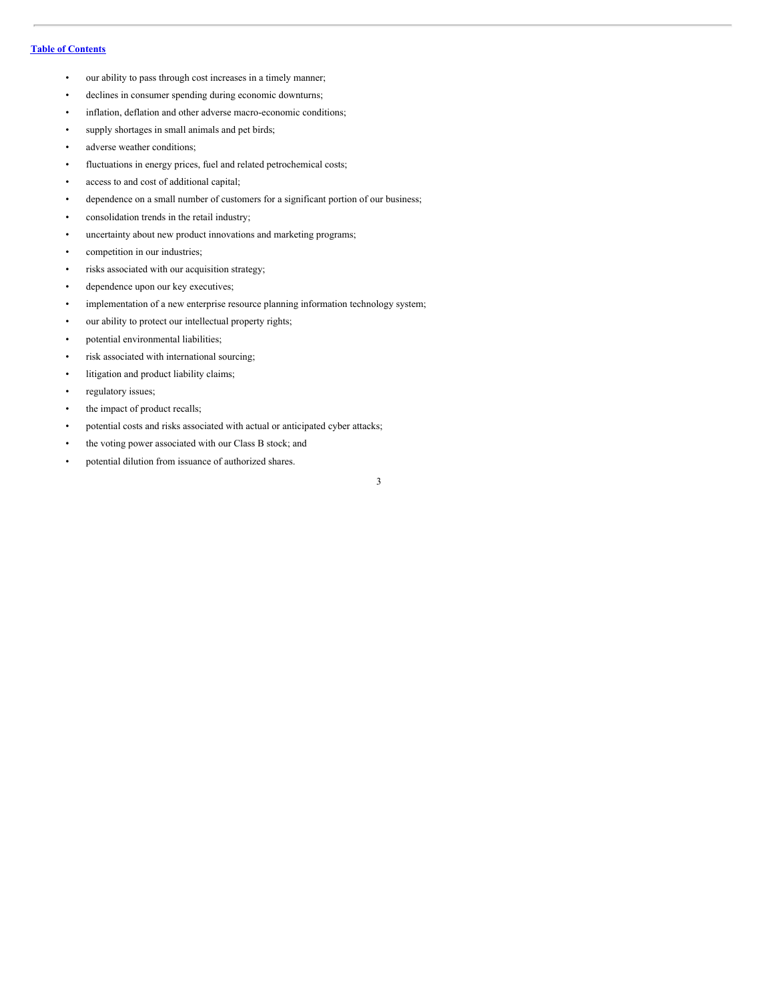- our ability to pass through cost increases in a timely manner;
- declines in consumer spending during economic downturns;
- inflation, deflation and other adverse macro-economic conditions;
- supply shortages in small animals and pet birds;
- adverse weather conditions;
- fluctuations in energy prices, fuel and related petrochemical costs;
- access to and cost of additional capital;
- dependence on a small number of customers for a significant portion of our business;
- consolidation trends in the retail industry;
- uncertainty about new product innovations and marketing programs;
- competition in our industries;
- risks associated with our acquisition strategy;
- dependence upon our key executives;
- implementation of a new enterprise resource planning information technology system;
- our ability to protect our intellectual property rights;
- potential environmental liabilities;
- risk associated with international sourcing;
- litigation and product liability claims;
- regulatory issues;
- the impact of product recalls;
- potential costs and risks associated with actual or anticipated cyber attacks;
- the voting power associated with our Class B stock; and
- potential dilution from issuance of authorized shares.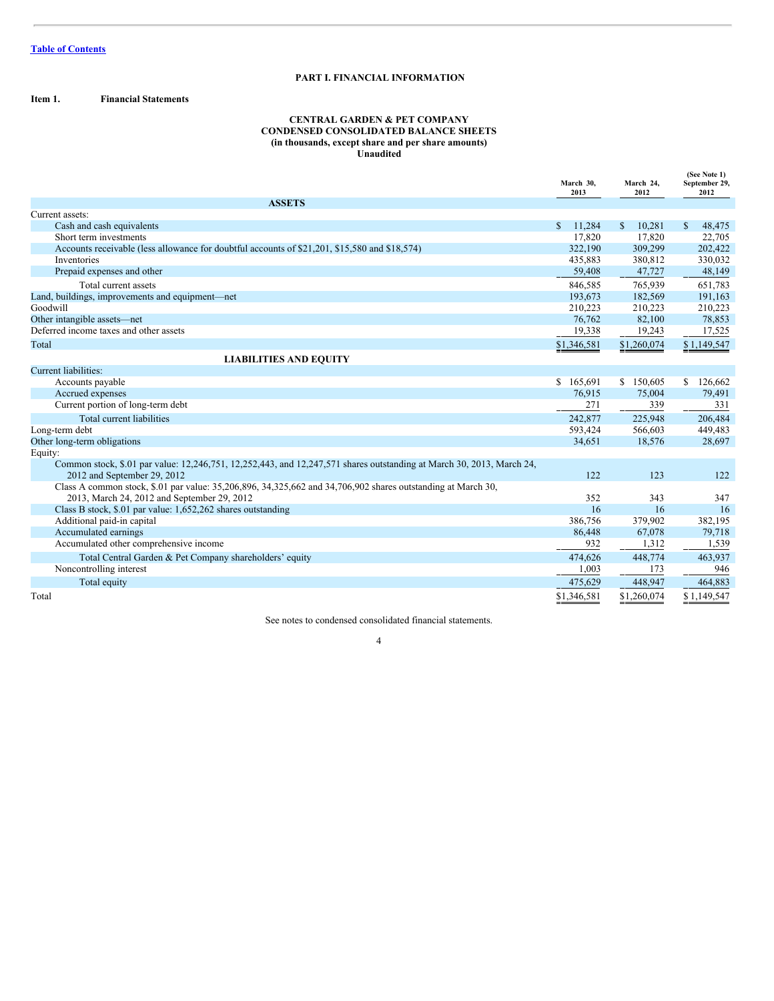## <span id="page-3-0"></span>**PART I. FINANCIAL INFORMATION**

**Item 1. Financial Statements**

### **CENTRAL GARDEN & PET COMPANY CONDENSED CONSOLIDATED BALANCE SHEETS (in thousands, except share and per share amounts) Unaudited**

|                                                                                                                       | March 30,<br>2013       | March 24,<br>2012      | (See Note 1)<br>September 29,<br>2012 |  |
|-----------------------------------------------------------------------------------------------------------------------|-------------------------|------------------------|---------------------------------------|--|
| <b>ASSETS</b>                                                                                                         |                         |                        |                                       |  |
| Current assets:                                                                                                       |                         |                        |                                       |  |
| Cash and cash equivalents                                                                                             | 11.284<br><sup>\$</sup> | 10,281<br>$\mathbb{S}$ | $\mathbb{S}$<br>48,475                |  |
| Short term investments                                                                                                | 17,820                  | 17,820                 | 22,705                                |  |
| Accounts receivable (less allowance for doubtful accounts of \$21,201, \$15,580 and \$18,574)                         | 322,190                 | 309,299                | 202,422                               |  |
| Inventories                                                                                                           | 435,883                 | 380,812                | 330,032                               |  |
| Prepaid expenses and other                                                                                            | 59,408                  | 47,727                 | 48,149                                |  |
| Total current assets                                                                                                  | 846,585                 | 765,939                | 651,783                               |  |
| Land, buildings, improvements and equipment—net                                                                       | 193,673                 | 182,569                | 191,163                               |  |
| Goodwill                                                                                                              | 210,223                 | 210,223                | 210,223                               |  |
| Other intangible assets-net                                                                                           | 76,762                  | 82,100                 | 78,853                                |  |
| Deferred income taxes and other assets                                                                                | 19,338                  | 19,243                 | 17,525                                |  |
| Total                                                                                                                 | \$1,346,581             | \$1,260,074            | \$1,149,547                           |  |
| <b>LIABILITIES AND EQUITY</b>                                                                                         |                         |                        |                                       |  |
| Current liabilities:                                                                                                  |                         |                        |                                       |  |
| Accounts payable                                                                                                      | \$165,691               | \$150,605              | \$126,662                             |  |
| Accrued expenses                                                                                                      | 76,915                  | 75,004                 | 79,491                                |  |
| Current portion of long-term debt                                                                                     | 271                     | 339                    | 331                                   |  |
| Total current liabilities                                                                                             | 242,877                 | 225,948                | 206,484                               |  |
| Long-term debt                                                                                                        | 593,424                 | 566,603                | 449,483                               |  |
| Other long-term obligations                                                                                           | 34,651                  | 18,576                 | 28,697                                |  |
| Equity:                                                                                                               |                         |                        |                                       |  |
| Common stock, \$.01 par value: 12,246,751, 12,252,443, and 12,247,571 shares outstanding at March 30, 2013, March 24, |                         |                        |                                       |  |
| 2012 and September 29, 2012                                                                                           | 122                     | 123                    | 122                                   |  |
| Class A common stock, \$.01 par value: 35,206,896, 34,325,662 and 34,706,902 shares outstanding at March 30,          |                         |                        |                                       |  |
| 2013, March 24, 2012 and September 29, 2012                                                                           | 352                     | 343                    | 347                                   |  |
| Class B stock, \$.01 par value: 1,652,262 shares outstanding                                                          | 16                      | 16                     | 16                                    |  |
| Additional paid-in capital                                                                                            | 386,756                 | 379,902                | 382,195                               |  |
| Accumulated earnings                                                                                                  | 86,448                  | 67,078                 | 79,718                                |  |
| Accumulated other comprehensive income                                                                                | 932                     | 1,312                  | 1,539                                 |  |
| Total Central Garden & Pet Company shareholders' equity                                                               | 474,626                 | 448,774                | 463,937                               |  |
| Noncontrolling interest                                                                                               | 1,003                   | 173                    | 946                                   |  |
| Total equity                                                                                                          | 475,629                 | 448,947                | 464,883                               |  |
| Total                                                                                                                 | \$1,346,581             | \$1,260,074            | \$1,149,547                           |  |

See notes to condensed consolidated financial statements.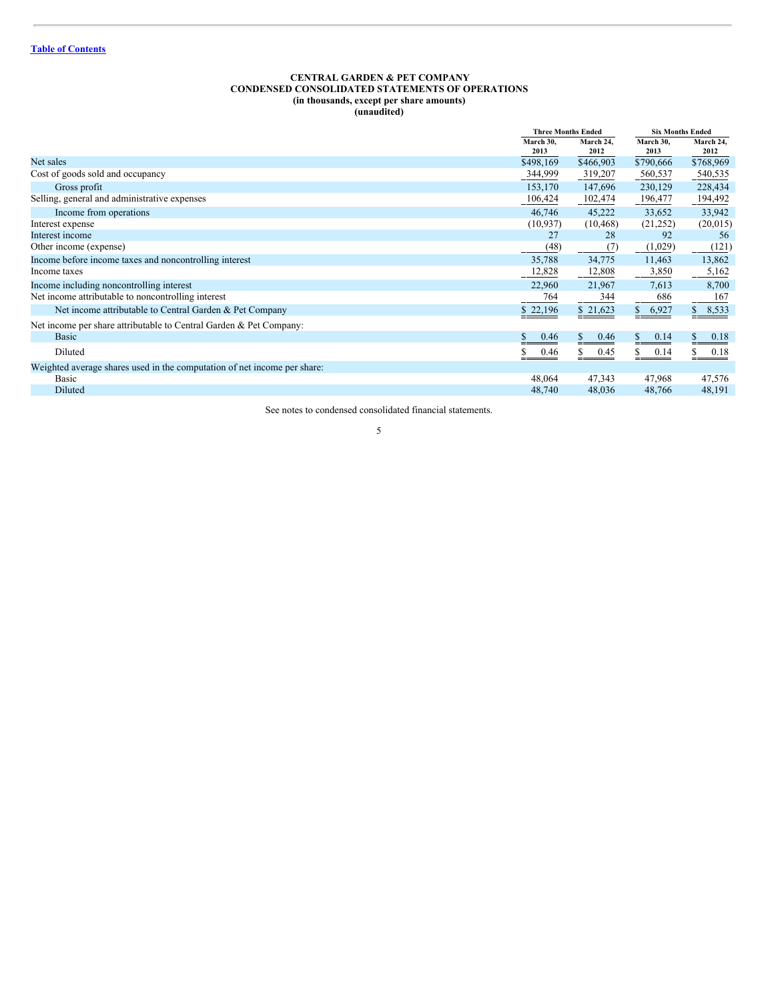#### <span id="page-4-0"></span>**CENTRAL GARDEN & PET COMPANY CONDENSED CONSOLIDATED STATEMENTS OF OPERATIONS (in thousands, except per share amounts) (unaudited)**

|                                                                          |                   | <b>Three Months Ended</b> | <b>Six Months Ended</b> |                   |  |
|--------------------------------------------------------------------------|-------------------|---------------------------|-------------------------|-------------------|--|
|                                                                          | March 30,         | March 24,                 | March 30,               | March 24,         |  |
| Net sales                                                                | 2013<br>\$498,169 | 2012<br>\$466,903         | 2013<br>\$790,666       | 2012<br>\$768,969 |  |
|                                                                          |                   |                           |                         |                   |  |
| Cost of goods sold and occupancy                                         | 344,999           | 319,207                   | 560,537                 | 540,535           |  |
| Gross profit                                                             | 153,170           | 147,696                   | 230,129                 | 228,434           |  |
| Selling, general and administrative expenses                             | 106,424           | 102,474                   | 196,477                 | 194,492           |  |
| Income from operations                                                   | 46,746            | 45,222                    | 33,652                  | 33,942            |  |
| Interest expense                                                         | (10, 937)         | (10, 468)                 | (21,252)                | (20,015)          |  |
| Interest income                                                          | 27                | 28                        | 92                      | 56                |  |
| Other income (expense)                                                   | (48)              | (7)                       | (1,029)                 | (121)             |  |
| Income before income taxes and noncontrolling interest                   | 35,788            | 34,775                    | 11,463                  | 13,862            |  |
| Income taxes                                                             | 12,828            | 12,808                    | 3,850                   | 5,162             |  |
| Income including noncontrolling interest                                 | 22,960            | 21,967                    | 7,613                   | 8,700             |  |
| Net income attributable to noncontrolling interest                       | 764               | 344                       | 686                     | 167               |  |
| Net income attributable to Central Garden & Pet Company                  | \$22,196          | \$21,623                  | \$6,927                 | \$8,533           |  |
| Net income per share attributable to Central Garden & Pet Company:       |                   |                           |                         |                   |  |
| <b>Basic</b>                                                             | S.<br>0.46        | 0.46<br>S.                | 0.14<br>S.              | 0.18<br>S.        |  |
| Diluted                                                                  | 0.46              | S<br>0.45                 | 0.14                    | 0.18              |  |
| Weighted average shares used in the computation of net income per share: |                   |                           |                         |                   |  |
| Basic                                                                    | 48,064            | 47,343                    | 47,968                  | 47,576            |  |
| Diluted                                                                  | 48,740            | 48,036                    | 48,766                  | 48,191            |  |

See notes to condensed consolidated financial statements.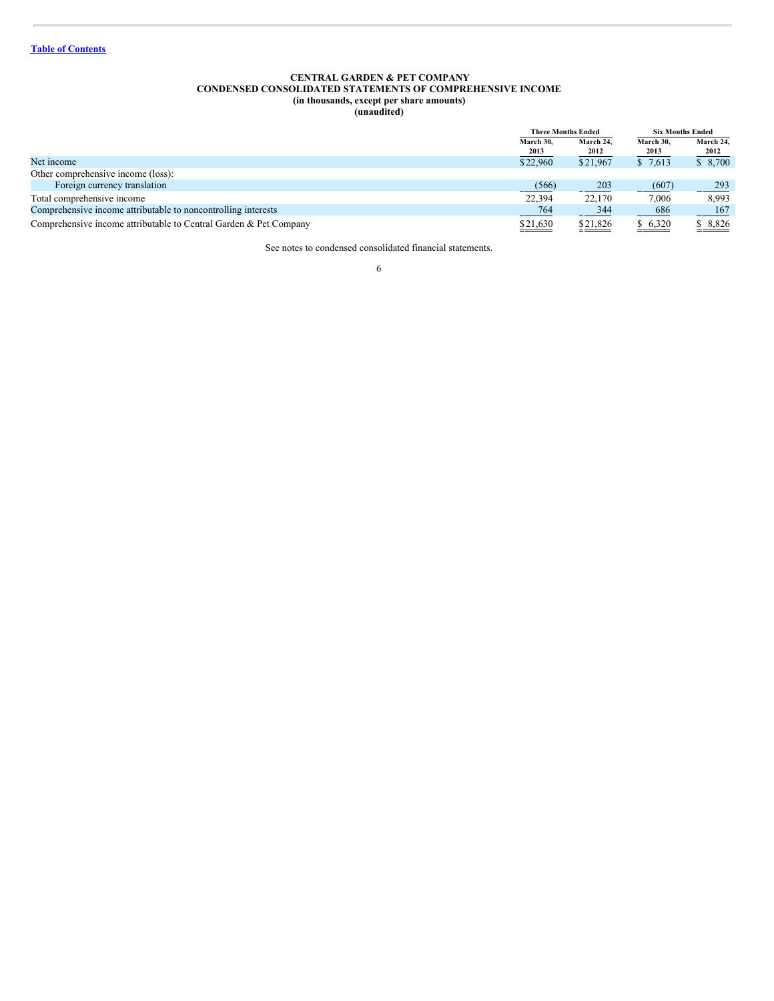#### <span id="page-5-0"></span>**CENTRAL GARDEN & PET COMPANY CONDENSED CONSOLIDATED STATEMENTS OF COMPREHENSIVE INCOME (in thousands, except per share amounts) (unaudited)**

|                                                                   |                          | <b>Three Months Ended</b> | <b>Six Months Ended</b> |                   |  |
|-------------------------------------------------------------------|--------------------------|---------------------------|-------------------------|-------------------|--|
|                                                                   | March 30,<br><u>2013</u> | March 24,<br>2012         | March 30,<br>2013       | March 24,<br>2012 |  |
| Net income                                                        | \$22,960                 | \$21.967                  | \$7,613                 | \$8,700           |  |
| Other comprehensive income (loss):                                |                          |                           |                         |                   |  |
| Foreign currency translation                                      | (566)                    | 203                       | (607)                   | 293               |  |
| Total comprehensive income                                        | 22.394                   | 22,170                    | 7,006                   | 8,993             |  |
| Comprehensive income attributable to noncontrolling interests     | 764                      | 344                       | 686                     | 167               |  |
| Comprehensive income attributable to Central Garden & Pet Company | \$21,630                 | \$21,826                  | \$6,320                 | \$8,826           |  |

See notes to condensed consolidated financial statements.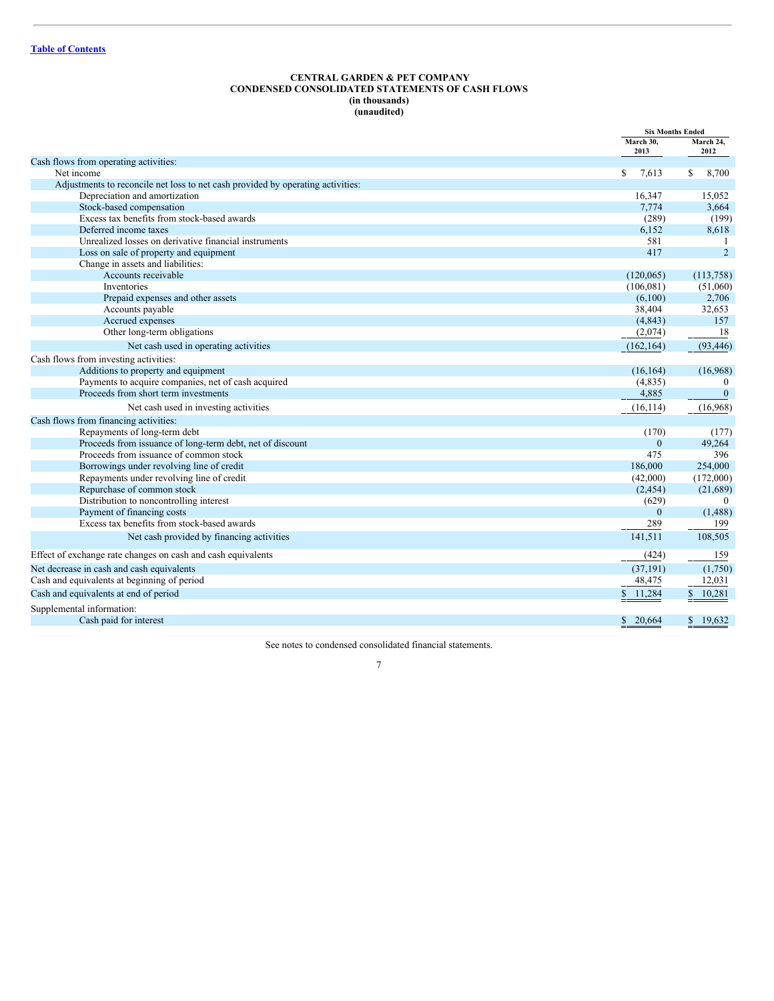#### <span id="page-6-0"></span>**CENTRAL GARDEN & PET COMPANY CONDENSED CONSOLIDATED STATEMENTS OF CASH FLOWS (in thousands) (unaudited)**

|                                                                                 |                   | <b>Six Months Ended</b> |
|---------------------------------------------------------------------------------|-------------------|-------------------------|
|                                                                                 | March 30,<br>2013 | March 24,<br>2012       |
| Cash flows from operating activities:                                           |                   |                         |
| Net income                                                                      | S.<br>7.613       | 8,700<br>S              |
| Adjustments to reconcile net loss to net cash provided by operating activities: |                   |                         |
| Depreciation and amortization                                                   | 16,347            | 15,052                  |
| Stock-based compensation                                                        | 7,774             | 3,664                   |
| Excess tax benefits from stock-based awards                                     | (289)             | (199)                   |
| Deferred income taxes                                                           | 6,152             | 8,618                   |
| Unrealized losses on derivative financial instruments                           | 581               | -1                      |
| Loss on sale of property and equipment                                          | 417               | 2                       |
| Change in assets and liabilities:                                               |                   |                         |
| Accounts receivable                                                             | (120,065)         | (113,758)               |
| Inventories                                                                     | (106, 081)        | (51,060)                |
| Prepaid expenses and other assets                                               | (6,100)           | 2,706                   |
| Accounts payable                                                                | 38,404            | 32,653                  |
| Accrued expenses                                                                | (4, 843)          | 157                     |
| Other long-term obligations                                                     | (2,074)           | 18                      |
| Net cash used in operating activities                                           | (162, 164)        | (93, 446)               |
| Cash flows from investing activities:                                           |                   |                         |
| Additions to property and equipment                                             | (16, 164)         | (16,968)                |
| Payments to acquire companies, net of cash acquired                             | (4,835)           | $\mathbf{0}$            |
| Proceeds from short term investments                                            | 4,885             | $\mathbf{0}$            |
| Net cash used in investing activities                                           | (16, 114)         | (16,968)                |
| Cash flows from financing activities:                                           |                   |                         |
| Repayments of long-term debt                                                    | (170)             | (177)                   |
| Proceeds from issuance of long-term debt, net of discount                       | $\mathbf{0}$      | 49,264                  |
| Proceeds from issuance of common stock                                          | 475               | 396                     |
| Borrowings under revolving line of credit                                       | 186,000           | 254,000                 |
| Repayments under revolving line of credit                                       | (42,000)          | (172,000)               |
| Repurchase of common stock                                                      | (2, 454)          | (21,689)                |
| Distribution to noncontrolling interest                                         | (629)             | $\mathbf{0}$            |
| Payment of financing costs                                                      | $\mathbf{0}$      | (1, 488)                |
| Excess tax benefits from stock-based awards                                     | 289               | 199                     |
| Net cash provided by financing activities                                       | 141,511           | 108,505                 |
| Effect of exchange rate changes on cash and cash equivalents                    | (424)             | 159                     |
| Net decrease in cash and cash equivalents                                       | (37, 191)         | (1,750)                 |
| Cash and equivalents at beginning of period                                     | 48,475            | 12,031                  |
| Cash and equivalents at end of period                                           | \$11,284          | \$10,281                |
| Supplemental information:                                                       |                   |                         |
| Cash paid for interest                                                          | \$20,664          | \$19,632                |

See notes to condensed consolidated financial statements.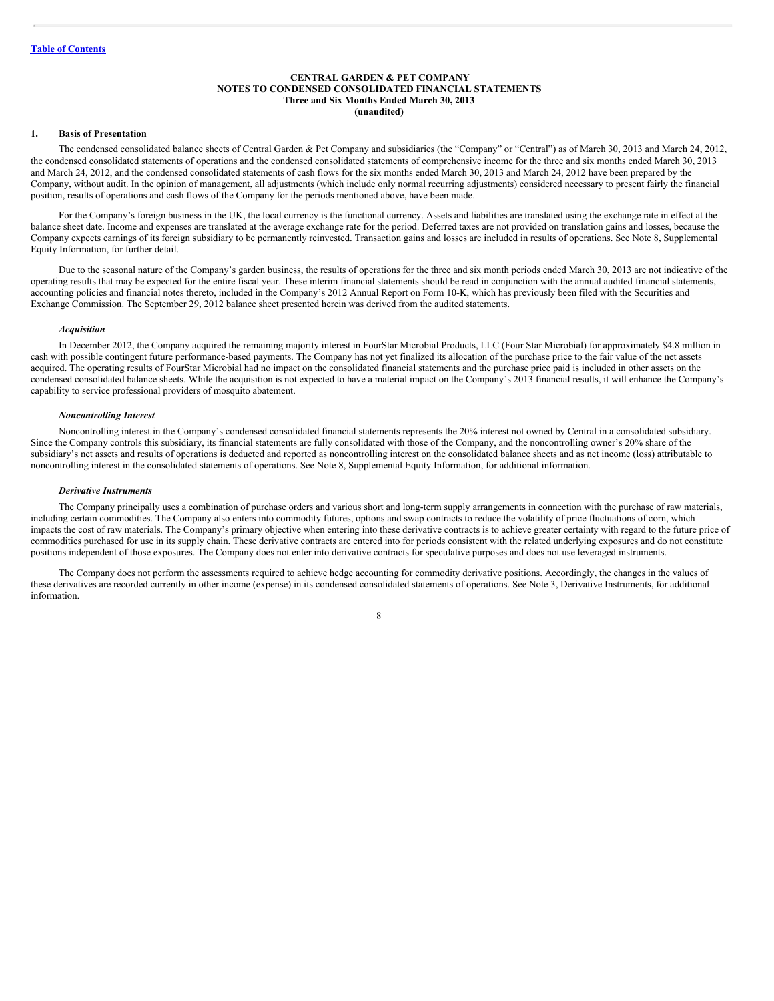#### <span id="page-7-0"></span>**CENTRAL GARDEN & PET COMPANY NOTES TO CONDENSED CONSOLIDATED FINANCIAL STATEMENTS Three and Six Months Ended March 30, 2013 (unaudited)**

#### **1. Basis of Presentation**

The condensed consolidated balance sheets of Central Garden & Pet Company and subsidiaries (the "Company" or "Central") as of March 30, 2013 and March 24, 2012, the condensed consolidated statements of operations and the condensed consolidated statements of comprehensive income for the three and six months ended March 30, 2013 and March 24, 2012, and the condensed consolidated statements of cash flows for the six months ended March 30, 2013 and March 24, 2012 have been prepared by the Company, without audit. In the opinion of management, all adjustments (which include only normal recurring adjustments) considered necessary to present fairly the financial position, results of operations and cash flows of the Company for the periods mentioned above, have been made.

For the Company's foreign business in the UK, the local currency is the functional currency. Assets and liabilities are translated using the exchange rate in effect at the balance sheet date. Income and expenses are translated at the average exchange rate for the period. Deferred taxes are not provided on translation gains and losses, because the Company expects earnings of its foreign subsidiary to be permanently reinvested. Transaction gains and losses are included in results of operations. See Note 8, Supplemental Equity Information, for further detail.

Due to the seasonal nature of the Company's garden business, the results of operations for the three and six month periods ended March 30, 2013 are not indicative of the operating results that may be expected for the entire fiscal year. These interim financial statements should be read in conjunction with the annual audited financial statements, accounting policies and financial notes thereto, included in the Company's 2012 Annual Report on Form 10-K, which has previously been filed with the Securities and Exchange Commission. The September 29, 2012 balance sheet presented herein was derived from the audited statements.

#### *Acquisition*

In December 2012, the Company acquired the remaining majority interest in FourStar Microbial Products, LLC (Four Star Microbial) for approximately \$4.8 million in cash with possible contingent future performance-based payments. The Company has not yet finalized its allocation of the purchase price to the fair value of the net assets acquired. The operating results of FourStar Microbial had no impact on the consolidated financial statements and the purchase price paid is included in other assets on the condensed consolidated balance sheets. While the acquisition is not expected to have a material impact on the Company's 2013 financial results, it will enhance the Company's capability to service professional providers of mosquito abatement.

#### *Noncontrolling Interest*

Noncontrolling interest in the Company's condensed consolidated financial statements represents the 20% interest not owned by Central in a consolidated subsidiary. Since the Company controls this subsidiary, its financial statements are fully consolidated with those of the Company, and the noncontrolling owner's 20% share of the subsidiary's net assets and results of operations is deducted and reported as noncontrolling interest on the consolidated balance sheets and as net income (loss) attributable to noncontrolling interest in the consolidated statements of operations. See Note 8, Supplemental Equity Information, for additional information.

#### *Derivative Instruments*

The Company principally uses a combination of purchase orders and various short and long-term supply arrangements in connection with the purchase of raw materials, including certain commodities. The Company also enters into commodity futures, options and swap contracts to reduce the volatility of price fluctuations of corn, which impacts the cost of raw materials. The Company's primary objective when entering into these derivative contracts is to achieve greater certainty with regard to the future price of commodities purchased for use in its supply chain. These derivative contracts are entered into for periods consistent with the related underlying exposures and do not constitute positions independent of those exposures. The Company does not enter into derivative contracts for speculative purposes and does not use leveraged instruments.

The Company does not perform the assessments required to achieve hedge accounting for commodity derivative positions. Accordingly, the changes in the values of these derivatives are recorded currently in other income (expense) in its condensed consolidated statements of operations. See Note 3, Derivative Instruments, for additional information.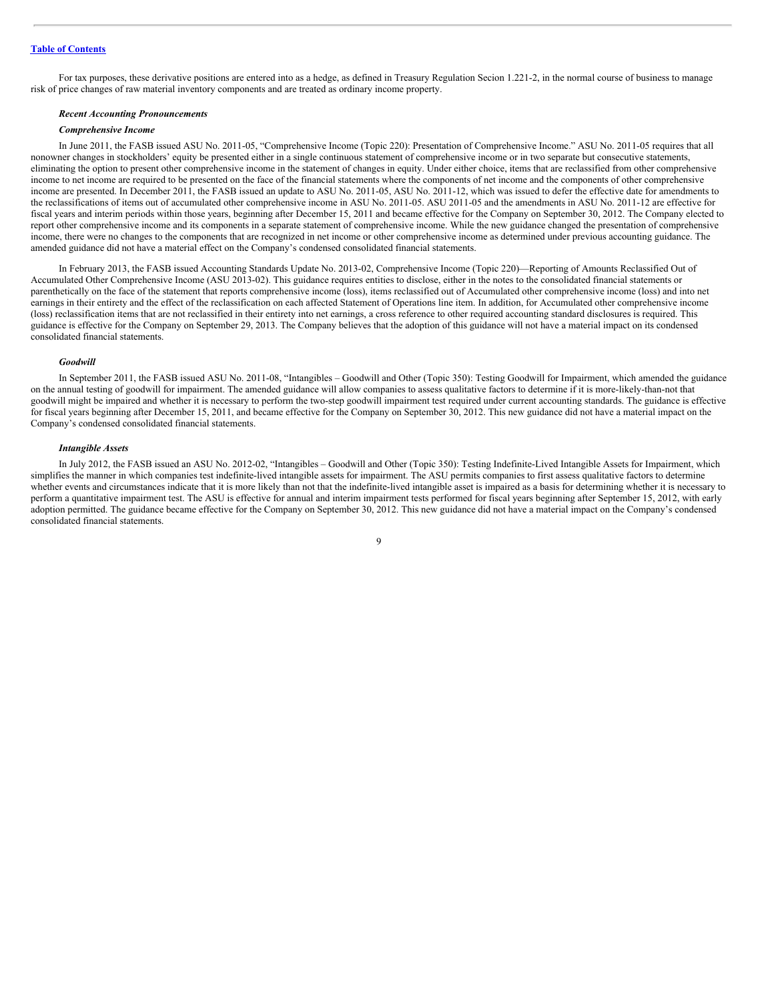For tax purposes, these derivative positions are entered into as a hedge, as defined in Treasury Regulation Secion 1.221-2, in the normal course of business to manage risk of price changes of raw material inventory components and are treated as ordinary income property.

#### *Recent Accounting Pronouncements*

#### *Comprehensive Income*

In June 2011, the FASB issued ASU No. 2011-05, "Comprehensive Income (Topic 220): Presentation of Comprehensive Income." ASU No. 2011-05 requires that all nonowner changes in stockholders' equity be presented either in a single continuous statement of comprehensive income or in two separate but consecutive statements, eliminating the option to present other comprehensive income in the statement of changes in equity. Under either choice, items that are reclassified from other comprehensive income to net income are required to be presented on the face of the financial statements where the components of net income and the components of other comprehensive income are presented. In December 2011, the FASB issued an update to ASU No. 2011-05, ASU No. 2011-12, which was issued to defer the effective date for amendments to the reclassifications of items out of accumulated other comprehensive income in ASU No. 2011-05. ASU 2011-05 and the amendments in ASU No. 2011-12 are effective for fiscal years and interim periods within those years, beginning after December 15, 2011 and became effective for the Company on September 30, 2012. The Company elected to report other comprehensive income and its components in a separate statement of comprehensive income. While the new guidance changed the presentation of comprehensive income, there were no changes to the components that are recognized in net income or other comprehensive income as determined under previous accounting guidance. The amended guidance did not have a material effect on the Company's condensed consolidated financial statements.

In February 2013, the FASB issued Accounting Standards Update No. 2013-02, Comprehensive Income (Topic 220)—Reporting of Amounts Reclassified Out of Accumulated Other Comprehensive Income (ASU 2013-02). This guidance requires entities to disclose, either in the notes to the consolidated financial statements or parenthetically on the face of the statement that reports comprehensive income (loss), items reclassified out of Accumulated other comprehensive income (loss) and into net earnings in their entirety and the effect of the reclassification on each affected Statement of Operations line item. In addition, for Accumulated other comprehensive income (loss) reclassification items that are not reclassified in their entirety into net earnings, a cross reference to other required accounting standard disclosures is required. This guidance is effective for the Company on September 29, 2013. The Company believes that the adoption of this guidance will not have a material impact on its condensed consolidated financial statements.

#### *Goodwill*

In September 2011, the FASB issued ASU No. 2011-08, "Intangibles – Goodwill and Other (Topic 350): Testing Goodwill for Impairment, which amended the guidance on the annual testing of goodwill for impairment. The amended guidance will allow companies to assess qualitative factors to determine if it is more-likely-than-not that goodwill might be impaired and whether it is necessary to perform the two-step goodwill impairment test required under current accounting standards. The guidance is effective for fiscal years beginning after December 15, 2011, and became effective for the Company on September 30, 2012. This new guidance did not have a material impact on the Company's condensed consolidated financial statements.

#### *Intangible Assets*

In July 2012, the FASB issued an ASU No. 2012-02, "Intangibles – Goodwill and Other (Topic 350): Testing Indefinite-Lived Intangible Assets for Impairment, which simplifies the manner in which companies test indefinite-lived intangible assets for impairment. The ASU permits companies to first assess qualitative factors to determine whether events and circumstances indicate that it is more likely than not that the indefinite-lived intangible asset is impaired as a basis for determining whether it is necessary to perform a quantitative impairment test. The ASU is effective for annual and interim impairment tests performed for fiscal years beginning after September 15, 2012, with early adoption permitted. The guidance became effective for the Company on September 30, 2012. This new guidance did not have a material impact on the Company's condensed consolidated financial statements.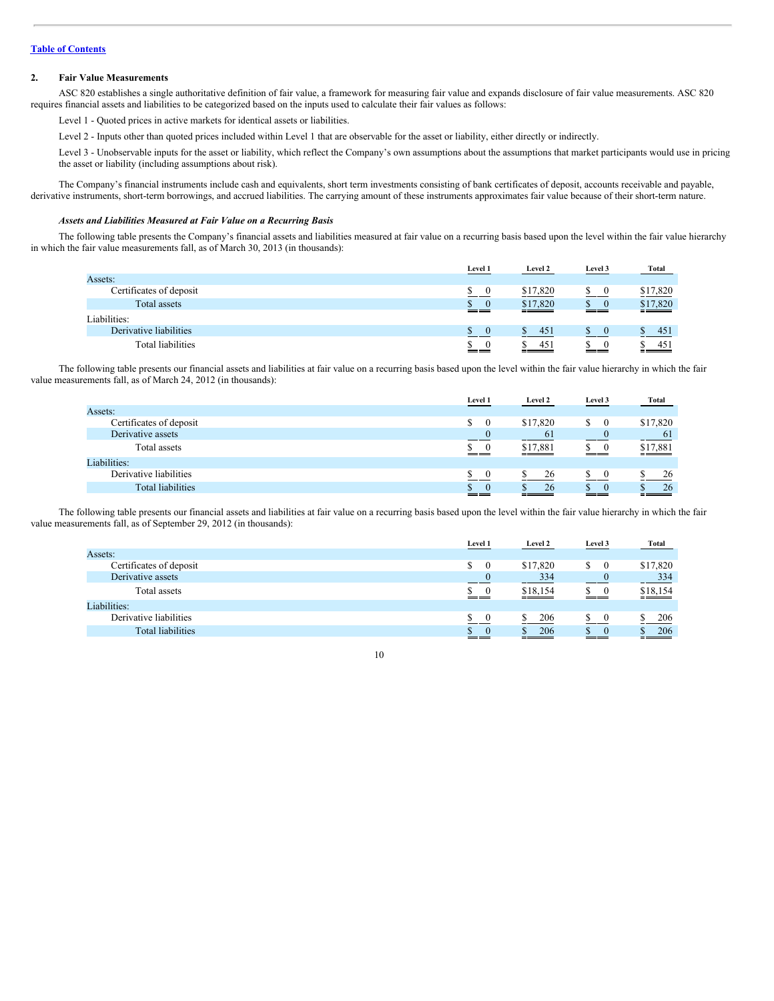#### **2. Fair Value Measurements**

ASC 820 establishes a single authoritative definition of fair value, a framework for measuring fair value and expands disclosure of fair value measurements. ASC 820 requires financial assets and liabilities to be categorized based on the inputs used to calculate their fair values as follows:

Level 1 - Quoted prices in active markets for identical assets or liabilities.

Level 2 - Inputs other than quoted prices included within Level 1 that are observable for the asset or liability, either directly or indirectly.

Level 3 - Unobservable inputs for the asset or liability, which reflect the Company's own assumptions about the assumptions that market participants would use in pricing the asset or liability (including assumptions about risk).

The Company's financial instruments include cash and equivalents, short term investments consisting of bank certificates of deposit, accounts receivable and payable, derivative instruments, short-term borrowings, and accrued liabilities. The carrying amount of these instruments approximates fair value because of their short-term nature.

#### *Assets and Liabilities Measured at Fair Value on a Recurring Basis*

The following table presents the Company's financial assets and liabilities measured at fair value on a recurring basis based upon the level within the fair value hierarchy in which the fair value measurements fall, as of March 30, 2013 (in thousands):

|                         | Level 1            | Level 2   | Level 3                                                    | <b>Total</b> |
|-------------------------|--------------------|-----------|------------------------------------------------------------|--------------|
| Assets:                 |                    |           |                                                            |              |
| Certificates of deposit | \$<br>$\mathbf{0}$ | \$17,820  | $\begin{bmatrix} 0 \\ 0 \end{bmatrix}$                     | \$17,820     |
| Total assets            | - 0                | \$17,820  | $\underline{\underline{\$} \underline{\hspace{0.05cm} 0}}$ | \$17,820     |
| Liabilities:            |                    |           |                                                            |              |
| Derivative liabilities  | -0                 | 451<br>S. | S.                                                         | 451          |
| Total liabilities       | $\bf{0}$           | 451       | S.<br>$\theta$                                             | 451          |

The following table presents our financial assets and liabilities at fair value on a recurring basis based upon the level within the fair value hierarchy in which the fair value measurements fall, as of March 24, 2012 (in thousands):

|                          | Level 1 | <b>Level 2</b> | Level 3                             | <b>Total</b> |
|--------------------------|---------|----------------|-------------------------------------|--------------|
| Assets:                  |         |                |                                     |              |
| Certificates of deposit  | S<br>-0 | \$17,820       | \$<br>$\overline{0}$                | \$17,820     |
| Derivative assets        |         | 61             |                                     | 61           |
| Total assets             |         | \$17,881       | $\begin{matrix} S & 0 \end{matrix}$ | \$17,881     |
| Liabilities:             |         |                |                                     |              |
| Derivative liabilities   |         | 26             | -0                                  | 26           |
| <b>Total liabilities</b> |         | 26             |                                     | 26           |

The following table presents our financial assets and liabilities at fair value on a recurring basis based upon the level within the fair value hierarchy in which the fair value measurements fall, as of September 29, 2012 (in thousands):

|                          | Level 1              | <b>Level 2</b>  | Level 3  | <b>Total</b>    |
|--------------------------|----------------------|-----------------|----------|-----------------|
| Assets:                  |                      |                 |          |                 |
| Certificates of deposit  | \$<br>$\overline{0}$ | \$17,820        | S.<br>-0 | \$17,820        |
| Derivative assets        |                      | $\frac{334}{ }$ |          | $\frac{334}{ }$ |
| Total assets             |                      | \$18,154        | -0<br>__ | \$18,154        |
| Liabilities:             |                      |                 |          |                 |
| Derivative liabilities   |                      | 206             |          | 206             |
| <b>Total liabilities</b> |                      | 206             | S        | 206             |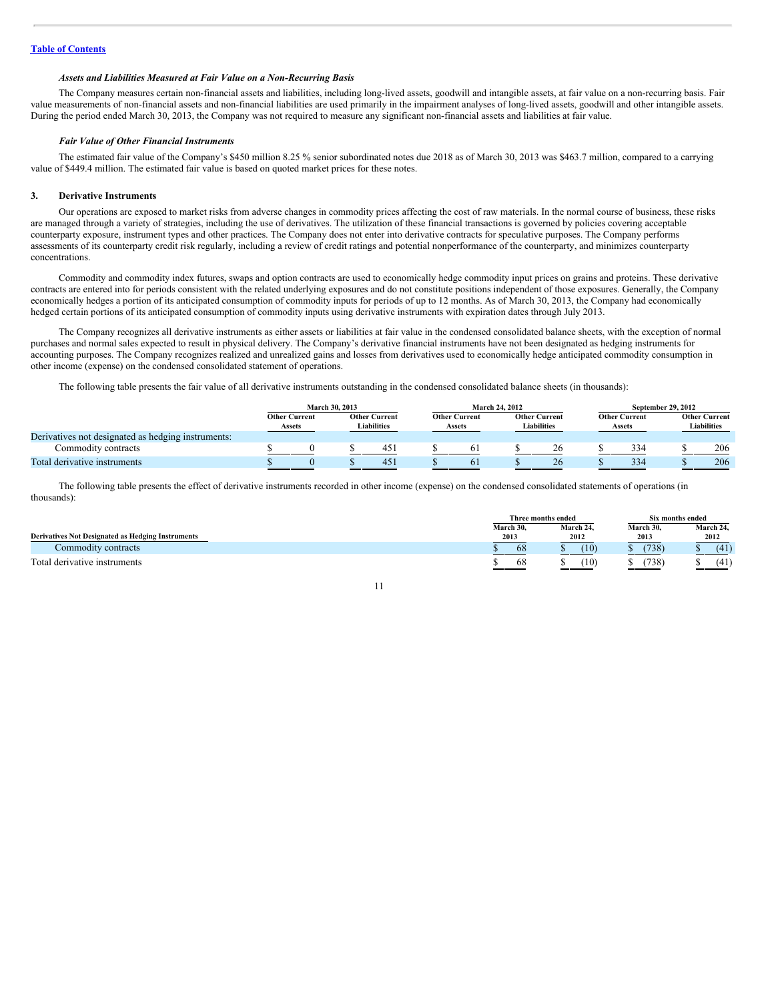## *Assets and Liabilities Measured at Fair Value on a Non-Recurring Basis*

The Company measures certain non-financial assets and liabilities, including long-lived assets, goodwill and intangible assets, at fair value on a non-recurring basis. Fair value measurements of non-financial assets and non-financial liabilities are used primarily in the impairment analyses of long-lived assets, goodwill and other intangible assets. During the period ended March 30, 2013, the Company was not required to measure any significant non-financial assets and liabilities at fair value.

#### *Fair Value of Other Financial Instruments*

The estimated fair value of the Company's \$450 million 8.25 % senior subordinated notes due 2018 as of March 30, 2013 was \$463.7 million, compared to a carrying value of \$449.4 million. The estimated fair value is based on quoted market prices for these notes.

#### **3. Derivative Instruments**

Our operations are exposed to market risks from adverse changes in commodity prices affecting the cost of raw materials. In the normal course of business, these risks are managed through a variety of strategies, including the use of derivatives. The utilization of these financial transactions is governed by policies covering acceptable counterparty exposure, instrument types and other practices. The Company does not enter into derivative contracts for speculative purposes. The Company performs assessments of its counterparty credit risk regularly, including a review of credit ratings and potential nonperformance of the counterparty, and minimizes counterparty concentrations.

Commodity and commodity index futures, swaps and option contracts are used to economically hedge commodity input prices on grains and proteins. These derivative contracts are entered into for periods consistent with the related underlying exposures and do not constitute positions independent of those exposures. Generally, the Company economically hedges a portion of its anticipated consumption of commodity inputs for periods of up to 12 months. As of March 30, 2013, the Company had economically hedged certain portions of its anticipated consumption of commodity inputs using derivative instruments with expiration dates through July 2013.

The Company recognizes all derivative instruments as either assets or liabilities at fair value in the condensed consolidated balance sheets, with the exception of normal purchases and normal sales expected to result in physical delivery. The Company's derivative financial instruments have not been designated as hedging instruments for accounting purposes. The Company recognizes realized and unrealized gains and losses from derivatives used to economically hedge anticipated commodity consumption in other income (expense) on the condensed consolidated statement of operations.

The following table presents the fair value of all derivative instruments outstanding in the condensed consolidated balance sheets (in thousands):

|                                                    | <b>March 30, 2013</b>          |  |                                            |                                | <b>March 24, 2012</b> |                                            | September 29, 2012 |                                       |  |                                            |
|----------------------------------------------------|--------------------------------|--|--------------------------------------------|--------------------------------|-----------------------|--------------------------------------------|--------------------|---------------------------------------|--|--------------------------------------------|
|                                                    | <b>Other Current</b><br>Assets |  | <b>Other Current</b><br><b>Liabilities</b> | <b>Other Current</b><br>Assets |                       | <b>Other Current</b><br><b>Liabilities</b> |                    | <b>Other Current</b><br><b>Assets</b> |  | <b>Other Current</b><br><b>Liabilities</b> |
| Derivatives not designated as hedging instruments: |                                |  |                                            |                                |                       |                                            |                    |                                       |  |                                            |
| Commodity contracts                                |                                |  | 45.                                        |                                |                       | 26                                         |                    | 334                                   |  | 206                                        |
| Total derivative instruments                       |                                |  | 451                                        | 61                             |                       | 26                                         |                    | 334                                   |  | 206                                        |

The following table presents the effect of derivative instruments recorded in other income (expense) on the condensed consolidated statements of operations (in thousands):

|                                                          |           | Three months ended |           | Six months ended |  |  |
|----------------------------------------------------------|-----------|--------------------|-----------|------------------|--|--|
|                                                          | March 30. | March 24,          | March 30, | March 24,        |  |  |
| <b>Derivatives Not Designated as Hedging Instruments</b> | 2013      | 2012               | 2013      | 2012             |  |  |
| Commodity contracts                                      | 68        | (10)               | (738)     | (41)             |  |  |
| Total derivative instruments                             | 68        | (10)               | (738)     | (41)             |  |  |

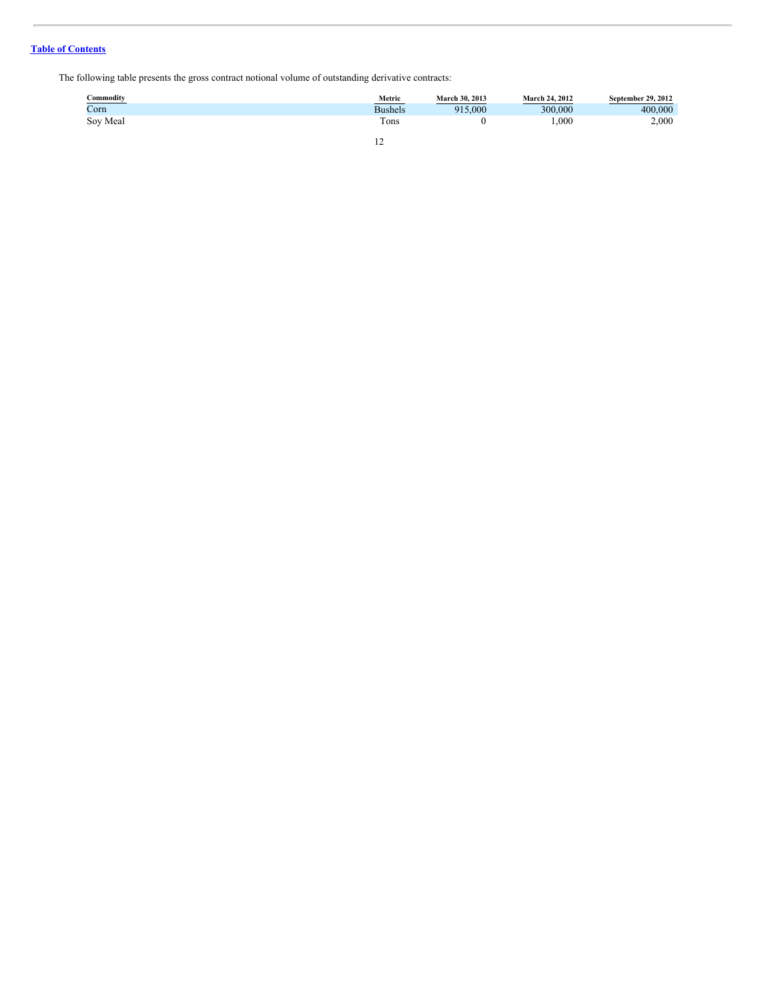The following table presents the gross contract notional volume of outstanding derivative contracts:

| Commodity | Metric         | March 30, 2013 | March 24, 2012 | September 29, 2012 |
|-----------|----------------|----------------|----------------|--------------------|
| Corn      | <b>Bushels</b> | 915,000        | 300,000        | 400,000            |
| Soy Meal  | Tons           |                | .000           | 2,000              |
|           |                |                |                |                    |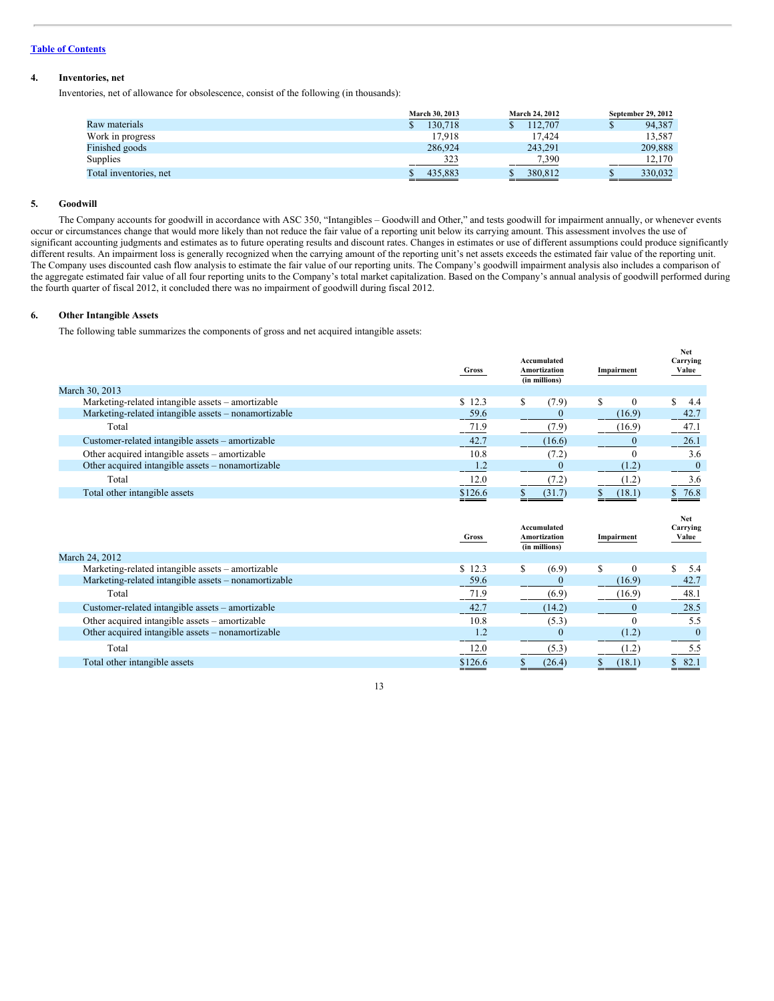#### **4. Inventories, net**

Inventories, net of allowance for obsolescence, consist of the following (in thousands):

|                        | March 30, 2013 | March 24, 2012 | September 29, 2012 |
|------------------------|----------------|----------------|--------------------|
| Raw materials          | 130.718        | 12.707         | 94.387             |
| Work in progress       | 17.918         | 17.424         | 13,587             |
| Finished goods         | 286,924        | 243,291        | 209,888            |
| Supplies               | 323            | 7,390          | 12,170             |
| Total inventories, net | 435,883        | 380,812        | 330,032            |

#### **5. Goodwill**

The Company accounts for goodwill in accordance with ASC 350, "Intangibles – Goodwill and Other," and tests goodwill for impairment annually, or whenever events occur or circumstances change that would more likely than not reduce the fair value of a reporting unit below its carrying amount. This assessment involves the use of significant accounting judgments and estimates as to future operating results and discount rates. Changes in estimates or use of different assumptions could produce significantly different results. An impairment loss is generally recognized when the carrying amount of the reporting unit's net assets exceeds the estimated fair value of the reporting unit. The Company uses discounted cash flow analysis to estimate the fair value of our reporting units. The Company's goodwill impairment analysis also includes a comparison of the aggregate estimated fair value of all four reporting units to the Company's total market capitalization. Based on the Company's annual analysis of goodwill performed during the fourth quarter of fiscal 2012, it concluded there was no impairment of goodwill during fiscal 2012.

#### **6. Other Intangible Assets**

The following table summarizes the components of gross and net acquired intangible assets:

|                                                      | Gross       | Accumulated<br><b>Amortization</b><br>(in millions) | Impairment | Carrying<br>Value |
|------------------------------------------------------|-------------|-----------------------------------------------------|------------|-------------------|
| March 30, 2013                                       |             |                                                     |            |                   |
| Marketing-related intangible assets – amortizable    | \$12.3      | (7.9)                                               | 0          | 4.4               |
| Marketing-related intangible assets – nonamortizable | <u>59.6</u> |                                                     | (16.9)     | 42.7              |
| Total                                                | 71.9        | (7.9)                                               | (16.9)     | 47.1              |
| Customer-related intangible assets – amortizable     | 42.7        | (16.6)                                              |            | 26.1              |
| Other acquired intangible assets – amortizable       | 10.8        | (7.2)                                               |            | 3.6               |
| Other acquired intangible assets – nonamortizable    |             |                                                     | (1.2)      |                   |
| Total                                                | 12.0        | 7.2                                                 | (1.2)      | 3.6               |
| Total other intangible assets                        | \$126.6     | (31.7)                                              | (18.1)     | 76.8              |

**Net**

|                                                      | Gross         | Accumulated<br><b>Amortization</b><br>(in millions) | Impairment | <b>Net</b><br>Carrying<br>Value |
|------------------------------------------------------|---------------|-----------------------------------------------------|------------|---------------------------------|
| March 24, 2012                                       |               |                                                     |            |                                 |
| Marketing-related intangible assets – amortizable    | \$12.3        | (6.9)                                               | $\sqrt{ }$ | 5.4                             |
| Marketing-related intangible assets – nonamortizable | <u>59.6</u>   |                                                     | (16.9)     | 42.7                            |
| Total                                                | 71.9          | (6.9)                                               | (16.9)     | 48.1                            |
| Customer-related intangible assets – amortizable     | 42.7          | (14.2)                                              |            | 28.5                            |
| Other acquired intangible assets – amortizable       | 10.8          | (5.3)                                               |            | 5.5                             |
| Other acquired intangible assets – nonamortizable    | 1.2           |                                                     | (1.2)      |                                 |
| Total                                                | 12.0          | (5.3)                                               | (1.2)      | 5.5                             |
| Total other intangible assets                        | \$126.6<br>__ | (26.4)                                              | (18.1)     | 82.1                            |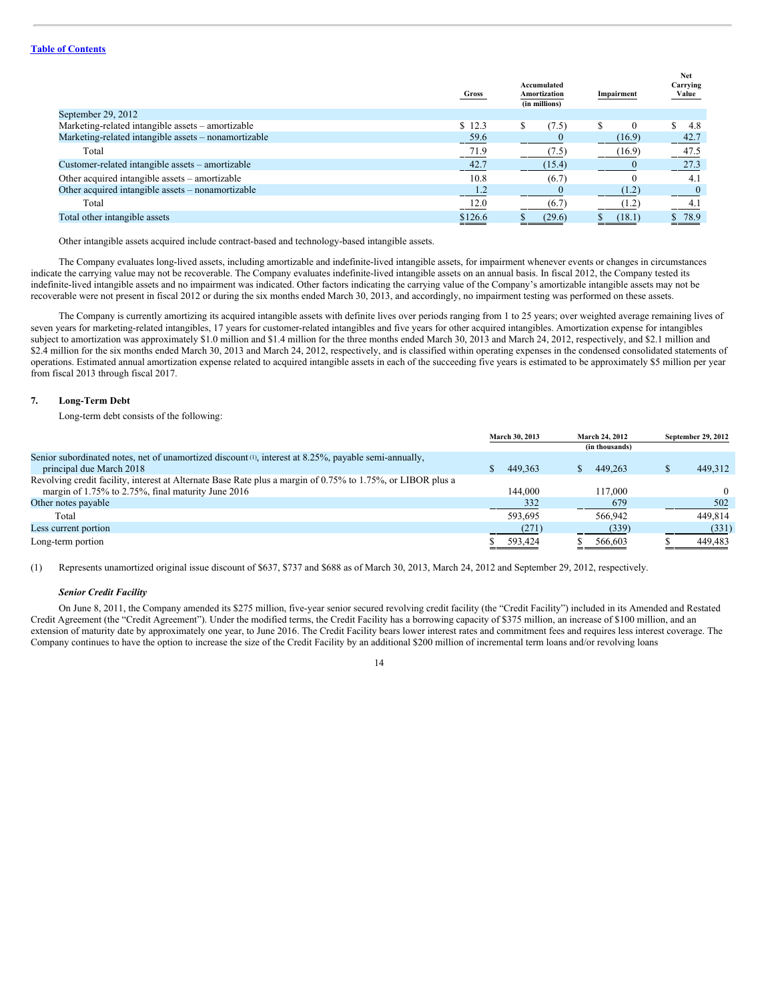|                                                      | Gross       | Accumulated<br>Amortization<br>(in millions) | Impairment | Net<br>Carrying<br>Value |
|------------------------------------------------------|-------------|----------------------------------------------|------------|--------------------------|
| September 29, 2012                                   |             |                                              |            |                          |
| Marketing-related intangible assets - amortizable    | \$12.3      | (7.5)                                        |            | 4.8                      |
| Marketing-related intangible assets – nonamortizable | 59.6        |                                              | (16.9)     | 42.7                     |
| Total                                                | <u>71.9</u> | (7.5)                                        | (16.9)     | 47.5                     |
| Customer-related intangible assets – amortizable     | 42.7        | (15.4)                                       |            | 27.3                     |
| Other acquired intangible assets – amortizable       | 10.8        | (6.7)                                        |            | 4.1                      |
| Other acquired intangible assets – nonamortizable    | 1.2         |                                              | (1.2)      |                          |
| Total                                                | 12.0        | (6.7)                                        | (1.2)      | 4.1                      |
| Total other intangible assets                        | \$126.6     | (29.6)                                       | (18.1)     | \$78.9                   |
|                                                      |             |                                              |            |                          |

Other intangible assets acquired include contract-based and technology-based intangible assets.

The Company evaluates long-lived assets, including amortizable and indefinite-lived intangible assets, for impairment whenever events or changes in circumstances indicate the carrying value may not be recoverable. The Company evaluates indefinite-lived intangible assets on an annual basis. In fiscal 2012, the Company tested its indefinite-lived intangible assets and no impairment was indicated. Other factors indicating the carrying value of the Company's amortizable intangible assets may not be recoverable were not present in fiscal 2012 or during the six months ended March 30, 2013, and accordingly, no impairment testing was performed on these assets.

The Company is currently amortizing its acquired intangible assets with definite lives over periods ranging from 1 to 25 years; over weighted average remaining lives of seven years for marketing-related intangibles, 17 years for customer-related intangibles and five years for other acquired intangibles. Amortization expense for intangibles subject to amortization was approximately \$1.0 million and \$1.4 million for the three months ended March 30, 2013 and March 24, 2012, respectively, and \$2.1 million and \$2.4 million for the six months ended March 30, 2013 and March 24, 2012, respectively, and is classified within operating expenses in the condensed consolidated statements of operations. Estimated annual amortization expense related to acquired intangible assets in each of the succeeding five years is estimated to be approximately \$5 million per year from fiscal 2013 through fiscal 2017.

#### **7. Long-Term Debt**

Long-term debt consists of the following:

|                                                                                                                                   | March 30, 2013 | <b>March 24, 2012</b> | September 29, 2012 |
|-----------------------------------------------------------------------------------------------------------------------------------|----------------|-----------------------|--------------------|
|                                                                                                                                   |                | (in thousands)        |                    |
| Senior subordinated notes, net of unamortized discount (1), interest at 8.25%, payable semi-annually,<br>principal due March 2018 | 449.363        | 449.263               | 449.312            |
| Revolving credit facility, interest at Alternate Base Rate plus a margin of 0.75% to 1.75%, or LIBOR plus a                       |                |                       |                    |
| margin of $1.75\%$ to $2.75\%$ , final maturity June 2016                                                                         | 144.000        | 117,000               | 0                  |
| Other notes payable                                                                                                               | 332            | 679                   | 502                |
| Total                                                                                                                             | 593.695        | 566,942               | 449,814            |
| Less current portion                                                                                                              | (271)          | (339)                 | (331)              |
| Long-term portion                                                                                                                 | 593,424        | 566,603               | 449,483            |

(1) Represents unamortized original issue discount of \$637, \$737 and \$688 as of March 30, 2013, March 24, 2012 and September 29, 2012, respectively.

#### *Senior Credit Facility*

On June 8, 2011, the Company amended its \$275 million, five-year senior secured revolving credit facility (the "Credit Facility") included in its Amended and Restated Credit Agreement (the "Credit Agreement"). Under the modified terms, the Credit Facility has a borrowing capacity of \$375 million, an increase of \$100 million, and an extension of maturity date by approximately one year, to June 2016. The Credit Facility bears lower interest rates and commitment fees and requires less interest coverage. The Company continues to have the option to increase the size of the Credit Facility by an additional \$200 million of incremental term loans and/or revolving loans

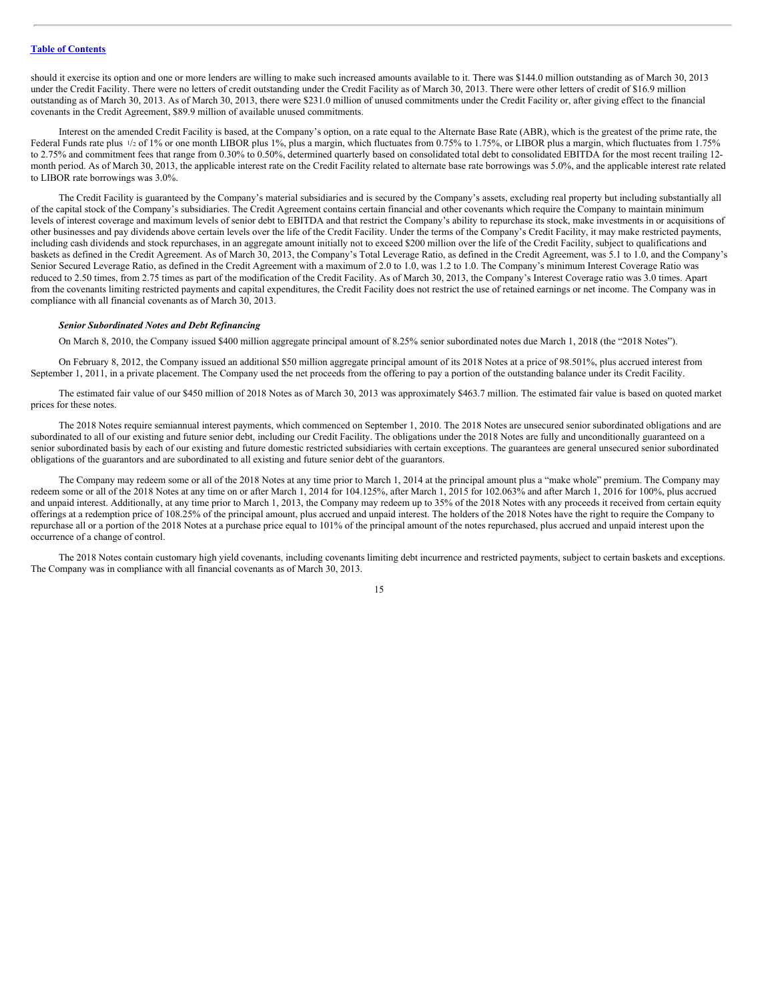should it exercise its option and one or more lenders are willing to make such increased amounts available to it. There was \$144.0 million outstanding as of March 30, 2013 under the Credit Facility. There were no letters of credit outstanding under the Credit Facility as of March 30, 2013. There were other letters of credit of \$16.9 million outstanding as of March 30, 2013. As of March 30, 2013, there were \$231.0 million of unused commitments under the Credit Facility or, after giving effect to the financial covenants in the Credit Agreement, \$89.9 million of available unused commitments.

Interest on the amended Credit Facility is based, at the Company's option, on a rate equal to the Alternate Base Rate (ABR), which is the greatest of the prime rate, the Federal Funds rate plus  $\frac{1}{2}$  of 1% or one month LIBOR plus 1%, plus a margin, which fluctuates from 0.75% to 1.75%, or LIBOR plus a margin, which fluctuates from 1.75% to 2.75% and commitment fees that range from 0.30% to 0.50%, determined quarterly based on consolidated total debt to consolidated EBITDA for the most recent trailing 12month period. As of March 30, 2013, the applicable interest rate on the Credit Facility related to alternate base rate borrowings was 5.0%, and the applicable interest rate related to LIBOR rate borrowings was 3.0%.

The Credit Facility is guaranteed by the Company's material subsidiaries and is secured by the Company's assets, excluding real property but including substantially all of the capital stock of the Company's subsidiaries. The Credit Agreement contains certain financial and other covenants which require the Company to maintain minimum levels of interest coverage and maximum levels of senior debt to EBITDA and that restrict the Company's ability to repurchase its stock, make investments in or acquisitions of other businesses and pay dividends above certain levels over the life of the Credit Facility. Under the terms of the Company's Credit Facility, it may make restricted payments, including cash dividends and stock repurchases, in an aggregate amount initially not to exceed \$200 million over the life of the Credit Facility, subject to qualifications and baskets as defined in the Credit Agreement. As of March 30, 2013, the Company's Total Leverage Ratio, as defined in the Credit Agreement, was 5.1 to 1.0, and the Company's Senior Secured Leverage Ratio, as defined in the Credit Agreement with a maximum of 2.0 to 1.0, was 1.2 to 1.0. The Company's minimum Interest Coverage Ratio was reduced to 2.50 times, from 2.75 times as part of the modification of the Credit Facility. As of March 30, 2013, the Company's Interest Coverage ratio was 3.0 times. Apart from the covenants limiting restricted payments and capital expenditures, the Credit Facility does not restrict the use of retained earnings or net income. The Company was in compliance with all financial covenants as of March 30, 2013.

#### *Senior Subordinated Notes and Debt Refinancing*

On March 8, 2010, the Company issued \$400 million aggregate principal amount of 8.25% senior subordinated notes due March 1, 2018 (the "2018 Notes").

On February 8, 2012, the Company issued an additional \$50 million aggregate principal amount of its 2018 Notes at a price of 98.501%, plus accrued interest from September 1, 2011, in a private placement. The Company used the net proceeds from the offering to pay a portion of the outstanding balance under its Credit Facility.

The estimated fair value of our \$450 million of 2018 Notes as of March 30, 2013 was approximately \$463.7 million. The estimated fair value is based on quoted market prices for these notes.

The 2018 Notes require semiannual interest payments, which commenced on September 1, 2010. The 2018 Notes are unsecured senior subordinated obligations and are subordinated to all of our existing and future senior debt, including our Credit Facility. The obligations under the 2018 Notes are fully and unconditionally guaranteed on a senior subordinated basis by each of our existing and future domestic restricted subsidiaries with certain exceptions. The guarantees are general unsecured senior subordinated obligations of the guarantors and are subordinated to all existing and future senior debt of the guarantors.

The Company may redeem some or all of the 2018 Notes at any time prior to March 1, 2014 at the principal amount plus a "make whole" premium. The Company may redeem some or all of the 2018 Notes at any time on or after March 1, 2014 for 104.125%, after March 1, 2015 for 102.063% and after March 1, 2016 for 100%, plus accrued and unpaid interest. Additionally, at any time prior to March 1, 2013, the Company may redeem up to 35% of the 2018 Notes with any proceeds it received from certain equity offerings at a redemption price of 108.25% of the principal amount, plus accrued and unpaid interest. The holders of the 2018 Notes have the right to require the Company to repurchase all or a portion of the 2018 Notes at a purchase price equal to 101% of the principal amount of the notes repurchased, plus accrued and unpaid interest upon the occurrence of a change of control.

The 2018 Notes contain customary high yield covenants, including covenants limiting debt incurrence and restricted payments, subject to certain baskets and exceptions. The Company was in compliance with all financial covenants as of March 30, 2013.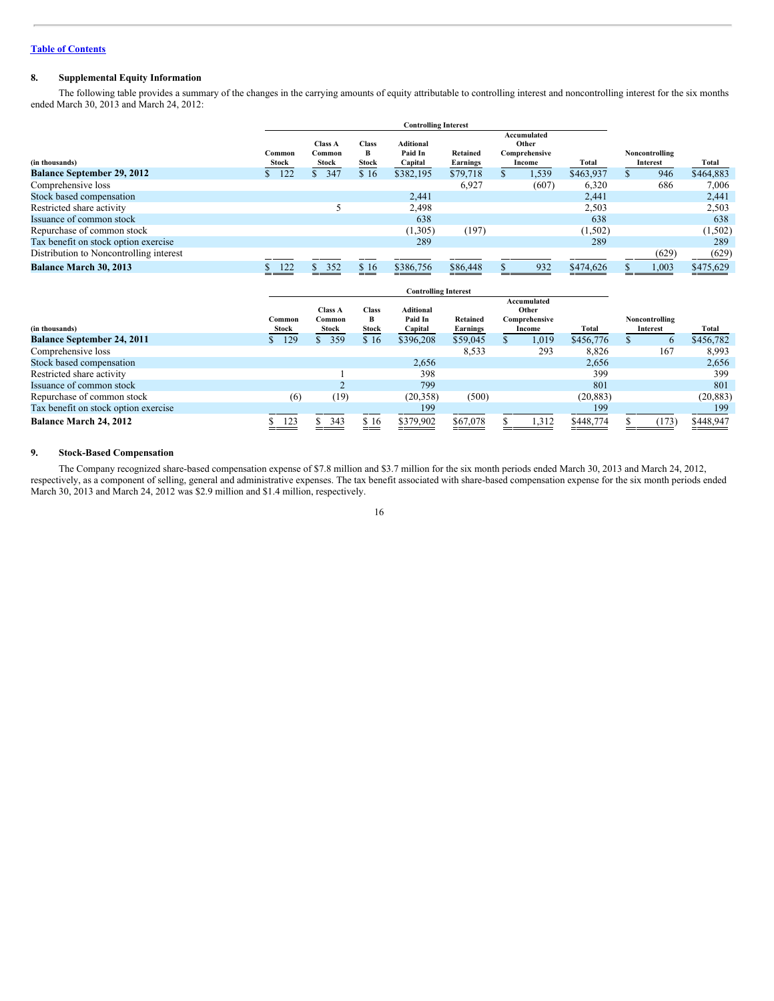## **8. Supplemental Equity Information**

The following table provides a summary of the changes in the carrying amounts of equity attributable to controlling interest and noncontrolling interest for the six months ended March 30, 2013 and March 24, 2012:

|                                         |                 |                 |                   | <b>Controlling Interest</b> |                             |    |                         |           |                            |           |
|-----------------------------------------|-----------------|-----------------|-------------------|-----------------------------|-----------------------------|----|-------------------------|-----------|----------------------------|-----------|
|                                         |                 | <b>Class A</b>  | <b>Class</b>      | <b>Aditional</b>            |                             |    | Accumulated<br>Other    |           |                            |           |
| (in thousands)                          | Common<br>Stock | Common<br>Stock | в<br><b>Stock</b> | Paid In<br>Capital          | Retained<br><b>Earnings</b> |    | Comprehensive<br>Income | Total     | Noncontrolling<br>Interest | Total     |
| <b>Balance September 29, 2012</b>       | 122             | 347<br>\$       | \$16              | \$382,195                   | \$79,718                    | Ъ. | 1,539                   | \$463,937 | 946                        | \$464,883 |
| Comprehensive loss                      |                 |                 |                   |                             | 6,927                       |    | (607)                   | 6,320     | 686                        | 7,006     |
| Stock based compensation                |                 |                 |                   | 2,441                       |                             |    |                         | 2,441     |                            | 2,441     |
| Restricted share activity               |                 |                 |                   | 2,498                       |                             |    |                         | 2,503     |                            | 2,503     |
| Issuance of common stock                |                 |                 |                   | 638                         |                             |    |                         | 638       |                            | 638       |
| Repurchase of common stock              |                 |                 |                   | (1,305)                     | (197)                       |    |                         | (1,502)   |                            | (1, 502)  |
| Tax benefit on stock option exercise    |                 |                 |                   | 289                         |                             |    |                         | 289       |                            | 289       |
| Distribution to Noncontrolling interest |                 |                 |                   |                             |                             |    |                         |           | (629)                      | (629)     |
| <b>Balance March 30, 2013</b>           | 122             | 352             | \$16              | \$386,756                   | \$86,448<br>_____           |    | 932                     | \$474,626 | 1,003                      | \$475,629 |

|                                      |        |                          |                   | <b>Controlling Interest</b> |                 |                                       |           |                |           |
|--------------------------------------|--------|--------------------------|-------------------|-----------------------------|-----------------|---------------------------------------|-----------|----------------|-----------|
|                                      | Common | <b>Class A</b><br>Common | <b>Class</b><br>в | <b>Aditional</b><br>Paid In | Retained        | Accumulated<br>Other<br>Comprehensive |           | Noncontrolling |           |
| (in thousands)                       | Stock  | Stock                    | Stock             | Capital                     | <b>Earnings</b> | Income                                | Total     | Interest       | Total     |
| <b>Balance September 24, 2011</b>    | 129    | 359                      | \$16              | \$396,208                   | \$59,045        | 1.019                                 | \$456,776 | $\sigma$       | \$456,782 |
| Comprehensive loss                   |        |                          |                   |                             | 8,533           | 293                                   | 8,826     | 167            | 8,993     |
| Stock based compensation             |        |                          |                   | 2,656                       |                 |                                       | 2,656     |                | 2,656     |
| Restricted share activity            |        |                          |                   | 398                         |                 |                                       | 399       |                | 399       |
| Issuance of common stock             |        |                          |                   | 799                         |                 |                                       | 801       |                | 801       |
| Repurchase of common stock           | (6)    | (19)                     |                   | (20, 358)                   | (500)           |                                       | (20, 883) |                | (20, 883) |
| Tax benefit on stock option exercise |        |                          |                   | 199                         |                 |                                       | 199       |                | 199       |
| <b>Balance March 24, 2012</b>        | 23     | 343                      | \$16              | \$379,902                   | \$67,078        | 1.312                                 | \$448,774 | (173)          | \$448,947 |

## **9. Stock-Based Compensation**

The Company recognized share-based compensation expense of \$7.8 million and \$3.7 million for the six month periods ended March 30, 2013 and March 24, 2012, respectively, as a component of selling, general and administrative expenses. The tax benefit associated with share-based compensation expense for the six month periods ended March 30, 2013 and March 24, 2012 was \$2.9 million and \$1.4 million, respectively.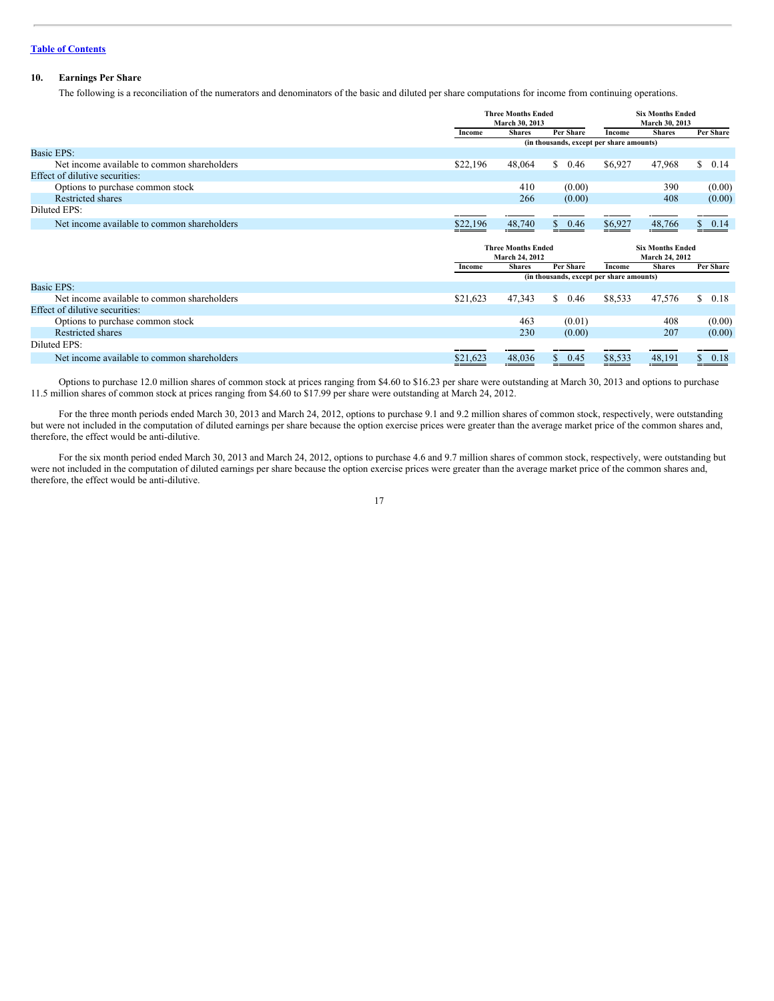## **10. Earnings Per Share**

The following is a reconciliation of the numerators and denominators of the basic and diluted per share computations for income from continuing operations.

|                                             |          | <b>Three Months Ended</b><br>March 30, 2013 |                                          |               | <b>Six Months Ended</b><br>March 30, 2013 |            |  |
|---------------------------------------------|----------|---------------------------------------------|------------------------------------------|---------------|-------------------------------------------|------------|--|
|                                             | Income   | <b>Shares</b>                               | Per Share                                | <b>Income</b> | <b>Shares</b>                             | Per Share  |  |
|                                             |          |                                             | (in thousands, except per share amounts) |               |                                           |            |  |
| Basic EPS:                                  |          |                                             |                                          |               |                                           |            |  |
| Net income available to common shareholders | \$22,196 | 48,064                                      | $\mathbb{S}$<br>0.46                     | \$6,927       | 47,968                                    | S.<br>0.14 |  |
| Effect of dilutive securities:              |          |                                             |                                          |               |                                           |            |  |
| Options to purchase common stock            |          | 410                                         | (0.00)                                   |               | 390                                       | (0.00)     |  |
| Restricted shares                           |          | 266                                         | (0.00)                                   |               | 408                                       | (0.00)     |  |
| Diluted EPS:                                |          |                                             |                                          |               |                                           |            |  |
| Net income available to common shareholders | \$22,196 | 48,740                                      | \$0.46                                   | \$6,927       | 48,766                                    | \$0.14     |  |
|                                             |          | <b>Three Months Ended</b><br>March 24, 2012 |                                          |               | <b>Six Months Ended</b><br>March 24, 2012 |            |  |
|                                             | Income   | <b>Shares</b>                               | Per Share                                | Income        | <b>Shares</b>                             | Per Share  |  |
|                                             |          |                                             | (in thousands, except per share amounts) |               |                                           |            |  |
| Basic EPS:                                  |          |                                             |                                          |               |                                           |            |  |
| Net income available to common shareholders | \$21,623 | 47,343                                      | S.<br>0.46                               | \$8,533       | 47,576                                    | S.<br>0.18 |  |
| Effect of dilutive securities:              |          |                                             |                                          |               |                                           |            |  |
| Options to purchase common stock            |          | 463                                         | (0.01)                                   |               | 408                                       | (0.00)     |  |
| <b>Restricted shares</b>                    |          | 230                                         | (0.00)                                   |               | 207                                       | (0.00)     |  |
| Diluted EPS:                                |          |                                             |                                          |               |                                           |            |  |
| Net income available to common shareholders | \$21,623 | 48,036                                      | 0.45<br>$\mathbb{S}$                     | \$8,533       | 48,191                                    | 0.18       |  |

Options to purchase 12.0 million shares of common stock at prices ranging from \$4.60 to \$16.23 per share were outstanding at March 30, 2013 and options to purchase 11.5 million shares of common stock at prices ranging from \$4.60 to \$17.99 per share were outstanding at March 24, 2012.

For the three month periods ended March 30, 2013 and March 24, 2012, options to purchase 9.1 and 9.2 million shares of common stock, respectively, were outstanding but were not included in the computation of diluted earnings per share because the option exercise prices were greater than the average market price of the common shares and, therefore, the effect would be anti-dilutive.

For the six month period ended March 30, 2013 and March 24, 2012, options to purchase 4.6 and 9.7 million shares of common stock, respectively, were outstanding but were not included in the computation of diluted earnings per share because the option exercise prices were greater than the average market price of the common shares and, therefore, the effect would be anti-dilutive.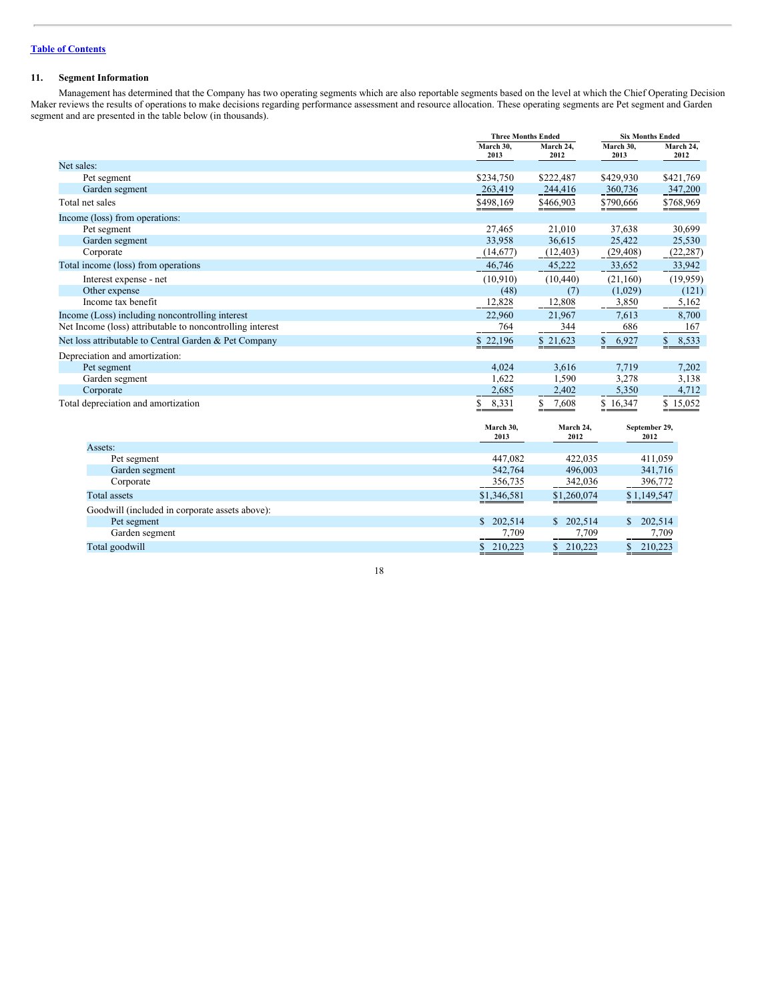## **11. Segment Information**

Management has determined that the Company has two operating segments which are also reportable segments based on the level at which the Chief Operating Decision Maker reviews the results of operations to make decisions regarding performance assessment and resource allocation. These operating segments are Pet segment and Garden segment and are presented in the table below (in thousands).

|                                                           | <b>Three Months Ended</b> |           | <b>Six Months Ended</b> |           |  |
|-----------------------------------------------------------|---------------------------|-----------|-------------------------|-----------|--|
|                                                           | March 30,                 | March 24, | March 30,               | March 24, |  |
|                                                           | 2013                      | 2012      | 2013                    | 2012      |  |
| Net sales:                                                |                           |           |                         |           |  |
| Pet segment                                               | \$234,750                 | \$222,487 | \$429,930               | \$421,769 |  |
| Garden segment                                            | 263,419                   | 244,416   | 360,736                 | 347,200   |  |
| Total net sales                                           | \$498,169                 | \$466,903 | \$790,666               | \$768,969 |  |
| Income (loss) from operations:                            |                           |           |                         |           |  |
| Pet segment                                               | 27,465                    | 21,010    | 37,638                  | 30,699    |  |
| Garden segment                                            | 33,958                    | 36,615    | 25,422                  | 25,530    |  |
| Corporate                                                 | (14,677)                  | (12, 403) | (29, 408)               | (22, 287) |  |
| Total income (loss) from operations                       | 46,746                    | 45,222    | 33,652                  | 33,942    |  |
| Interest expense - net                                    | (10,910)                  | (10, 440) | (21,160)                | (19, 959) |  |
| Other expense                                             | (48)                      | (7)       | (1,029)                 | (121)     |  |
| Income tax benefit                                        | 12,828                    | 12,808    | 3,850                   | 5,162     |  |
| Income (Loss) including noncontrolling interest           | 22,960                    | 21,967    | 7,613                   | 8,700     |  |
| Net Income (loss) attributable to noncontrolling interest | 764                       | 344       | 686                     | 167       |  |
| Net loss attributable to Central Garden & Pet Company     | \$22,196                  | \$21,623  | $\mathbb{S}$<br>6,927   | \$8,533   |  |
| Depreciation and amortization:                            |                           |           |                         |           |  |
| Pet segment                                               | 4,024                     | 3,616     | 7,719                   | 7,202     |  |
| Garden segment                                            | 1,622                     | 1,590     | 3,278                   | 3,138     |  |
| Corporate                                                 | 2,685                     | 2,402     | 5,350                   | 4,712     |  |
| Total depreciation and amortization                       | 8,331<br>S                | 7,608     | \$16,347                | \$15,052  |  |
|                                                           | March 30.                 | March 24. | September 29.           |           |  |

|                                                | $11241$ CH $30$<br>2013 | плаген эт.<br>2012 | $\sigma$ picture $\mu$ ,<br>2012 |
|------------------------------------------------|-------------------------|--------------------|----------------------------------|
| Assets:                                        |                         |                    |                                  |
| Pet segment                                    | 447.082                 | 422,035            | 411,059                          |
| Garden segment                                 | 542,764                 | 496,003            | 341,716                          |
| Corporate                                      | 356,735                 | 342,036            | 396,772                          |
| Total assets                                   | \$1,346,581             | \$1,260,074        | \$1,149,547                      |
| Goodwill (included in corporate assets above): |                         |                    |                                  |
| Pet segment                                    | \$202,514               | \$202.514          | \$202,514                        |
| Garden segment                                 | 7,709                   | 7,709              | 7,709                            |
| Total goodwill                                 | 210,223<br>\$           | 210,223            | 210,223                          |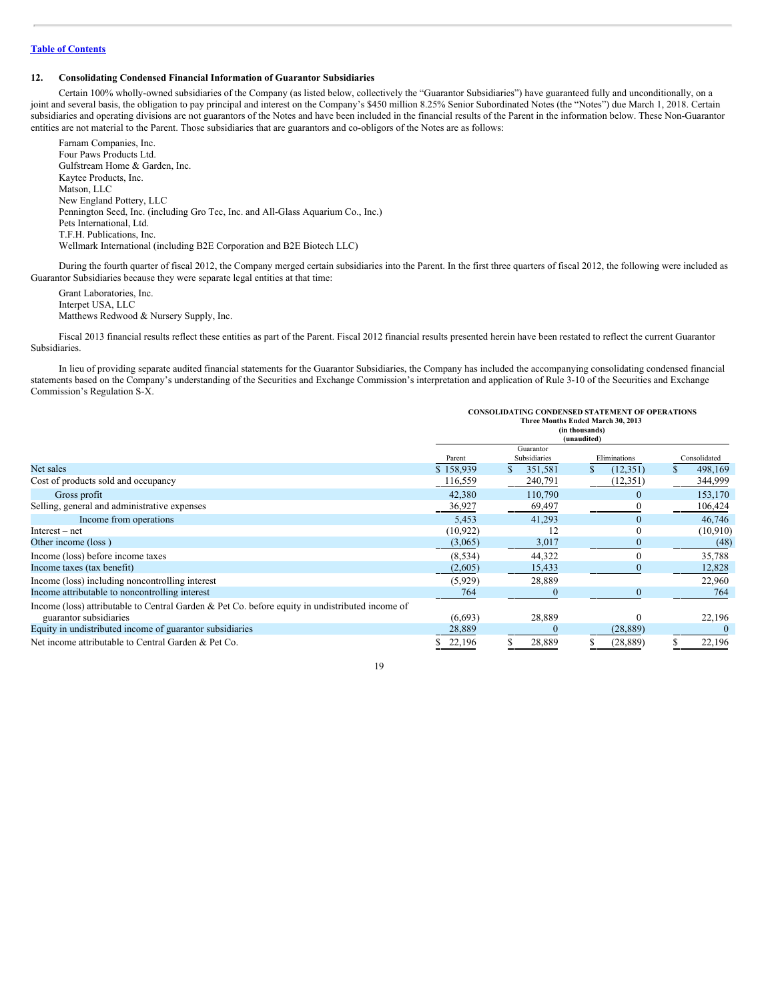#### **12. Consolidating Condensed Financial Information of Guarantor Subsidiaries**

Certain 100% wholly-owned subsidiaries of the Company (as listed below, collectively the "Guarantor Subsidiaries") have guaranteed fully and unconditionally, on a joint and several basis, the obligation to pay principal and interest on the Company's \$450 million 8.25% Senior Subordinated Notes (the "Notes") due March 1, 2018. Certain subsidiaries and operating divisions are not guarantors of the Notes and have been included in the financial results of the Parent in the information below. These Non-Guarantor entities are not material to the Parent. Those subsidiaries that are guarantors and co-obligors of the Notes are as follows:

Farnam Companies, Inc. Four Paws Products Ltd. Gulfstream Home & Garden, Inc. Kaytee Products, Inc. Matson, LLC New England Pottery, LLC Pennington Seed, Inc. (including Gro Tec, Inc. and All-Glass Aquarium Co., Inc.) Pets International, Ltd. T.F.H. Publications, Inc. Wellmark International (including B2E Corporation and B2E Biotech LLC)

During the fourth quarter of fiscal 2012, the Company merged certain subsidiaries into the Parent. In the first three quarters of fiscal 2012, the following were included as Guarantor Subsidiaries because they were separate legal entities at that time:

Grant Laboratories, Inc. Interpet USA, LLC Matthews Redwood & Nursery Supply, Inc.

Fiscal 2013 financial results reflect these entities as part of the Parent. Fiscal 2012 financial results presented herein have been restated to reflect the current Guarantor Subsidiaries.

In lieu of providing separate audited financial statements for the Guarantor Subsidiaries, the Company has included the accompanying consolidating condensed financial statements based on the Company's understanding of the Securities and Exchange Commission's interpretation and application of Rule 3-10 of the Securities and Exchange Commission's Regulation S-X.

|                                                                                                 | <b>CONSOLIDATING CONDENSED STATEMENT OF OPERATIONS</b> |                           |              |              |  |  |  |
|-------------------------------------------------------------------------------------------------|--------------------------------------------------------|---------------------------|--------------|--------------|--|--|--|
|                                                                                                 | Three Months Ended March 30, 2013<br>(in thousands)    |                           |              |              |  |  |  |
|                                                                                                 |                                                        |                           |              |              |  |  |  |
|                                                                                                 |                                                        |                           | (unaudited)  |              |  |  |  |
|                                                                                                 | Parent                                                 | Guarantor<br>Subsidiaries | Eliminations | Consolidated |  |  |  |
| Net sales                                                                                       | \$158,939                                              | 351,581                   | (12, 351)    | 498,169      |  |  |  |
| Cost of products sold and occupancy                                                             | 116,559                                                | 240,791                   | (12, 351)    | 344,999      |  |  |  |
| Gross profit                                                                                    | 42,380                                                 | 110,790                   | $\theta$     | 153,170      |  |  |  |
| Selling, general and administrative expenses                                                    | 36,927                                                 | 69,497                    |              | 106,424      |  |  |  |
| Income from operations                                                                          | 5,453                                                  | 41,293                    | $\Omega$     | 46,746       |  |  |  |
| $Interest - net$                                                                                | (10, 922)                                              | 12                        |              | (10,910)     |  |  |  |
| Other income (loss)                                                                             | (3,065)                                                | 3,017                     |              | (48)         |  |  |  |
| Income (loss) before income taxes                                                               | (8, 534)                                               | 44,322                    |              | 35,788       |  |  |  |
| Income taxes (tax benefit)                                                                      | (2,605)                                                | 15,433                    |              | 12,828       |  |  |  |
| Income (loss) including noncontrolling interest                                                 | (5,929)                                                | 28,889                    |              | 22,960       |  |  |  |
| Income attributable to noncontrolling interest                                                  | 764                                                    |                           | $\Omega$     | 764          |  |  |  |
| Income (loss) attributable to Central Garden & Pet Co. before equity in undistributed income of |                                                        |                           |              |              |  |  |  |
| guarantor subsidiaries                                                                          | (6, 693)                                               | 28,889                    | $\Omega$     | 22,196       |  |  |  |
| Equity in undistributed income of guarantor subsidiaries                                        | 28,889                                                 |                           | (28, 889)    |              |  |  |  |
| Net income attributable to Central Garden & Pet Co.                                             | 22,196                                                 | 28,889                    | (28, 889)    | 22,196       |  |  |  |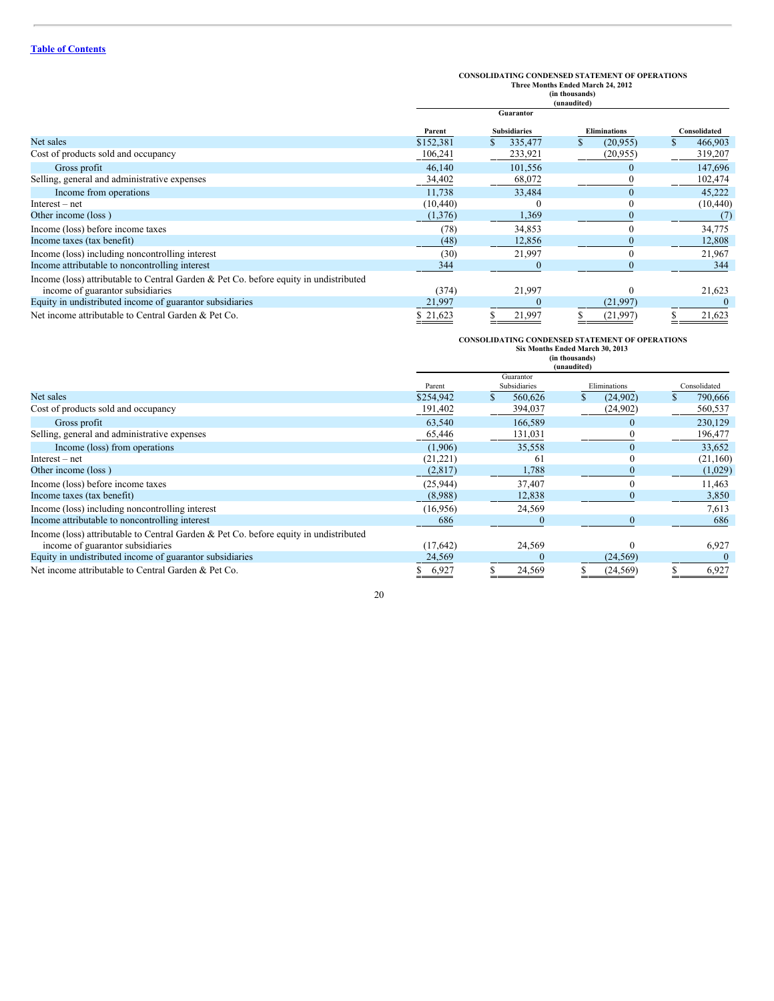|                                                                                       | <b>CONSOLIDATING CONDENSED STATEMENT OF OPERATIONS</b><br>Three Months Ended March 24, 2012<br>(in thousands)<br>(unaudited) |                     |                     |               |  |
|---------------------------------------------------------------------------------------|------------------------------------------------------------------------------------------------------------------------------|---------------------|---------------------|---------------|--|
|                                                                                       |                                                                                                                              | Guarantor           |                     |               |  |
|                                                                                       | Parent                                                                                                                       | <b>Subsidiaries</b> | <b>Eliminations</b> | Consolidated  |  |
| Net sales                                                                             | \$152,381                                                                                                                    | 335,477             | (20,955)<br>S       | 466,903<br>S. |  |
| Cost of products sold and occupancy                                                   | 106,241                                                                                                                      | 233,921             | (20, 955)           | 319,207       |  |
| Gross profit                                                                          | 46,140                                                                                                                       | 101,556             |                     | 147,696       |  |
| Selling, general and administrative expenses                                          | 34,402                                                                                                                       | 68,072              |                     | 102,474       |  |
| Income from operations                                                                | 11,738                                                                                                                       | 33,484              |                     | 45,222        |  |
| $Interest - net$                                                                      | (10, 440)                                                                                                                    |                     |                     | (10, 440)     |  |
| Other income (loss)                                                                   | (1,376)                                                                                                                      | 1,369               |                     | (7)           |  |
| Income (loss) before income taxes                                                     | (78)                                                                                                                         | 34,853              |                     | 34,775        |  |
| Income taxes (tax benefit)                                                            | (48)                                                                                                                         | 12,856              |                     | 12,808        |  |
| Income (loss) including noncontrolling interest                                       | (30)                                                                                                                         | 21,997              |                     | 21,967        |  |
| Income attributable to noncontrolling interest                                        | 344                                                                                                                          |                     |                     | 344           |  |
| Income (loss) attributable to Central Garden & Pet Co. before equity in undistributed |                                                                                                                              |                     |                     |               |  |
| income of guarantor subsidiaries                                                      | (374)                                                                                                                        | 21,997              |                     | 21,623        |  |
| Equity in undistributed income of guarantor subsidiaries                              | 21,997                                                                                                                       |                     | (21,997)            |               |  |
| Net income attributable to Central Garden & Pet Co.                                   | \$21,623                                                                                                                     | 21,997<br>ь         | (21,997)<br>S       | 21,623<br>ъ   |  |

## **CONSOLIDATING CONDENSED STATEMENT OF OPERATIONS Six Months Ended March 30, 2013 (in thousands)**

|                                                                                       | (unaudited) |                           |              |              |  |  |
|---------------------------------------------------------------------------------------|-------------|---------------------------|--------------|--------------|--|--|
|                                                                                       | Parent      | Guarantor<br>Subsidiaries | Eliminations | Consolidated |  |  |
| Net sales                                                                             | \$254,942   | 560,626                   | (24,902)     | 790,666      |  |  |
| Cost of products sold and occupancy                                                   | 191,402     | 394,037                   | (24,902)     | 560,537      |  |  |
| Gross profit                                                                          | 63,540      | 166,589                   |              | 230,129      |  |  |
| Selling, general and administrative expenses                                          | 65,446      | 131,031                   |              | 196,477      |  |  |
| Income (loss) from operations                                                         | (1,906)     | 35,558                    | O            | 33,652       |  |  |
| $Interest - net$                                                                      | (21,221)    | 61                        | 0            | (21,160)     |  |  |
| Other income (loss)                                                                   | (2,817)     | 1,788                     |              | (1,029)      |  |  |
| Income (loss) before income taxes                                                     | (25,944)    | 37,407                    |              | 11,463       |  |  |
| Income taxes (tax benefit)                                                            | (8,988)     | 12,838                    |              | 3,850        |  |  |
| Income (loss) including noncontrolling interest                                       | (16,956)    | 24,569                    |              | 7,613        |  |  |
| Income attributable to noncontrolling interest                                        | 686         |                           |              | 686          |  |  |
| Income (loss) attributable to Central Garden & Pet Co. before equity in undistributed |             |                           |              |              |  |  |
| income of guarantor subsidiaries                                                      | (17,642)    | 24,569                    |              | 6,927        |  |  |
| Equity in undistributed income of guarantor subsidiaries                              | 24,569      |                           | (24, 569)    |              |  |  |
| Net income attributable to Central Garden & Pet Co.                                   | 6,927       | 24,569                    | (24, 569)    | 6,927        |  |  |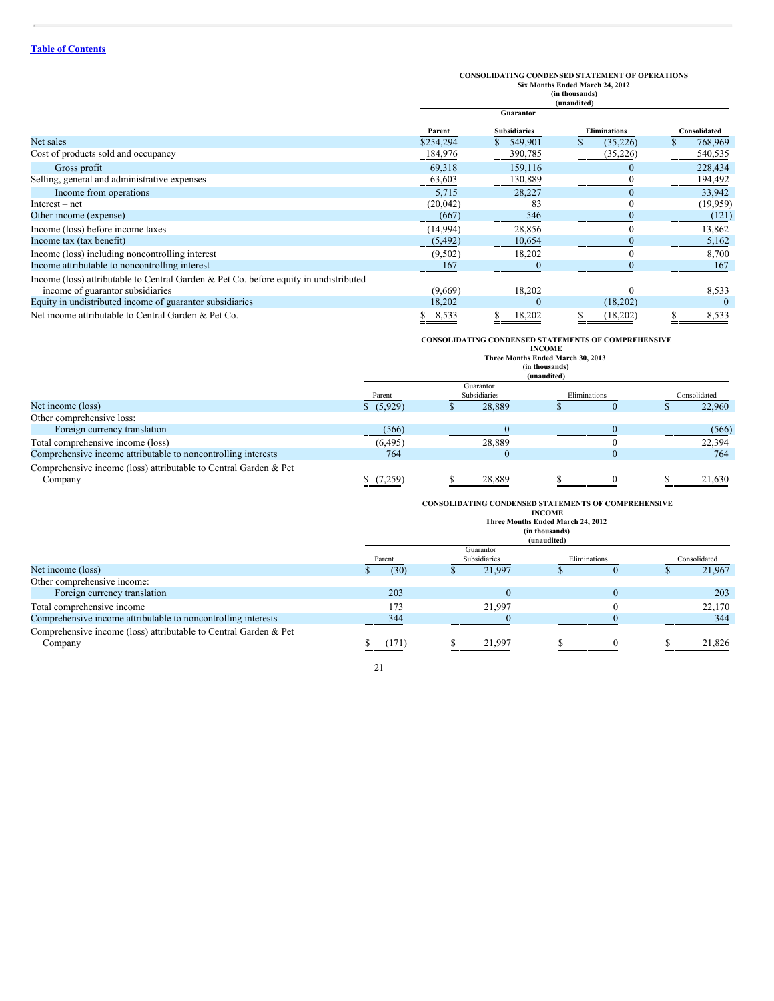# **CONSOLIDATING CONDENSED STATEMENT OF OPERATIONS Six Months Ended March 24, 2012 (in thousands) (unaudited)**

|                                                                                       | (unaudited) |                     |                     |              |  |  |
|---------------------------------------------------------------------------------------|-------------|---------------------|---------------------|--------------|--|--|
|                                                                                       | Guarantor   |                     |                     |              |  |  |
|                                                                                       | Parent      | <b>Subsidiaries</b> | <b>Eliminations</b> | Consolidated |  |  |
| Net sales                                                                             | \$254,294   | 549,901             | (35,226)<br>S       | 768,969      |  |  |
| Cost of products sold and occupancy                                                   | 184,976     | 390,785             | (35,226)            | 540,535      |  |  |
| Gross profit                                                                          | 69,318      | 159,116             |                     | 228,434      |  |  |
| Selling, general and administrative expenses                                          | 63,603      | 130,889             |                     | 194,492      |  |  |
| Income from operations                                                                | 5,715       | 28,227              |                     | 33,942       |  |  |
| $Interest - net$                                                                      | (20, 042)   | 83                  |                     | (19,959)     |  |  |
| Other income (expense)                                                                | (667)       | 546                 |                     | (121)        |  |  |
| Income (loss) before income taxes                                                     | (14, 994)   | 28,856              |                     | 13,862       |  |  |
| Income tax (tax benefit)                                                              | (5, 492)    | 10,654              |                     | 5,162        |  |  |
| Income (loss) including noncontrolling interest                                       | (9,502)     | 18,202              |                     | 8,700        |  |  |
| Income attributable to noncontrolling interest                                        | 167         | $\theta$            |                     | 167          |  |  |
| Income (loss) attributable to Central Garden & Pet Co. before equity in undistributed |             |                     |                     |              |  |  |
| income of guarantor subsidiaries                                                      | (9,669)     | 18,202              |                     | 8,533        |  |  |
| Equity in undistributed income of guarantor subsidiaries                              | 18,202      |                     | (18,202)            |              |  |  |
| Net income attributable to Central Garden & Pet Co.                                   | 8,533<br>ъ  | 18,202              | (18,202)<br>ה.      | 8,533        |  |  |

## **CONSOLIDATING CONDENSED STATEMENTS OF COMPREHENSIVE**

# **INCOME Three Months Ended March 30, 2013**

**(in thousands)**

|                                                                  | (unaudited) |                     |        |              |  |              |        |
|------------------------------------------------------------------|-------------|---------------------|--------|--------------|--|--------------|--------|
|                                                                  | Guarantor   |                     |        |              |  |              |        |
|                                                                  | Parent      | <b>Subsidiaries</b> |        | Eliminations |  | Consolidated |        |
| Net income (loss)                                                | \$ (5,929)  |                     | 28,889 |              |  |              | 22,960 |
| Other comprehensive loss:                                        |             |                     |        |              |  |              |        |
| Foreign currency translation                                     | (566)       |                     |        |              |  |              | (566)  |
| Total comprehensive income (loss)                                | (6, 495)    |                     | 28.889 |              |  |              | 22,394 |
| Comprehensive income attributable to noncontrolling interests    | 764         |                     |        |              |  |              | 764    |
| Comprehensive income (loss) attributable to Central Garden & Pet |             |                     |        |              |  |              |        |
| Company                                                          | (7,259)     |                     | 28,889 |              |  |              | 21,630 |

## **CONSOLIDATING CONDENSED STATEMENTS OF COMPREHENSIVE**

**INCOME Three Months Ended March 24, 2012 (in thousands)**

|                                                                             | $1.222$ , $2.230$ , $2.300$ , $2.250$ , $2.300$<br>(unaudited) |                           |              |              |  |  |
|-----------------------------------------------------------------------------|----------------------------------------------------------------|---------------------------|--------------|--------------|--|--|
|                                                                             | Parent                                                         | Guarantor<br>Subsidiaries | Eliminations | Consolidated |  |  |
| Net income (loss)                                                           | (30)                                                           | 21.997                    |              | 21,967       |  |  |
| Other comprehensive income:                                                 |                                                                |                           |              |              |  |  |
| Foreign currency translation                                                | 203                                                            |                           |              | 203          |  |  |
| Total comprehensive income                                                  | 173                                                            | 21.997                    |              | 22,170       |  |  |
| Comprehensive income attributable to noncontrolling interests               | 344                                                            |                           |              | 344          |  |  |
| Comprehensive income (loss) attributable to Central Garden & Pet<br>Company |                                                                | 21.997                    |              | 21.826       |  |  |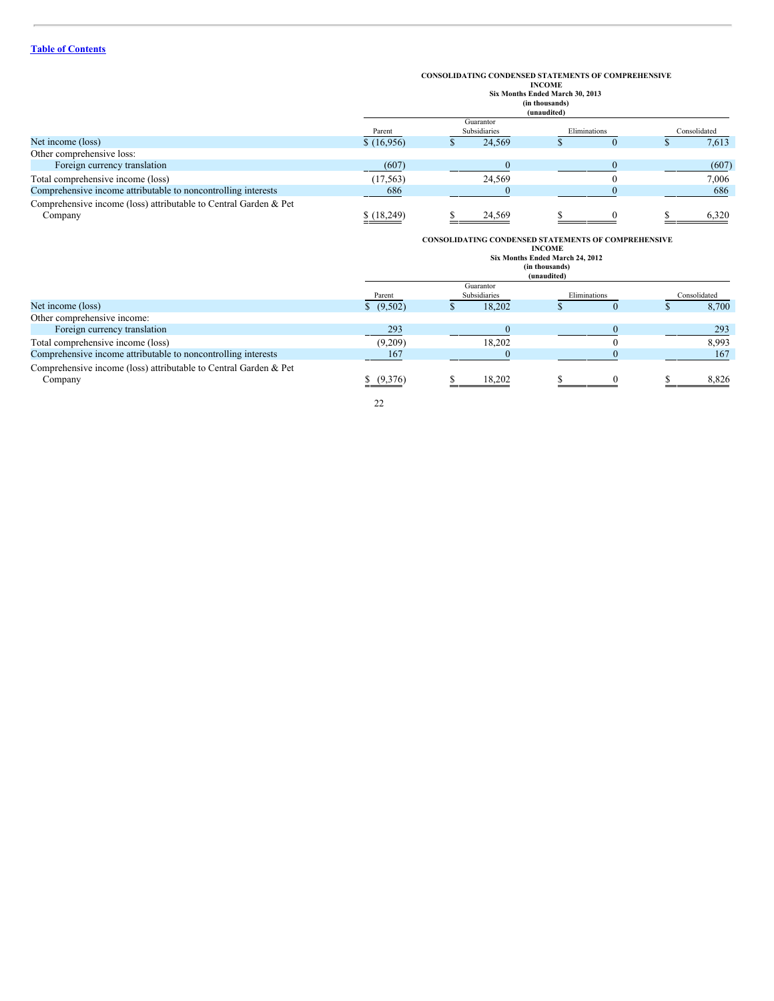# **CONSOLIDATING CONDENSED STATEMENTS OF COMPREHENSIVE INCOME**

| 111 U.S. 11 L |                                 |  |  |  |  |
|---------------|---------------------------------|--|--|--|--|
|               | Six Months Ended March 30, 2013 |  |  |  |  |

|                                                                             |            | (in thousands)<br>(unaudited)             |        |  |   |              |       |
|-----------------------------------------------------------------------------|------------|-------------------------------------------|--------|--|---|--------------|-------|
|                                                                             | Parent     | Guarantor<br>Subsidiaries<br>Eliminations |        |  |   | Consolidated |       |
| Net income (loss)                                                           | \$(16,956) |                                           | 24,569 |  | v |              | 7,613 |
| Other comprehensive loss:                                                   |            |                                           |        |  |   |              |       |
| Foreign currency translation                                                | (607)      |                                           |        |  |   |              | (607) |
| Total comprehensive income (loss)                                           | (17, 563)  |                                           | 24,569 |  |   |              | 7,006 |
| Comprehensive income attributable to noncontrolling interests               | 686        |                                           |        |  |   |              | 686   |
| Comprehensive income (loss) attributable to Central Garden & Pet<br>Company | \$(18,249) |                                           | 24,569 |  |   |              | 6.320 |

|                                                                             | <b>CONSOLIDATING CONDENSED STATEMENTS OF COMPREHENSIVE</b><br><b>INCOME</b><br>Six Months Ended March 24, 2012<br>(in thousands)<br>(unaudited) |                           |              |              |  |  |  |
|-----------------------------------------------------------------------------|-------------------------------------------------------------------------------------------------------------------------------------------------|---------------------------|--------------|--------------|--|--|--|
|                                                                             | Parent                                                                                                                                          | Guarantor<br>Subsidiaries | Eliminations | Consolidated |  |  |  |
| Net income (loss)                                                           | \$ (9,502)                                                                                                                                      | 18,202                    |              | 8,700        |  |  |  |
| Other comprehensive income:                                                 |                                                                                                                                                 |                           |              |              |  |  |  |
| Foreign currency translation                                                | 293                                                                                                                                             |                           |              | 293          |  |  |  |
| Total comprehensive income (loss)                                           | (9,209)                                                                                                                                         | 18.202                    |              | 8,993        |  |  |  |
| Comprehensive income attributable to noncontrolling interests               | 167                                                                                                                                             |                           |              | 167          |  |  |  |
| Comprehensive income (loss) attributable to Central Garden & Pet<br>Company | \$ (9,376)                                                                                                                                      | 18.202                    |              | 8,826        |  |  |  |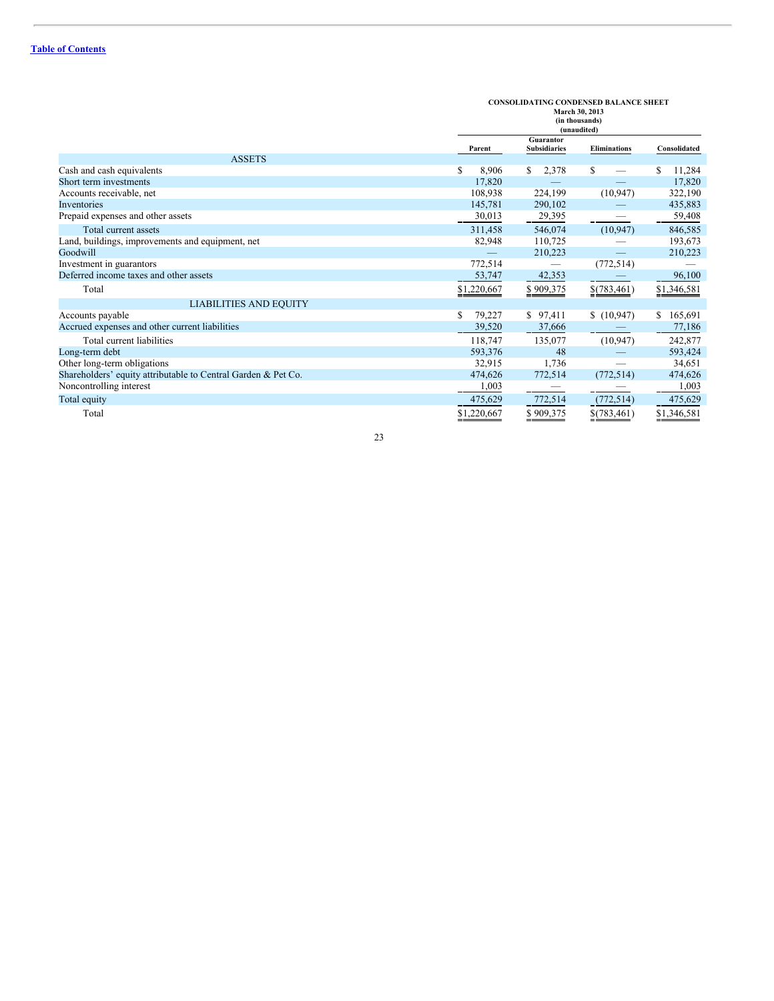|                                                               |             | <b>CONSOLIDATING CONDENSED BALANCE SHEET</b><br>March 30, 2013<br>(in thousands)<br>(unaudited) |                     |               |  |  |  |
|---------------------------------------------------------------|-------------|-------------------------------------------------------------------------------------------------|---------------------|---------------|--|--|--|
|                                                               | Parent      | Guarantor<br><b>Subsidiaries</b>                                                                | <b>Eliminations</b> | Consolidated  |  |  |  |
| <b>ASSETS</b>                                                 |             |                                                                                                 |                     |               |  |  |  |
| Cash and cash equivalents                                     | S<br>8,906  | 2,378<br>S                                                                                      | \$                  | S<br>11,284   |  |  |  |
| Short term investments                                        | 17,820      |                                                                                                 |                     | 17,820        |  |  |  |
| Accounts receivable, net                                      | 108.938     | 224,199                                                                                         | (10, 947)           | 322,190       |  |  |  |
| Inventories                                                   | 145,781     | 290,102                                                                                         |                     | 435,883       |  |  |  |
| Prepaid expenses and other assets                             | 30,013      | 29,395                                                                                          |                     | 59,408        |  |  |  |
| Total current assets                                          | 311,458     | 546,074                                                                                         | (10.947)            | 846,585       |  |  |  |
| Land, buildings, improvements and equipment, net              | 82,948      | 110,725                                                                                         |                     | 193,673       |  |  |  |
| Goodwill                                                      |             | 210,223                                                                                         |                     | 210,223       |  |  |  |
| Investment in guarantors                                      | 772,514     |                                                                                                 | (772, 514)          |               |  |  |  |
| Deferred income taxes and other assets                        | 53,747      | 42,353                                                                                          |                     | 96,100        |  |  |  |
| Total                                                         | \$1,220,667 | <u>\$909,375</u>                                                                                | \$(783,461)         | \$1,346,581   |  |  |  |
| <b>LIABILITIES AND EQUITY</b>                                 |             |                                                                                                 |                     |               |  |  |  |
| Accounts payable                                              | S<br>79,227 | \$97,411                                                                                        | (10, 947)           | 165,691<br>\$ |  |  |  |
| Accrued expenses and other current liabilities                | 39,520      | 37,666                                                                                          |                     | 77,186        |  |  |  |
| Total current liabilities                                     | 118,747     | 135,077                                                                                         | (10, 947)           | 242,877       |  |  |  |
| Long-term debt                                                | 593,376     | 48                                                                                              |                     | 593,424       |  |  |  |
| Other long-term obligations                                   | 32,915      | 1,736                                                                                           |                     | 34,651        |  |  |  |
| Shareholders' equity attributable to Central Garden & Pet Co. | 474,626     | 772,514                                                                                         | (772, 514)          | 474,626       |  |  |  |
| Noncontrolling interest                                       | 1,003       |                                                                                                 |                     | 1,003         |  |  |  |
| Total equity                                                  | 475,629     | 772,514                                                                                         | (772, 514)          | 475,629       |  |  |  |
| Total                                                         | \$1,220,667 | \$909,375                                                                                       | \$(783,461)         | \$1,346,581   |  |  |  |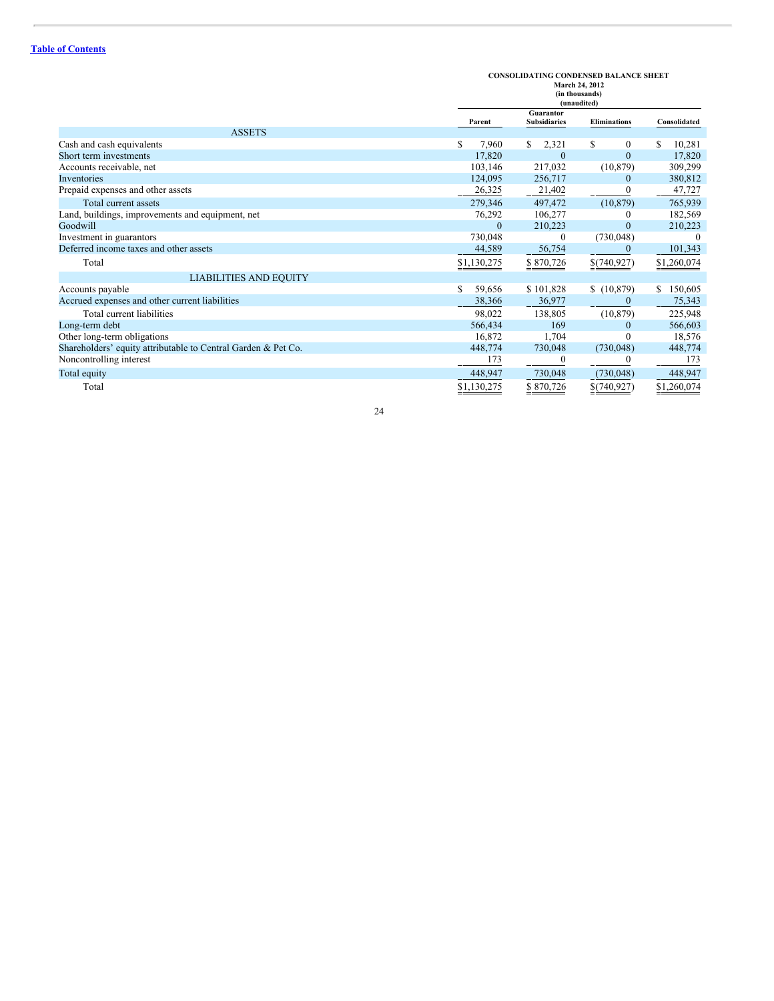|                                                               |             | <b>CONSOLIDATING CONDENSED BALANCE SHEET</b><br>March 24, 2012<br>(in thousands)<br>(unaudited) |                     |               |  |  |
|---------------------------------------------------------------|-------------|-------------------------------------------------------------------------------------------------|---------------------|---------------|--|--|
|                                                               | Parent      | Guarantor<br><b>Subsidiaries</b>                                                                | <b>Eliminations</b> | Consolidated  |  |  |
| <b>ASSETS</b>                                                 |             |                                                                                                 |                     |               |  |  |
| Cash and cash equivalents                                     | S<br>7,960  | S<br>2,321                                                                                      | \$<br>0             | S<br>10,281   |  |  |
| Short term investments                                        | 17,820      | $\Omega$                                                                                        | $\theta$            | 17,820        |  |  |
| Accounts receivable, net                                      | 103,146     | 217,032                                                                                         | (10, 879)           | 309,299       |  |  |
| Inventories                                                   | 124,095     | 256,717                                                                                         | $\bf{0}$            | 380,812       |  |  |
| Prepaid expenses and other assets                             | 26,325      | 21,402                                                                                          | $\mathbf{0}$        | 47,727        |  |  |
| Total current assets                                          | 279,346     | 497,472                                                                                         | (10, 879)           | 765,939       |  |  |
| Land, buildings, improvements and equipment, net              | 76,292      | 106,277                                                                                         | 0                   | 182,569       |  |  |
| Goodwill                                                      | $\theta$    | 210,223                                                                                         | $\Omega$            | 210,223       |  |  |
| Investment in guarantors                                      | 730,048     | $\mathbf{0}$                                                                                    | (730,048)           | $\Omega$      |  |  |
| Deferred income taxes and other assets                        | 44,589      | 56,754                                                                                          | $\bf{0}$            | 101,343       |  |  |
| Total                                                         | \$1,130,275 | \$870,726                                                                                       | \$(740,927)         | \$1,260,074   |  |  |
| <b>LIABILITIES AND EQUITY</b>                                 |             |                                                                                                 |                     |               |  |  |
| Accounts payable                                              | S<br>59,656 | \$101,828                                                                                       | (10, 879)           | 150,605<br>\$ |  |  |
| Accrued expenses and other current liabilities                | 38,366      | 36,977                                                                                          | $\bf{0}$            | 75,343        |  |  |
| Total current liabilities                                     | 98,022      | 138,805                                                                                         | (10, 879)           | 225,948       |  |  |
| Long-term debt                                                | 566,434     | 169                                                                                             | 0                   | 566,603       |  |  |
| Other long-term obligations                                   | 16,872      | 1,704                                                                                           | $\Omega$            | 18,576        |  |  |
| Shareholders' equity attributable to Central Garden & Pet Co. | 448,774     | 730,048                                                                                         | (730, 048)          | 448,774       |  |  |
| Noncontrolling interest                                       | 173         | $\boldsymbol{0}$                                                                                | 0                   | 173           |  |  |
| Total equity                                                  | 448,947     | 730,048                                                                                         | (730,048)           | 448,947       |  |  |
| Total                                                         | \$1,130,275 | \$870,726                                                                                       | \$(740,927)         | \$1,260,074   |  |  |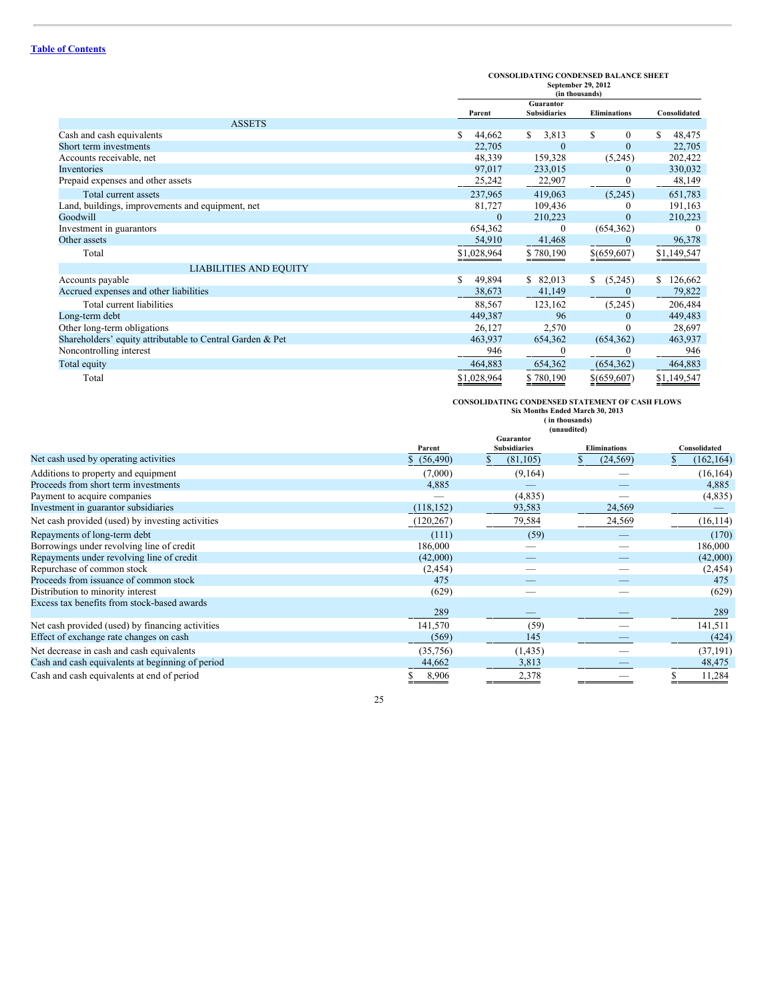|                                                           | <b>CONSOLIDATING CONDENSED BALANCE SHEET</b><br>September 29, 2012<br>(in thousands) |                                  |                     |               |  |  |
|-----------------------------------------------------------|--------------------------------------------------------------------------------------|----------------------------------|---------------------|---------------|--|--|
|                                                           | Parent                                                                               | Guarantor<br><b>Subsidiaries</b> | <b>Eliminations</b> | Consolidated  |  |  |
| <b>ASSETS</b>                                             |                                                                                      |                                  |                     |               |  |  |
| Cash and cash equivalents                                 | \$.<br>44,662                                                                        | 3,813<br>S                       | \$<br>0             | S<br>48,475   |  |  |
| Short term investments                                    | 22,705                                                                               | $\mathbf{0}$                     | $\mathbf{0}$        | 22,705        |  |  |
| Accounts receivable, net                                  | 48,339                                                                               | 159,328                          | (5,245)             | 202,422       |  |  |
| Inventories                                               | 97,017                                                                               | 233,015                          | $\bf{0}$            | 330,032       |  |  |
| Prepaid expenses and other assets                         | 25,242                                                                               | 22,907                           | 0                   | 48,149        |  |  |
| Total current assets                                      | 237,965                                                                              | 419,063                          | (5,245)             | 651,783       |  |  |
| Land, buildings, improvements and equipment, net          | 81,727                                                                               | 109,436                          | $_{0}$              | 191,163       |  |  |
| Goodwill                                                  | $\mathbf{0}$                                                                         | 210,223                          | $\theta$            | 210,223       |  |  |
| Investment in guarantors                                  | 654,362                                                                              | $\bf{0}$                         | (654, 362)          | 0             |  |  |
| Other assets                                              | 54,910                                                                               | 41,468                           | 0                   | 96,378        |  |  |
| Total                                                     | \$1,028,964                                                                          | \$780,190                        | \$(659,607)         | \$1,149,547   |  |  |
| <b>LIABILITIES AND EQUITY</b>                             |                                                                                      |                                  |                     |               |  |  |
| Accounts payable                                          | S<br>49,894                                                                          | \$82,013                         | (5,245)<br>\$       | 126,662<br>\$ |  |  |
| Accrued expenses and other liabilities                    | 38,673                                                                               | 41,149                           |                     | 79,822        |  |  |
| Total current liabilities                                 | 88,567                                                                               | 123,162                          | (5,245)             | 206,484       |  |  |
| Long-term debt                                            | 449,387                                                                              | 96                               | $\theta$            | 449,483       |  |  |
| Other long-term obligations                               | 26,127                                                                               | 2,570                            | $\theta$            | 28,697        |  |  |
| Shareholders' equity attributable to Central Garden & Pet | 463,937                                                                              | 654,362                          | (654, 362)          | 463,937       |  |  |
| Noncontrolling interest                                   | 946                                                                                  | $\bf{0}$                         |                     | 946           |  |  |
| Total equity                                              | 464,883                                                                              | 654,362                          | (654, 362)          | 464,883       |  |  |
| Total                                                     | \$1,028,964                                                                          | \$780,190                        | \$(659,607)         | \$1,149,547   |  |  |

# **CONSOLIDATING CONDENSED STATEMENT OF CASH FLOWS Six Months Ended March 30, 2013**

|                                                  |            | (in thousands)<br>(unaudited) |                     |              |
|--------------------------------------------------|------------|-------------------------------|---------------------|--------------|
|                                                  |            | Guarantor                     |                     |              |
|                                                  | Parent     | <b>Subsidiaries</b>           | <b>Eliminations</b> | Consolidated |
| Net cash used by operating activities            | (56, 490)  | (81, 105)                     | (24, 569)           | (162, 164)   |
| Additions to property and equipment              | (7,000)    | (9,164)                       |                     | (16, 164)    |
| Proceeds from short term investments             | 4,885      |                               |                     | 4,885        |
| Payment to acquire companies                     |            | (4,835)                       |                     | (4,835)      |
| Investment in guarantor subsidiaries             | (118, 152) | 93,583                        | 24,569              |              |
| Net cash provided (used) by investing activities | (120, 267) | 79,584                        | 24,569              | (16, 114)    |
| Repayments of long-term debt                     | (111)      | (59)                          |                     | (170)        |
| Borrowings under revolving line of credit        | 186,000    |                               |                     | 186,000      |
| Repayments under revolving line of credit        | (42,000)   |                               |                     | (42,000)     |
| Repurchase of common stock                       | (2, 454)   |                               |                     | (2, 454)     |
| Proceeds from issuance of common stock           | 475        |                               |                     | 475          |
| Distribution to minority interest                | (629)      |                               |                     | (629)        |
| Excess tax benefits from stock-based awards      |            |                               |                     |              |
|                                                  | 289        |                               |                     | 289          |
| Net cash provided (used) by financing activities | 141,570    | (59)                          |                     | 141,511      |
| Effect of exchange rate changes on cash          | (569)      | 145                           |                     | (424)        |
| Net decrease in cash and cash equivalents        | (35,756)   | (1, 435)                      |                     | (37, 191)    |
| Cash and cash equivalents at beginning of period | 44,662     | 3,813                         |                     | 48,475       |
| Cash and cash equivalents at end of period       | 8,906      | 2,378                         |                     | 11,284       |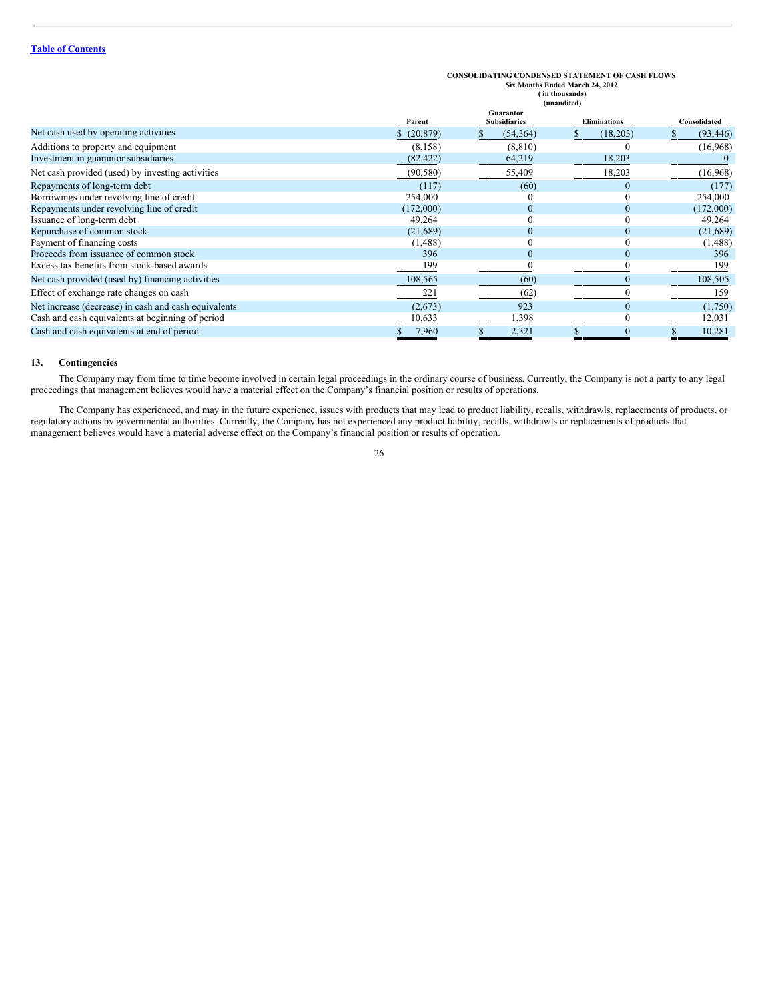## **CONSOLIDATING CONDENSED STATEMENT OF CASH FLOWS Six Months Ended March 24, 2012 ( in thousands)**

|                                                      |             | (unaudited)         |                     |              |  |
|------------------------------------------------------|-------------|---------------------|---------------------|--------------|--|
|                                                      |             | Guarantor           |                     |              |  |
|                                                      | Parent      | <b>Subsidiaries</b> | <b>Eliminations</b> | Consolidated |  |
| Net cash used by operating activities                | \$ (20,879) | (54, 364)           | (18, 203)           | (93, 446)    |  |
| Additions to property and equipment                  | (8.158)     | (8, 810)            |                     | (16,968)     |  |
| Investment in guarantor subsidiaries                 | (82, 422)   | 64,219              | 18,203              |              |  |
| Net cash provided (used) by investing activities     | (90, 580)   | 55,409              | 18,203              | (16,968)     |  |
| Repayments of long-term debt                         | (117)       | (60)                |                     | (177)        |  |
| Borrowings under revolving line of credit            | 254,000     |                     |                     | 254,000      |  |
| Repayments under revolving line of credit            | (172,000)   | 0                   |                     | (172,000)    |  |
| Issuance of long-term debt                           | 49,264      |                     |                     | 49,264       |  |
| Repurchase of common stock                           | (21,689)    |                     |                     | (21,689)     |  |
| Payment of financing costs                           | (1, 488)    |                     |                     | (1,488)      |  |
| Proceeds from issuance of common stock               | 396         |                     |                     | 396          |  |
| Excess tax benefits from stock-based awards          | 199         |                     |                     | 199          |  |
| Net cash provided (used by) financing activities     | 108,565     | (60)                |                     | 108,505      |  |
| Effect of exchange rate changes on cash              | 221         | (62)                |                     | 159          |  |
| Net increase (decrease) in cash and cash equivalents | (2,673)     | 923                 |                     | (1,750)      |  |
| Cash and cash equivalents at beginning of period     | 10,633      | 1,398               |                     | 12,031       |  |
| Cash and cash equivalents at end of period           | 7,960       | 2,321               | $\theta$            | 10.281       |  |

#### **13. Contingencies**

The Company may from time to time become involved in certain legal proceedings in the ordinary course of business. Currently, the Company is not a party to any legal proceedings that management believes would have a material effect on the Company's financial position or results of operations.

The Company has experienced, and may in the future experience, issues with products that may lead to product liability, recalls, withdrawls, replacements of products, or regulatory actions by governmental authorities. Currently, the Company has not experienced any product liability, recalls, withdrawls or replacements of products that management believes would have a material adverse effect on the Company's financial position or results of operation.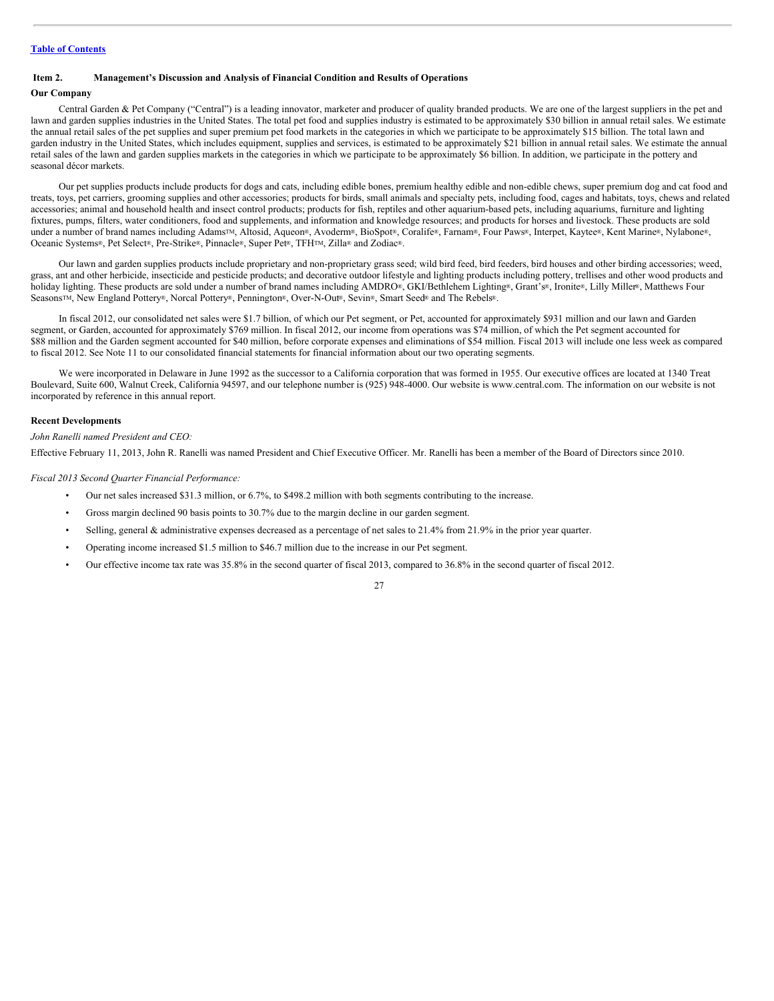## <span id="page-26-0"></span>**Item 2. Management's Discussion and Analysis of Financial Condition and Results of Operations**

#### **Our Company**

Central Garden & Pet Company ("Central") is a leading innovator, marketer and producer of quality branded products. We are one of the largest suppliers in the pet and lawn and garden supplies industries in the United States. The total pet food and supplies industry is estimated to be approximately \$30 billion in annual retail sales. We estimate the annual retail sales of the pet supplies and super premium pet food markets in the categories in which we participate to be approximately \$15 billion. The total lawn and garden industry in the United States, which includes equipment, supplies and services, is estimated to be approximately \$21 billion in annual retail sales. We estimate the annual retail sales of the lawn and garden supplies markets in the categories in which we participate to be approximately \$6 billion. In addition, we participate in the pottery and seasonal décor markets.

Our pet supplies products include products for dogs and cats, including edible bones, premium healthy edible and non-edible chews, super premium dog and cat food and treats, toys, pet carriers, grooming supplies and other accessories; products for birds, small animals and specialty pets, including food, cages and habitats, toys, chews and related accessories; animal and household health and insect control products; products for fish, reptiles and other aquarium-based pets, including aquariums, furniture and lighting fixtures, pumps, filters, water conditioners, food and supplements, and information and knowledge resources; and products for horses and livestock. These products are sold under a number of brand names including Adams™, Altosid, Aqueon®, Avoderm®, BioSpot®, Coralife®, Farnam®, Four Paws®, Interpet, Kaytee®, Kent Marine®, Nylabone®, Oceanic Systems®, Pet Select®, Pre-Strike®, Pinnacle®, Super Pet®, TFH<sup>TM</sup>, Zilla® and Zodiac®.

Our lawn and garden supplies products include proprietary and non-proprietary grass seed; wild bird feed, bird feeders, bird houses and other birding accessories; weed, grass, ant and other herbicide, insecticide and pesticide products; and decorative outdoor lifestyle and lighting products including pottery, trellises and other wood products and holiday lighting. These products are sold under a number of brand names including AMDRO®, GKI/Bethlehem Lighting®, Grant's®, Ironite®, Lilly Miller®, Matthews Four Seasons<sup>TM</sup>, New England Pottery®, Norcal Pottery®, Pennington®, Over-N-Out®, Sevin®, Smart Seed® and The Rebels®.

In fiscal 2012, our consolidated net sales were \$1.7 billion, of which our Pet segment, or Pet, accounted for approximately \$931 million and our lawn and Garden segment, or Garden, accounted for approximately \$769 million. In fiscal 2012, our income from operations was \$74 million, of which the Pet segment accounted for \$88 million and the Garden segment accounted for \$40 million, before corporate expenses and eliminations of \$54 million. Fiscal 2013 will include one less week as compared to fiscal 2012. See Note 11 to our consolidated financial statements for financial information about our two operating segments.

We were incorporated in Delaware in June 1992 as the successor to a California corporation that was formed in 1955. Our executive offices are located at 1340 Treat Boulevard, Suite 600, Walnut Creek, California 94597, and our telephone number is (925) 948-4000. Our website is www.central.com. The information on our website is not incorporated by reference in this annual report.

#### **Recent Developments**

#### *John Ranelli named President and CEO:*

Effective February 11, 2013, John R. Ranelli was named President and Chief Executive Officer. Mr. Ranelli has been a member of the Board of Directors since 2010.

*Fiscal 2013 Second Quarter Financial Performance:*

- Our net sales increased \$31.3 million, or 6.7%, to \$498.2 million with both segments contributing to the increase.
- Gross margin declined 90 basis points to 30.7% due to the margin decline in our garden segment.
- Selling, general & administrative expenses decreased as a percentage of net sales to 21.4% from 21.9% in the prior year quarter.
- Operating income increased \$1.5 million to \$46.7 million due to the increase in our Pet segment.
- Our effective income tax rate was 35.8% in the second quarter of fiscal 2013, compared to 36.8% in the second quarter of fiscal 2012.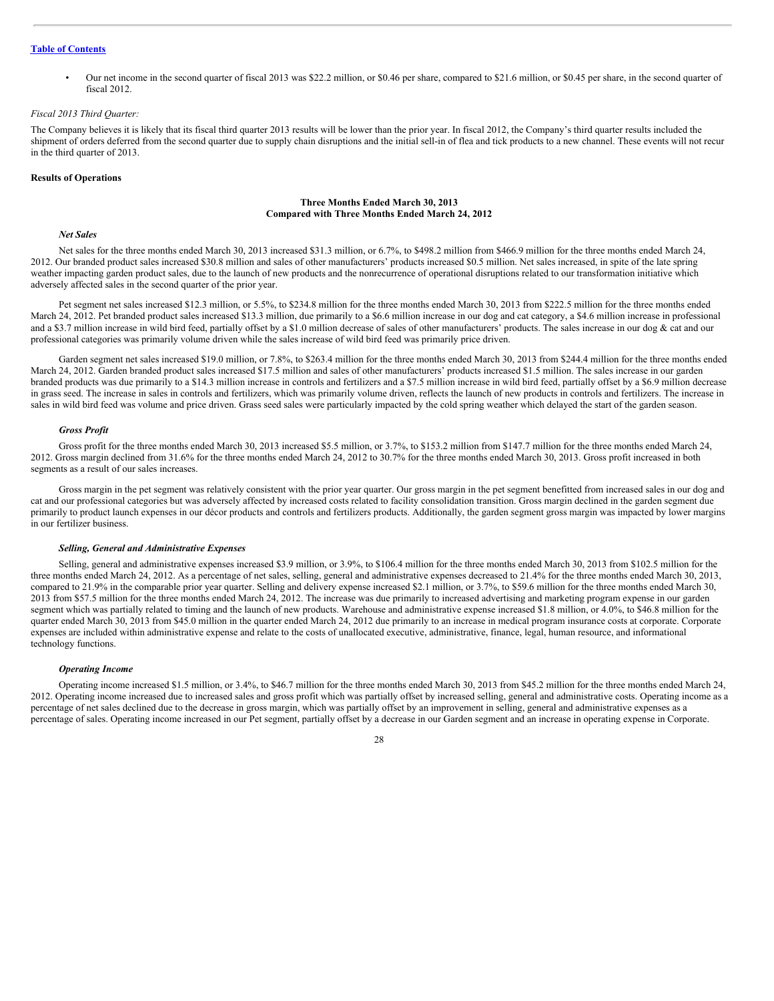• Our net income in the second quarter of fiscal 2013 was \$22.2 million, or \$0.46 per share, compared to \$21.6 million, or \$0.45 per share, in the second quarter of fiscal 2012.

#### *Fiscal 2013 Third Quarter:*

The Company believes it is likely that its fiscal third quarter 2013 results will be lower than the prior year. In fiscal 2012, the Company's third quarter results included the shipment of orders deferred from the second quarter due to supply chain disruptions and the initial sell-in of flea and tick products to a new channel. These events will not recur in the third quarter of 2013.

#### **Results of Operations**

#### **Three Months Ended March 30, 2013 Compared with Three Months Ended March 24, 2012**

## *Net Sales*

Net sales for the three months ended March 30, 2013 increased \$31.3 million, or 6.7%, to \$498.2 million from \$466.9 million for the three months ended March 24, 2012. Our branded product sales increased \$30.8 million and sales of other manufacturers' products increased \$0.5 million. Net sales increased, in spite of the late spring weather impacting garden product sales, due to the launch of new products and the nonrecurrence of operational disruptions related to our transformation initiative which adversely affected sales in the second quarter of the prior year.

Pet segment net sales increased \$12.3 million, or 5.5%, to \$234.8 million for the three months ended March 30, 2013 from \$222.5 million for the three months ended March 24, 2012. Pet branded product sales increased \$13.3 million, due primarily to a \$6.6 million increase in our dog and cat category, a \$4.6 million increase in professional and a \$3.7 million increase in wild bird feed, partially offset by a \$1.0 million decrease of sales of other manufacturers' products. The sales increase in our dog & cat and our professional categories was primarily volume driven while the sales increase of wild bird feed was primarily price driven.

Garden segment net sales increased \$19.0 million, or 7.8%, to \$263.4 million for the three months ended March 30, 2013 from \$244.4 million for the three months ended March 24, 2012. Garden branded product sales increased \$17.5 million and sales of other manufacturers' products increased \$1.5 million. The sales increase in our garden branded products was due primarily to a \$14.3 million increase in controls and fertilizers and a \$7.5 million increase in wild bird feed, partially offset by a \$6.9 million decrease in grass seed. The increase in sales in controls and fertilizers, which was primarily volume driven, reflects the launch of new products in controls and fertilizers. The increase in sales in wild bird feed was volume and price driven. Grass seed sales were particularly impacted by the cold spring weather which delayed the start of the garden season.

## *Gross Profit*

Gross profit for the three months ended March 30, 2013 increased \$5.5 million, or 3.7%, to \$153.2 million from \$147.7 million for the three months ended March 24, 2012. Gross margin declined from 31.6% for the three months ended March 24, 2012 to 30.7% for the three months ended March 30, 2013. Gross profit increased in both segments as a result of our sales increases.

Gross margin in the pet segment was relatively consistent with the prior year quarter. Our gross margin in the pet segment benefitted from increased sales in our dog and cat and our professional categories but was adversely affected by increased costs related to facility consolidation transition. Gross margin declined in the garden segment due primarily to product launch expenses in our décor products and controls and fertilizers products. Additionally, the garden segment gross margin was impacted by lower margins in our fertilizer business.

#### *Selling, General and Administrative Expenses*

Selling, general and administrative expenses increased \$3.9 million, or 3.9%, to \$106.4 million for the three months ended March 30, 2013 from \$102.5 million for the three months ended March 24, 2012. As a percentage of net sales, selling, general and administrative expenses decreased to 21.4% for the three months ended March 30, 2013, compared to 21.9% in the comparable prior year quarter. Selling and delivery expense increased \$2.1 million, or 3.7%, to \$59.6 million for the three months ended March 30, 2013 from \$57.5 million for the three months ended March 24, 2012. The increase was due primarily to increased advertising and marketing program expense in our garden segment which was partially related to timing and the launch of new products. Warehouse and administrative expense increased \$1.8 million, or 4.0%, to \$46.8 million for the quarter ended March 30, 2013 from \$45.0 million in the quarter ended March 24, 2012 due primarily to an increase in medical program insurance costs at corporate. Corporate expenses are included within administrative expense and relate to the costs of unallocated executive, administrative, finance, legal, human resource, and informational technology functions.

#### *Operating Income*

Operating income increased \$1.5 million, or 3.4%, to \$46.7 million for the three months ended March 30, 2013 from \$45.2 million for the three months ended March 24, 2012. Operating income increased due to increased sales and gross profit which was partially offset by increased selling, general and administrative costs. Operating income as a percentage of net sales declined due to the decrease in gross margin, which was partially offset by an improvement in selling, general and administrative expenses as a percentage of sales. Operating income increased in our Pet segment, partially offset by a decrease in our Garden segment and an increase in operating expense in Corporate.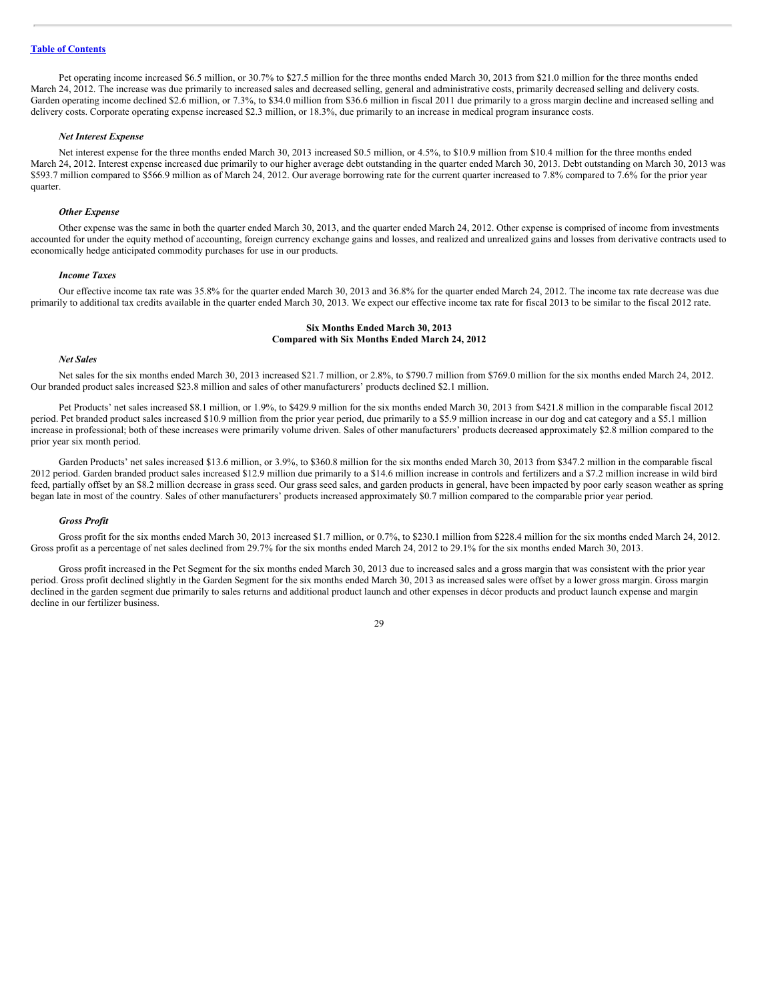Pet operating income increased \$6.5 million, or 30.7% to \$27.5 million for the three months ended March 30, 2013 from \$21.0 million for the three months ended March 24, 2012. The increase was due primarily to increased sales and decreased selling, general and administrative costs, primarily decreased selling and delivery costs. Garden operating income declined \$2.6 million, or 7.3%, to \$34.0 million from \$36.6 million in fiscal 2011 due primarily to a gross margin decline and increased selling and delivery costs. Corporate operating expense increased \$2.3 million, or 18.3%, due primarily to an increase in medical program insurance costs.

### *Net Interest Expense*

Net interest expense for the three months ended March 30, 2013 increased \$0.5 million, or 4.5%, to \$10.9 million from \$10.4 million for the three months ended March 24, 2012. Interest expense increased due primarily to our higher average debt outstanding in the quarter ended March 30, 2013. Debt outstanding on March 30, 2013 was \$593.7 million compared to \$566.9 million as of March 24, 2012. Our average borrowing rate for the current quarter increased to 7.8% compared to 7.6% for the prior year quarter.

#### *Other Expense*

Other expense was the same in both the quarter ended March 30, 2013, and the quarter ended March 24, 2012. Other expense is comprised of income from investments accounted for under the equity method of accounting, foreign currency exchange gains and losses, and realized and unrealized gains and losses from derivative contracts used to economically hedge anticipated commodity purchases for use in our products.

#### *Income Taxes*

Our effective income tax rate was 35.8% for the quarter ended March 30, 2013 and 36.8% for the quarter ended March 24, 2012. The income tax rate decrease was due primarily to additional tax credits available in the quarter ended March 30, 2013. We expect our effective income tax rate for fiscal 2013 to be similar to the fiscal 2012 rate.

#### **Six Months Ended March 30, 2013 Compared with Six Months Ended March 24, 2012**

## *Net Sales*

Net sales for the six months ended March 30, 2013 increased \$21.7 million, or 2.8%, to \$790.7 million from \$769.0 million for the six months ended March 24, 2012. Our branded product sales increased \$23.8 million and sales of other manufacturers' products declined \$2.1 million.

Pet Products' net sales increased \$8.1 million, or 1.9%, to \$429.9 million for the six months ended March 30, 2013 from \$421.8 million in the comparable fiscal 2012 period. Pet branded product sales increased \$10.9 million from the prior year period, due primarily to a \$5.9 million increase in our dog and cat category and a \$5.1 million increase in professional; both of these increases were primarily volume driven. Sales of other manufacturers' products decreased approximately \$2.8 million compared to the prior year six month period.

Garden Products' net sales increased \$13.6 million, or 3.9%, to \$360.8 million for the six months ended March 30, 2013 from \$347.2 million in the comparable fiscal 2012 period. Garden branded product sales increased \$12.9 million due primarily to a \$14.6 million increase in controls and fertilizers and a \$7.2 million increase in wild bird feed, partially offset by an \$8.2 million decrease in grass seed. Our grass seed sales, and garden products in general, have been impacted by poor early season weather as spring began late in most of the country. Sales of other manufacturers' products increased approximately \$0.7 million compared to the comparable prior year period.

#### *Gross Profit*

Gross profit for the six months ended March 30, 2013 increased \$1.7 million, or 0.7%, to \$230.1 million from \$228.4 million for the six months ended March 24, 2012. Gross profit as a percentage of net sales declined from 29.7% for the six months ended March 24, 2012 to 29.1% for the six months ended March 30, 2013.

Gross profit increased in the Pet Segment for the six months ended March 30, 2013 due to increased sales and a gross margin that was consistent with the prior year period. Gross profit declined slightly in the Garden Segment for the six months ended March 30, 2013 as increased sales were offset by a lower gross margin. Gross margin declined in the garden segment due primarily to sales returns and additional product launch and other expenses in décor products and product launch expense and margin decline in our fertilizer business.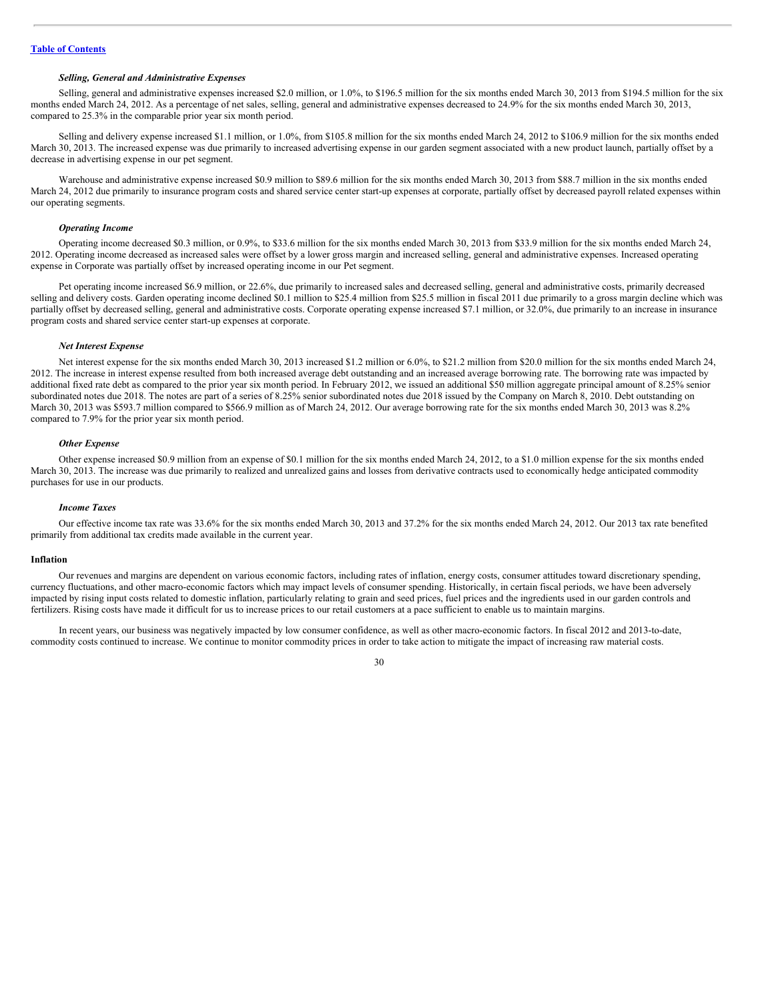## *Selling, General and Administrative Expenses*

Selling, general and administrative expenses increased \$2.0 million, or 1.0%, to \$196.5 million for the six months ended March 30, 2013 from \$194.5 million for the six months ended March 24, 2012. As a percentage of net sales, selling, general and administrative expenses decreased to 24.9% for the six months ended March 30, 2013, compared to 25.3% in the comparable prior year six month period.

Selling and delivery expense increased \$1.1 million, or 1.0%, from \$105.8 million for the six months ended March 24, 2012 to \$106.9 million for the six months ended March 30, 2013. The increased expense was due primarily to increased advertising expense in our garden segment associated with a new product launch, partially offset by a decrease in advertising expense in our pet segment.

Warehouse and administrative expense increased \$0.9 million to \$89.6 million for the six months ended March 30, 2013 from \$88.7 million in the six months ended March 24, 2012 due primarily to insurance program costs and shared service center start-up expenses at corporate, partially offset by decreased payroll related expenses within our operating segments.

#### *Operating Income*

Operating income decreased \$0.3 million, or 0.9%, to \$33.6 million for the six months ended March 30, 2013 from \$33.9 million for the six months ended March 24, 2012. Operating income decreased as increased sales were offset by a lower gross margin and increased selling, general and administrative expenses. Increased operating expense in Corporate was partially offset by increased operating income in our Pet segment.

Pet operating income increased \$6.9 million, or 22.6%, due primarily to increased sales and decreased selling, general and administrative costs, primarily decreased selling and delivery costs. Garden operating income declined \$0.1 million to \$25.4 million from \$25.5 million in fiscal 2011 due primarily to a gross margin decline which was partially offset by decreased selling, general and administrative costs. Corporate operating expense increased \$7.1 million, or 32.0%, due primarily to an increase in insurance program costs and shared service center start-up expenses at corporate.

#### *Net Interest Expense*

Net interest expense for the six months ended March 30, 2013 increased \$1.2 million or 6.0%, to \$21.2 million from \$20.0 million for the six months ended March 24, 2012. The increase in interest expense resulted from both increased average debt outstanding and an increased average borrowing rate. The borrowing rate was impacted by additional fixed rate debt as compared to the prior year six month period. In February 2012, we issued an additional \$50 million aggregate principal amount of 8.25% senior subordinated notes due 2018. The notes are part of a series of 8.25% senior subordinated notes due 2018 issued by the Company on March 8, 2010. Debt outstanding on March 30, 2013 was \$593.7 million compared to \$566.9 million as of March 24, 2012. Our average borrowing rate for the six months ended March 30, 2013 was 8.2% compared to 7.9% for the prior year six month period.

#### *Other Expense*

Other expense increased \$0.9 million from an expense of \$0.1 million for the six months ended March 24, 2012, to a \$1.0 million expense for the six months ended March 30, 2013. The increase was due primarily to realized and unrealized gains and losses from derivative contracts used to economically hedge anticipated commodity purchases for use in our products.

#### *Income Taxes*

Our effective income tax rate was 33.6% for the six months ended March 30, 2013 and 37.2% for the six months ended March 24, 2012. Our 2013 tax rate benefited primarily from additional tax credits made available in the current year.

#### **Inflation**

Our revenues and margins are dependent on various economic factors, including rates of inflation, energy costs, consumer attitudes toward discretionary spending, currency fluctuations, and other macro-economic factors which may impact levels of consumer spending. Historically, in certain fiscal periods, we have been adversely impacted by rising input costs related to domestic inflation, particularly relating to grain and seed prices, fuel prices and the ingredients used in our garden controls and fertilizers. Rising costs have made it difficult for us to increase prices to our retail customers at a pace sufficient to enable us to maintain margins.

In recent years, our business was negatively impacted by low consumer confidence, as well as other macro-economic factors. In fiscal 2012 and 2013-to-date, commodity costs continued to increase. We continue to monitor commodity prices in order to take action to mitigate the impact of increasing raw material costs.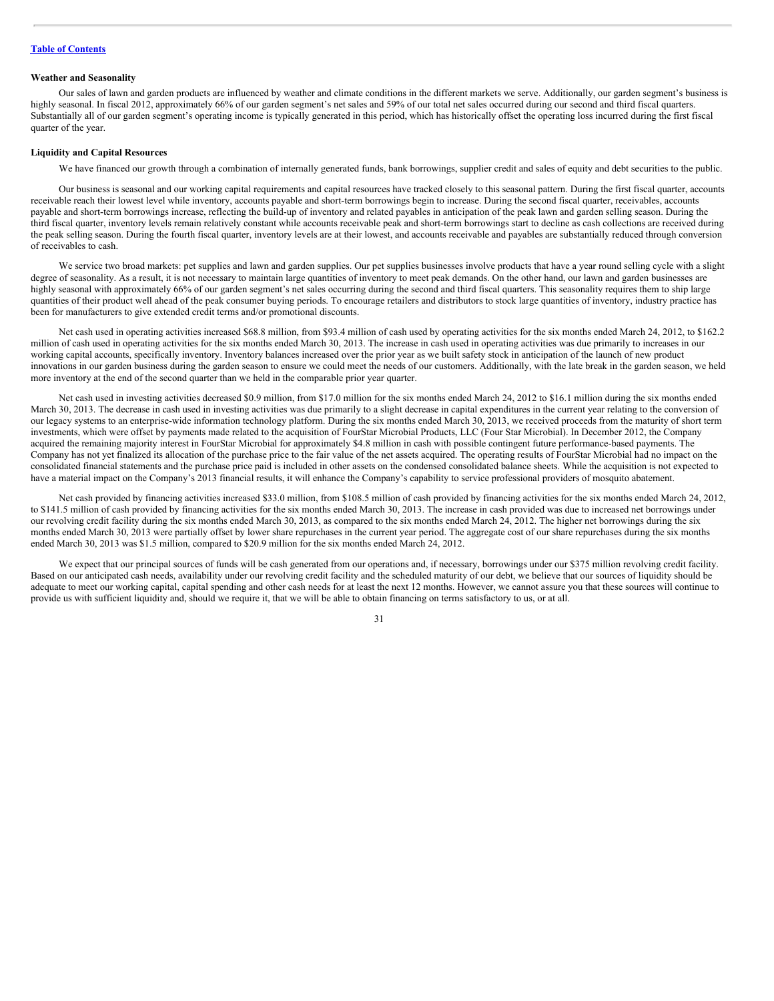#### **Weather and Seasonality**

Our sales of lawn and garden products are influenced by weather and climate conditions in the different markets we serve. Additionally, our garden segment's business is highly seasonal. In fiscal 2012, approximately 66% of our garden segment's net sales and 59% of our total net sales occurred during our second and third fiscal quarters. Substantially all of our garden segment's operating income is typically generated in this period, which has historically offset the operating loss incurred during the first fiscal quarter of the year.

#### **Liquidity and Capital Resources**

We have financed our growth through a combination of internally generated funds, bank borrowings, supplier credit and sales of equity and debt securities to the public.

Our business is seasonal and our working capital requirements and capital resources have tracked closely to this seasonal pattern. During the first fiscal quarter, accounts receivable reach their lowest level while inventory, accounts payable and short-term borrowings begin to increase. During the second fiscal quarter, receivables, accounts payable and short-term borrowings increase, reflecting the build-up of inventory and related payables in anticipation of the peak lawn and garden selling season. During the third fiscal quarter, inventory levels remain relatively constant while accounts receivable peak and short-term borrowings start to decline as cash collections are received during the peak selling season. During the fourth fiscal quarter, inventory levels are at their lowest, and accounts receivable and payables are substantially reduced through conversion of receivables to cash.

We service two broad markets: pet supplies and lawn and garden supplies. Our pet supplies businesses involve products that have a year round selling cycle with a slight degree of seasonality. As a result, it is not necessary to maintain large quantities of inventory to meet peak demands. On the other hand, our lawn and garden businesses are highly seasonal with approximately 66% of our garden segment's net sales occurring during the second and third fiscal quarters. This seasonality requires them to ship large quantities of their product well ahead of the peak consumer buying periods. To encourage retailers and distributors to stock large quantities of inventory, industry practice has been for manufacturers to give extended credit terms and/or promotional discounts.

Net cash used in operating activities increased \$68.8 million, from \$93.4 million of cash used by operating activities for the six months ended March 24, 2012, to \$162.2 million of cash used in operating activities for the six months ended March 30, 2013. The increase in cash used in operating activities was due primarily to increases in our working capital accounts, specifically inventory. Inventory balances increased over the prior year as we built safety stock in anticipation of the launch of new product innovations in our garden business during the garden season to ensure we could meet the needs of our customers. Additionally, with the late break in the garden season, we held more inventory at the end of the second quarter than we held in the comparable prior year quarter.

Net cash used in investing activities decreased \$0.9 million, from \$17.0 million for the six months ended March 24, 2012 to \$16.1 million during the six months ended March 30, 2013. The decrease in cash used in investing activities was due primarily to a slight decrease in capital expenditures in the current year relating to the conversion of our legacy systems to an enterprise-wide information technology platform. During the six months ended March 30, 2013, we received proceeds from the maturity of short term investments, which were offset by payments made related to the acquisition of FourStar Microbial Products, LLC (Four Star Microbial). In December 2012, the Company acquired the remaining majority interest in FourStar Microbial for approximately \$4.8 million in cash with possible contingent future performance-based payments. The Company has not yet finalized its allocation of the purchase price to the fair value of the net assets acquired. The operating results of FourStar Microbial had no impact on the consolidated financial statements and the purchase price paid is included in other assets on the condensed consolidated balance sheets. While the acquisition is not expected to have a material impact on the Company's 2013 financial results, it will enhance the Company's capability to service professional providers of mosquito abatement.

Net cash provided by financing activities increased \$33.0 million, from \$108.5 million of cash provided by financing activities for the six months ended March 24, 2012, to \$141.5 million of cash provided by financing activities for the six months ended March 30, 2013. The increase in cash provided was due to increased net borrowings under our revolving credit facility during the six months ended March 30, 2013, as compared to the six months ended March 24, 2012. The higher net borrowings during the six months ended March 30, 2013 were partially offset by lower share repurchases in the current year period. The aggregate cost of our share repurchases during the six months ended March 30, 2013 was \$1.5 million, compared to \$20.9 million for the six months ended March 24, 2012.

We expect that our principal sources of funds will be cash generated from our operations and, if necessary, borrowings under our \$375 million revolving credit facility. Based on our anticipated cash needs, availability under our revolving credit facility and the scheduled maturity of our debt, we believe that our sources of liquidity should be adequate to meet our working capital, capital spending and other cash needs for at least the next 12 months. However, we cannot assure you that these sources will continue to provide us with sufficient liquidity and, should we require it, that we will be able to obtain financing on terms satisfactory to us, or at all.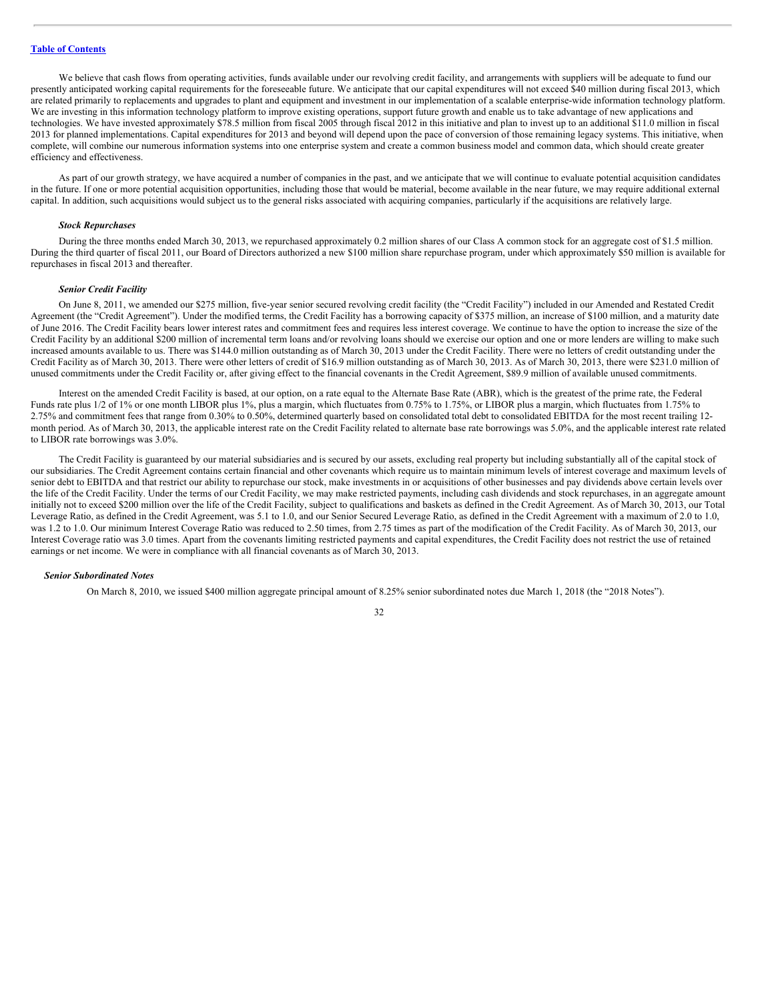We believe that cash flows from operating activities, funds available under our revolving credit facility, and arrangements with suppliers will be adequate to fund our presently anticipated working capital requirements for the foreseeable future. We anticipate that our capital expenditures will not exceed \$40 million during fiscal 2013, which are related primarily to replacements and upgrades to plant and equipment and investment in our implementation of a scalable enterprise-wide information technology platform. We are investing in this information technology platform to improve existing operations, support future growth and enable us to take advantage of new applications and technologies. We have invested approximately \$78.5 million from fiscal 2005 through fiscal 2012 in this initiative and plan to invest up to an additional \$11.0 million in fiscal 2013 for planned implementations. Capital expenditures for 2013 and beyond will depend upon the pace of conversion of those remaining legacy systems. This initiative, when complete, will combine our numerous information systems into one enterprise system and create a common business model and common data, which should create greater efficiency and effectiveness.

As part of our growth strategy, we have acquired a number of companies in the past, and we anticipate that we will continue to evaluate potential acquisition candidates in the future. If one or more potential acquisition opportunities, including those that would be material, become available in the near future, we may require additional external capital. In addition, such acquisitions would subject us to the general risks associated with acquiring companies, particularly if the acquisitions are relatively large.

#### *Stock Repurchases*

During the three months ended March 30, 2013, we repurchased approximately 0.2 million shares of our Class A common stock for an aggregate cost of \$1.5 million. During the third quarter of fiscal 2011, our Board of Directors authorized a new \$100 million share repurchase program, under which approximately \$50 million is available for repurchases in fiscal 2013 and thereafter.

#### *Senior Credit Facility*

On June 8, 2011, we amended our \$275 million, five-year senior secured revolving credit facility (the "Credit Facility") included in our Amended and Restated Credit Agreement (the "Credit Agreement"). Under the modified terms, the Credit Facility has a borrowing capacity of \$375 million, an increase of \$100 million, and a maturity date of June 2016. The Credit Facility bears lower interest rates and commitment fees and requires less interest coverage. We continue to have the option to increase the size of the Credit Facility by an additional \$200 million of incremental term loans and/or revolving loans should we exercise our option and one or more lenders are willing to make such increased amounts available to us. There was \$144.0 million outstanding as of March 30, 2013 under the Credit Facility. There were no letters of credit outstanding under the Credit Facility as of March 30, 2013. There were other letters of credit of \$16.9 million outstanding as of March 30, 2013. As of March 30, 2013, there were \$231.0 million of unused commitments under the Credit Facility or, after giving effect to the financial covenants in the Credit Agreement, \$89.9 million of available unused commitments.

Interest on the amended Credit Facility is based, at our option, on a rate equal to the Alternate Base Rate (ABR), which is the greatest of the prime rate, the Federal Funds rate plus 1/2 of 1% or one month LIBOR plus 1%, plus a margin, which fluctuates from 0.75% to 1.75%, or LIBOR plus a margin, which fluctuates from 1.75% to 2.75% and commitment fees that range from 0.30% to 0.50%, determined quarterly based on consolidated total debt to consolidated EBITDA for the most recent trailing 12month period. As of March 30, 2013, the applicable interest rate on the Credit Facility related to alternate base rate borrowings was 5.0%, and the applicable interest rate related to LIBOR rate borrowings was 3.0%.

The Credit Facility is guaranteed by our material subsidiaries and is secured by our assets, excluding real property but including substantially all of the capital stock of our subsidiaries. The Credit Agreement contains certain financial and other covenants which require us to maintain minimum levels of interest coverage and maximum levels of senior debt to EBITDA and that restrict our ability to repurchase our stock, make investments in or acquisitions of other businesses and pay dividends above certain levels over the life of the Credit Facility. Under the terms of our Credit Facility, we may make restricted payments, including cash dividends and stock repurchases, in an aggregate amount initially not to exceed \$200 million over the life of the Credit Facility, subject to qualifications and baskets as defined in the Credit Agreement. As of March 30, 2013, our Total Leverage Ratio, as defined in the Credit Agreement, was 5.1 to 1.0, and our Senior Secured Leverage Ratio, as defined in the Credit Agreement with a maximum of 2.0 to 1.0, was 1.2 to 1.0. Our minimum Interest Coverage Ratio was reduced to 2.50 times, from 2.75 times as part of the modification of the Credit Facility. As of March 30, 2013, our Interest Coverage ratio was 3.0 times. Apart from the covenants limiting restricted payments and capital expenditures, the Credit Facility does not restrict the use of retained earnings or net income. We were in compliance with all financial covenants as of March 30, 2013.

#### *Senior Subordinated Notes*

On March 8, 2010, we issued \$400 million aggregate principal amount of 8.25% senior subordinated notes due March 1, 2018 (the "2018 Notes").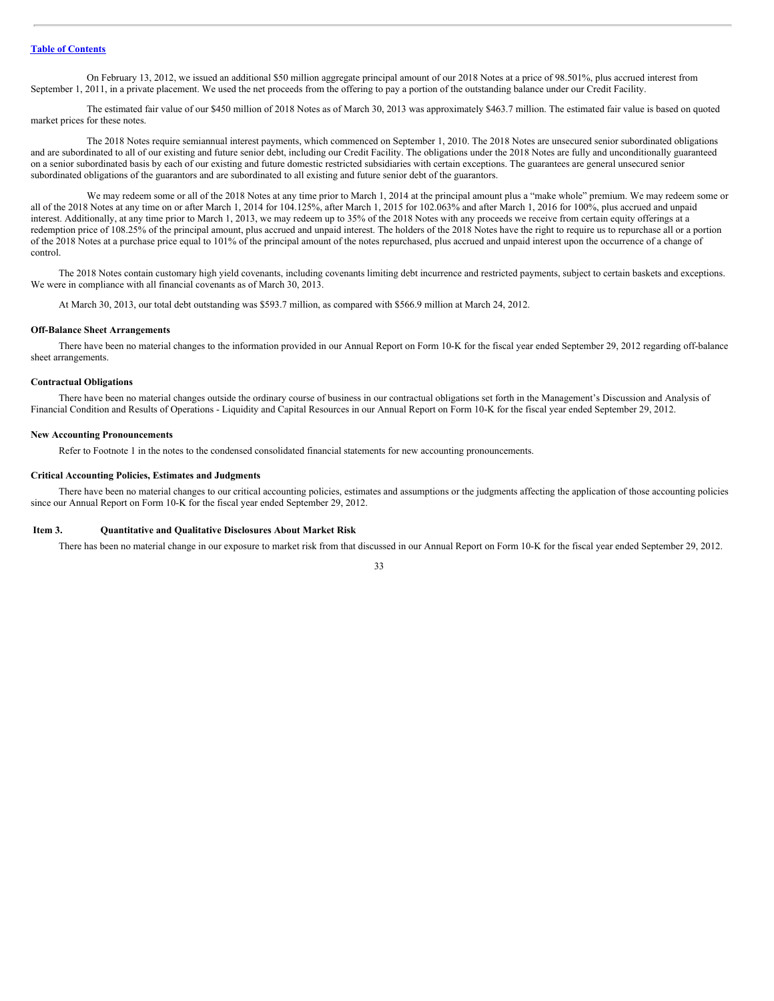On February 13, 2012, we issued an additional \$50 million aggregate principal amount of our 2018 Notes at a price of 98.501%, plus accrued interest from September 1, 2011, in a private placement. We used the net proceeds from the offering to pay a portion of the outstanding balance under our Credit Facility.

The estimated fair value of our \$450 million of 2018 Notes as of March 30, 2013 was approximately \$463.7 million. The estimated fair value is based on quoted market prices for these notes.

The 2018 Notes require semiannual interest payments, which commenced on September 1, 2010. The 2018 Notes are unsecured senior subordinated obligations and are subordinated to all of our existing and future senior debt, including our Credit Facility. The obligations under the 2018 Notes are fully and unconditionally guaranteed on a senior subordinated basis by each of our existing and future domestic restricted subsidiaries with certain exceptions. The guarantees are general unsecured senior subordinated obligations of the guarantors and are subordinated to all existing and future senior debt of the guarantors.

We may redeem some or all of the 2018 Notes at any time prior to March 1, 2014 at the principal amount plus a "make whole" premium. We may redeem some or all of the 2018 Notes at any time on or after March 1, 2014 for 104.125%, after March 1, 2015 for 102.063% and after March 1, 2016 for 100%, plus accrued and unpaid interest. Additionally, at any time prior to March 1, 2013, we may redeem up to 35% of the 2018 Notes with any proceeds we receive from certain equity offerings at a redemption price of 108.25% of the principal amount, plus accrued and unpaid interest. The holders of the 2018 Notes have the right to require us to repurchase all or a portion of the 2018 Notes at a purchase price equal to 101% of the principal amount of the notes repurchased, plus accrued and unpaid interest upon the occurrence of a change of control.

The 2018 Notes contain customary high yield covenants, including covenants limiting debt incurrence and restricted payments, subject to certain baskets and exceptions. We were in compliance with all financial covenants as of March 30, 2013.

At March 30, 2013, our total debt outstanding was \$593.7 million, as compared with \$566.9 million at March 24, 2012.

#### **Off-Balance Sheet Arrangements**

There have been no material changes to the information provided in our Annual Report on Form 10-K for the fiscal year ended September 29, 2012 regarding off-balance sheet arrangements.

#### **Contractual Obligations**

There have been no material changes outside the ordinary course of business in our contractual obligations set forth in the Management's Discussion and Analysis of Financial Condition and Results of Operations - Liquidity and Capital Resources in our Annual Report on Form 10-K for the fiscal year ended September 29, 2012.

#### **New Accounting Pronouncements**

Refer to Footnote 1 in the notes to the condensed consolidated financial statements for new accounting pronouncements.

#### **Critical Accounting Policies, Estimates and Judgments**

There have been no material changes to our critical accounting policies, estimates and assumptions or the judgments affecting the application of those accounting policies since our Annual Report on Form 10-K for the fiscal year ended September 29, 2012.

#### <span id="page-32-0"></span>**Item 3. Quantitative and Qualitative Disclosures About Market Risk**

There has been no material change in our exposure to market risk from that discussed in our Annual Report on Form 10-K for the fiscal year ended September 29, 2012.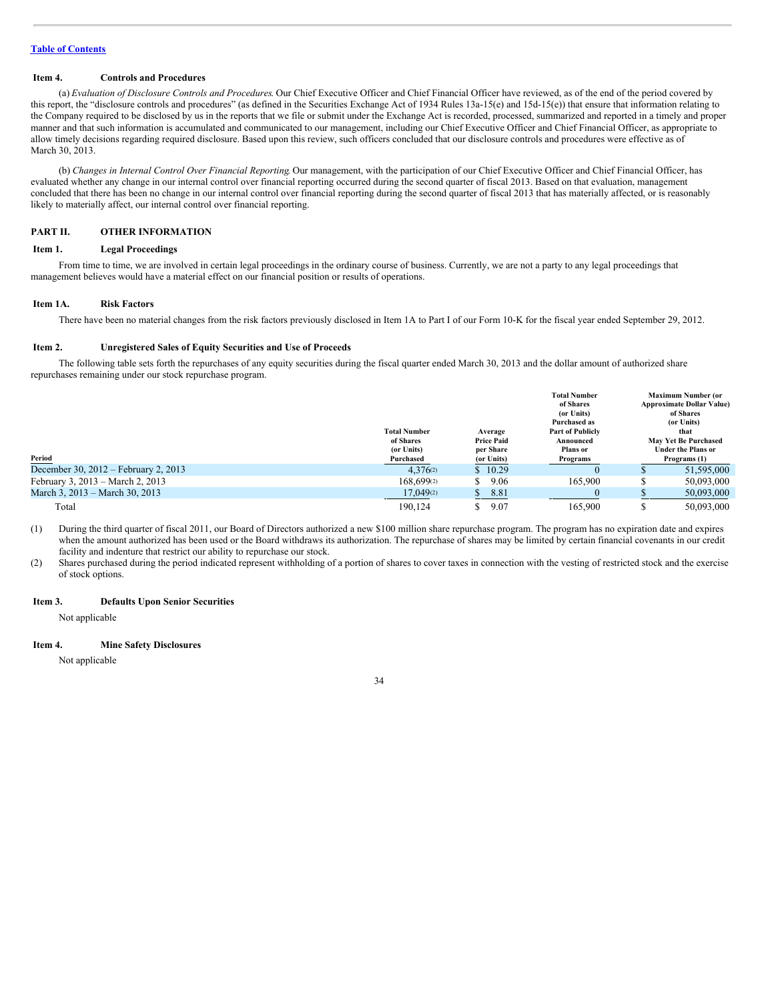#### <span id="page-33-0"></span>**Item 4. Controls and Procedures**

(a) *Evaluation of Disclosure Controls and Procedures*. Our Chief Executive Officer and Chief Financial Officer have reviewed, as of the end of the period covered by this report, the "disclosure controls and procedures" (as defined in the Securities Exchange Act of 1934 Rules 13a-15(e) and 15d-15(e)) that ensure that information relating to the Company required to be disclosed by us in the reports that we file or submit under the Exchange Act is recorded, processed, summarized and reported in a timely and proper manner and that such information is accumulated and communicated to our management, including our Chief Executive Officer and Chief Financial Officer, as appropriate to allow timely decisions regarding required disclosure. Based upon this review, such officers concluded that our disclosure controls and procedures were effective as of March 30, 2013.

(b) *Changes in Internal Control Over Financial Reporting*. Our management, with the participation of our Chief Executive Officer and Chief Financial Officer, has evaluated whether any change in our internal control over financial reporting occurred during the second quarter of fiscal 2013. Based on that evaluation, management concluded that there has been no change in our internal control over financial reporting during the second quarter of fiscal 2013 that has materially affected, or is reasonably likely to materially affect, our internal control over financial reporting.

#### **PART II. OTHER INFORMATION**

#### <span id="page-33-1"></span>**Item 1. Legal Proceedings**

From time to time, we are involved in certain legal proceedings in the ordinary course of business. Currently, we are not a party to any legal proceedings that management believes would have a material effect on our financial position or results of operations.

#### <span id="page-33-2"></span>**Item 1A. Risk Factors**

There have been no material changes from the risk factors previously disclosed in Item 1A to Part I of our Form 10-K for the fiscal year ended September 29, 2012.

#### <span id="page-33-3"></span>**Item 2. Unregistered Sales of Equity Securities and Use of Proceeds**

The following table sets forth the repurchases of any equity securities during the fiscal quarter ended March 30, 2013 and the dollar amount of authorized share repurchases remaining under our stock repurchase program.

|                                      | <b>Total Number</b><br>of Shares<br>(or Units) | Average<br><b>Price Paid</b><br>per Share | <b>Total Number</b><br>of Shares<br>(or Units)<br>Purchased as<br><b>Part of Publicly</b><br>Announced<br><b>Plans or</b> | <b>Maximum Number (or</b><br><b>Approximate Dollar Value)</b><br>of Shares<br>(or Units)<br>that<br><b>May Yet Be Purchased</b><br><b>Under the Plans or</b> |
|--------------------------------------|------------------------------------------------|-------------------------------------------|---------------------------------------------------------------------------------------------------------------------------|--------------------------------------------------------------------------------------------------------------------------------------------------------------|
| Period                               | Purchased                                      | (or Units)                                | Programs                                                                                                                  | Programs (1)                                                                                                                                                 |
| December 30, 2012 – February 2, 2013 | 4.376(2)                                       | \$10.29                                   | $\theta$                                                                                                                  | 51,595,000                                                                                                                                                   |
| February 3, 2013 – March 2, 2013     | 168.699(2)                                     | 9.06<br>S                                 | 165,900                                                                                                                   | 50.093.000                                                                                                                                                   |
| March 3, 2013 – March 30, 2013       | 17,049(2)                                      | 8.81<br>$\mathbf{D}$                      |                                                                                                                           | 50,093,000                                                                                                                                                   |
| Total                                | 190.124                                        | 9.07                                      | 165,900                                                                                                                   | 50,093,000                                                                                                                                                   |

(1) During the third quarter of fiscal 2011, our Board of Directors authorized a new \$100 million share repurchase program. The program has no expiration date and expires when the amount authorized has been used or the Board withdraws its authorization. The repurchase of shares may be limited by certain financial covenants in our credit facility and indenture that restrict our ability to repurchase our stock.

(2) Shares purchased during the period indicated represent withholding of a portion of shares to cover taxes in connection with the vesting of restricted stock and the exercise of stock options.

#### <span id="page-33-4"></span>**Item 3. Defaults Upon Senior Securities**

Not applicable

#### <span id="page-33-5"></span>**Item 4. Mine Safety Disclosures**

Not applicable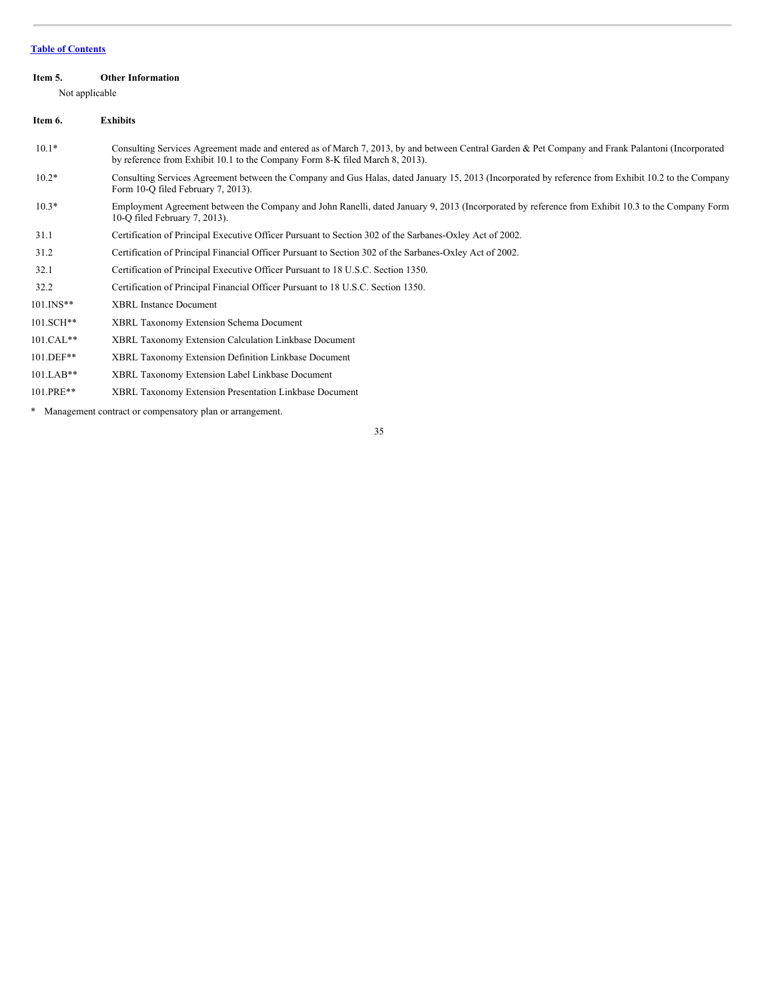<span id="page-34-0"></span>

| Item 5. | <b>Other Information</b> |
|---------|--------------------------|
|---------|--------------------------|

Not applicable

<span id="page-34-1"></span>

| Item 6.      | <b>Exhibits</b>                                                                                                                                                                                                                   |
|--------------|-----------------------------------------------------------------------------------------------------------------------------------------------------------------------------------------------------------------------------------|
| $10.1*$      | Consulting Services Agreement made and entered as of March 7, 2013, by and between Central Garden & Pet Company and Frank Palantoni (Incorporated<br>by reference from Exhibit 10.1 to the Company Form 8-K filed March 8, 2013). |
| $10.2*$      | Consulting Services Agreement between the Company and Gus Halas, dated January 15, 2013 (Incorporated by reference from Exhibit 10.2 to the Company<br>Form 10-Q filed February 7, 2013).                                         |
| $10.3*$      | Employment Agreement between the Company and John Ranelli, dated January 9, 2013 (Incorporated by reference from Exhibit 10.3 to the Company Form<br>10-O filed February 7, 2013).                                                |
| 31.1         | Certification of Principal Executive Officer Pursuant to Section 302 of the Sarbanes-Oxley Act of 2002.                                                                                                                           |
| 31.2         | Certification of Principal Financial Officer Pursuant to Section 302 of the Sarbanes-Oxley Act of 2002.                                                                                                                           |
| 32.1         | Certification of Principal Executive Officer Pursuant to 18 U.S.C. Section 1350.                                                                                                                                                  |
| 32.2         | Certification of Principal Financial Officer Pursuant to 18 U.S.C. Section 1350.                                                                                                                                                  |
| $101.$ INS** | <b>XBRL Instance Document</b>                                                                                                                                                                                                     |
| 101.SCH**    | XBRL Taxonomy Extension Schema Document                                                                                                                                                                                           |
| $101.CAL**$  | XBRL Taxonomy Extension Calculation Linkbase Document                                                                                                                                                                             |
| $101.DEF**$  | XBRL Taxonomy Extension Definition Linkbase Document                                                                                                                                                                              |
| $101.LAB**$  | XBRL Taxonomy Extension Label Linkbase Document                                                                                                                                                                                   |
| 101.PRE**    | XBRL Taxonomy Extension Presentation Linkbase Document                                                                                                                                                                            |
|              | * Management contract or compensatory plan or arrangement.                                                                                                                                                                        |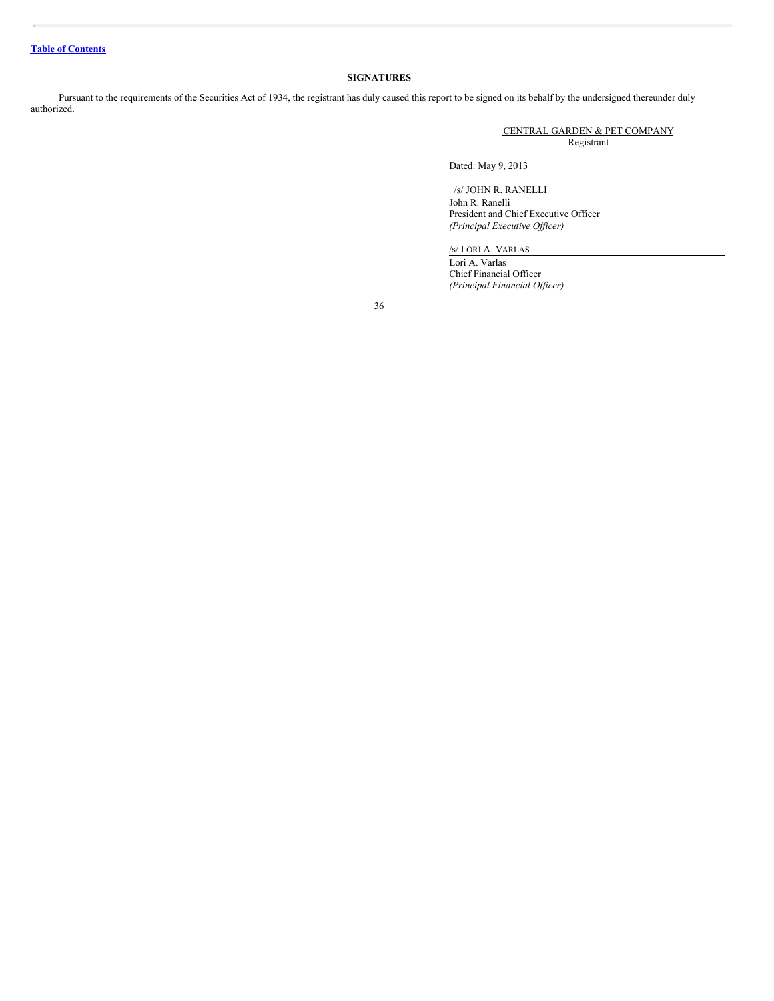## **SIGNATURES**

Pursuant to the requirements of the Securities Act of 1934, the registrant has duly caused this report to be signed on its behalf by the undersigned thereunder duly authorized.

> CENTRAL GARDEN & PET COMPANY Registrant

Dated: May 9, 2013

/s/ JOHN R. RANELLI

John R. Ranelli President and Chief Executive Officer *(Principal Executive Of icer)*

/s/ LORI A. VARLAS

Lori A. Varlas Chief Financial Officer *(Principal Financial Of icer)*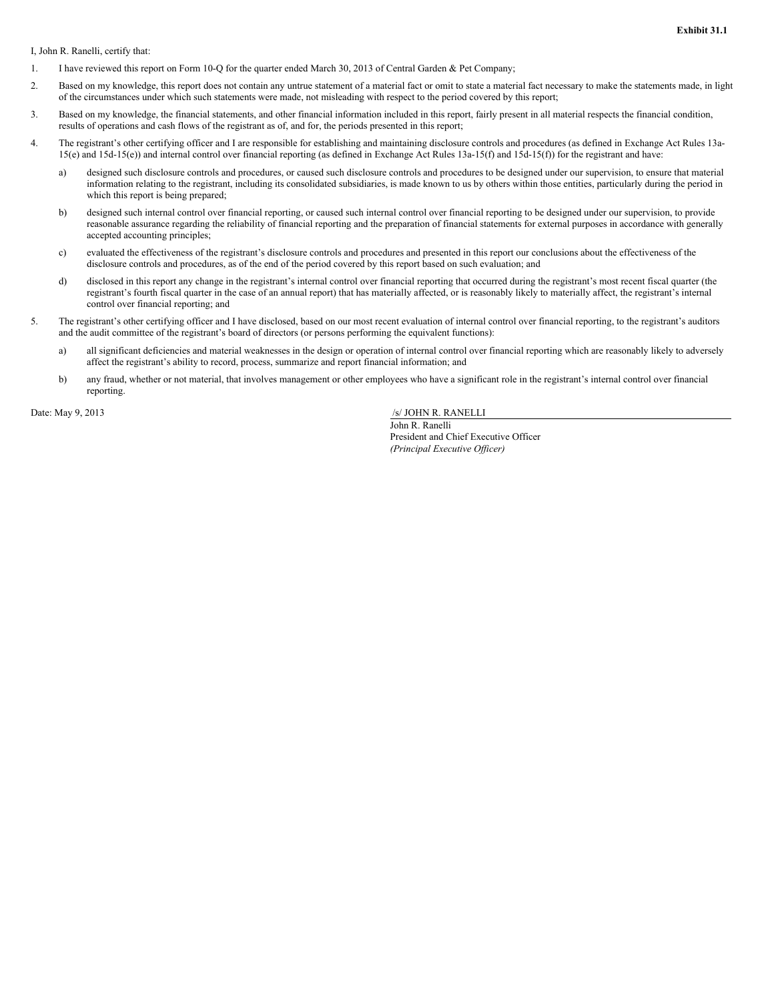I, John R. Ranelli, certify that:

- 1. I have reviewed this report on Form 10-Q for the quarter ended March 30, 2013 of Central Garden & Pet Company;
- 2. Based on my knowledge, this report does not contain any untrue statement of a material fact or omit to state a material fact necessary to make the statements made, in light of the circumstances under which such statements were made, not misleading with respect to the period covered by this report;
- 3. Based on my knowledge, the financial statements, and other financial information included in this report, fairly present in all material respects the financial condition, results of operations and cash flows of the registrant as of, and for, the periods presented in this report;
- 4. The registrant's other certifying officer and I are responsible for establishing and maintaining disclosure controls and procedures (as defined in Exchange Act Rules 13a-15(e) and 15d-15(e)) and internal control over financial reporting (as defined in Exchange Act Rules 13a-15(f) and 15d-15(f)) for the registrant and have:
	- a) designed such disclosure controls and procedures, or caused such disclosure controls and procedures to be designed under our supervision, to ensure that material information relating to the registrant, including its consolidated subsidiaries, is made known to us by others within those entities, particularly during the period in which this report is being prepared;
	- b) designed such internal control over financial reporting, or caused such internal control over financial reporting to be designed under our supervision, to provide reasonable assurance regarding the reliability of financial reporting and the preparation of financial statements for external purposes in accordance with generally accepted accounting principles;
	- c) evaluated the effectiveness of the registrant's disclosure controls and procedures and presented in this report our conclusions about the effectiveness of the disclosure controls and procedures, as of the end of the period covered by this report based on such evaluation; and
	- d) disclosed in this report any change in the registrant's internal control over financial reporting that occurred during the registrant's most recent fiscal quarter (the registrant's fourth fiscal quarter in the case of an annual report) that has materially affected, or is reasonably likely to materially affect, the registrant's internal control over financial reporting; and
- 5. The registrant's other certifying officer and I have disclosed, based on our most recent evaluation of internal control over financial reporting, to the registrant's auditors and the audit committee of the registrant's board of directors (or persons performing the equivalent functions):
	- a) all significant deficiencies and material weaknesses in the design or operation of internal control over financial reporting which are reasonably likely to adversely affect the registrant's ability to record, process, summarize and report financial information; and
	- b) any fraud, whether or not material, that involves management or other employees who have a significant role in the registrant's internal control over financial reporting.

Date: May 9, 2013 /s/ JOHN R. RANELLI

John R. Ranelli President and Chief Executive Officer *(Principal Executive Of icer)*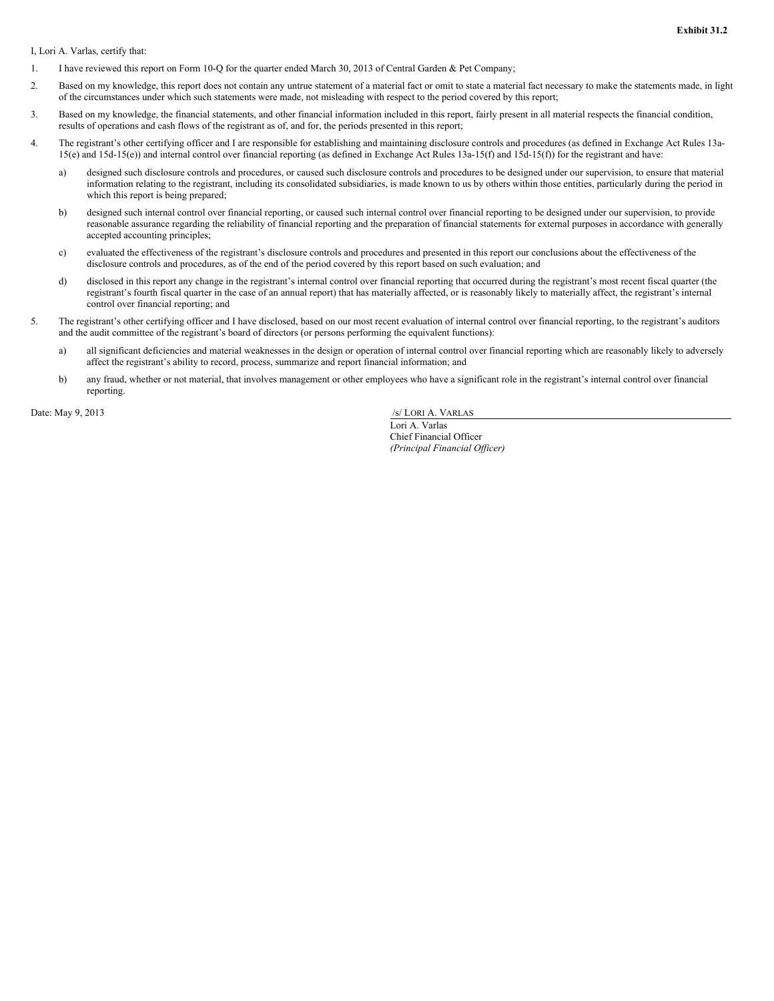I, Lori A. Varlas, certify that:

- 1. I have reviewed this report on Form 10-Q for the quarter ended March 30, 2013 of Central Garden & Pet Company;
- 2. Based on my knowledge, this report does not contain any untrue statement of a material fact or omit to state a material fact necessary to make the statements made, in light of the circumstances under which such statements were made, not misleading with respect to the period covered by this report;
- 3. Based on my knowledge, the financial statements, and other financial information included in this report, fairly present in all material respects the financial condition, results of operations and cash flows of the registrant as of, and for, the periods presented in this report;
- 4. The registrant's other certifying officer and I are responsible for establishing and maintaining disclosure controls and procedures (as defined in Exchange Act Rules 13a-15(e) and 15d-15(e)) and internal control over financial reporting (as defined in Exchange Act Rules 13a-15(f) and 15d-15(f)) for the registrant and have:
	- a) designed such disclosure controls and procedures, or caused such disclosure controls and procedures to be designed under our supervision, to ensure that material information relating to the registrant, including its consolidated subsidiaries, is made known to us by others within those entities, particularly during the period in which this report is being prepared;
	- b) designed such internal control over financial reporting, or caused such internal control over financial reporting to be designed under our supervision, to provide reasonable assurance regarding the reliability of financial reporting and the preparation of financial statements for external purposes in accordance with generally accepted accounting principles;
	- c) evaluated the effectiveness of the registrant's disclosure controls and procedures and presented in this report our conclusions about the effectiveness of the disclosure controls and procedures, as of the end of the period covered by this report based on such evaluation; and
	- d) disclosed in this report any change in the registrant's internal control over financial reporting that occurred during the registrant's most recent fiscal quarter (the registrant's fourth fiscal quarter in the case of an annual report) that has materially affected, or is reasonably likely to materially affect, the registrant's internal control over financial reporting; and
- 5. The registrant's other certifying officer and I have disclosed, based on our most recent evaluation of internal control over financial reporting, to the registrant's auditors and the audit committee of the registrant's board of directors (or persons performing the equivalent functions):
	- a) all significant deficiencies and material weaknesses in the design or operation of internal control over financial reporting which are reasonably likely to adversely affect the registrant's ability to record, process, summarize and report financial information; and
	- b) any fraud, whether or not material, that involves management or other employees who have a significant role in the registrant's internal control over financial reporting.

Date: May 9, 2013 /s/ LORI A. VARLAS

Lori A. Varlas

Chief Financial Officer *(Principal Financial Of icer)*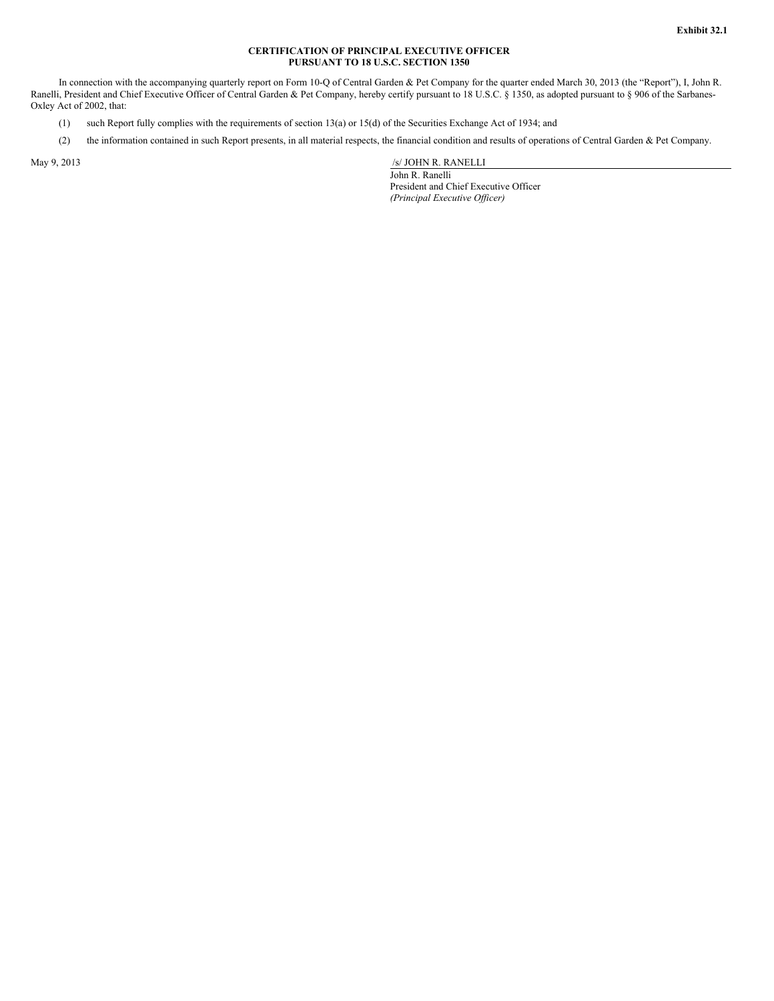## **CERTIFICATION OF PRINCIPAL EXECUTIVE OFFICER PURSUANT TO 18 U.S.C. SECTION 1350**

In connection with the accompanying quarterly report on Form 10-Q of Central Garden & Pet Company for the quarter ended March 30, 2013 (the "Report"), I, John R. Ranelli, President and Chief Executive Officer of Central Garden & Pet Company, hereby certify pursuant to 18 U.S.C. § 1350, as adopted pursuant to § 906 of the Sarbanes-Oxley Act of 2002, that:

- (1) such Report fully complies with the requirements of section 13(a) or 15(d) of the Securities Exchange Act of 1934; and
- (2) the information contained in such Report presents, in all material respects, the financial condition and results of operations of Central Garden & Pet Company.

May 9, 2013 /s/ JOHN R. RANELLI John R. Ranelli President and Chief Executive Officer *(Principal Executive Of icer)*